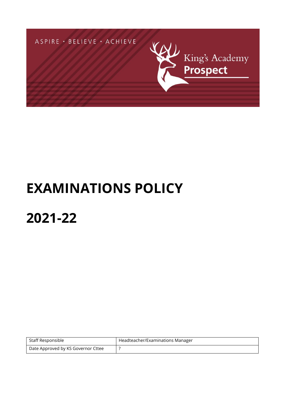

# **EXAMINATIONS POLICY**

# **2021-22**

| Staff Responsible                  | Headteacher/Examinations Manager |
|------------------------------------|----------------------------------|
| Date Approved by KS Governor Cttee |                                  |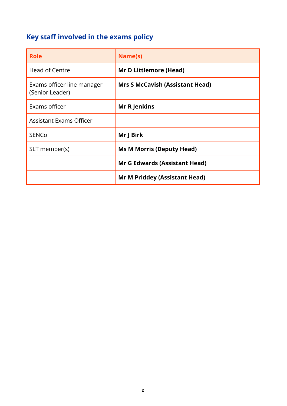# <span id="page-1-0"></span>**Key staff involved in the exams policy**

| <b>Role</b>                                   | Name(s)                                |
|-----------------------------------------------|----------------------------------------|
| Head of Centre                                | <b>Mr D Littlemore (Head)</b>          |
| Exams officer line manager<br>(Senior Leader) | <b>Mrs S McCavish (Assistant Head)</b> |
| Exams officer                                 | <b>Mr R Jenkins</b>                    |
| <b>Assistant Exams Officer</b>                |                                        |
| <b>SENCO</b>                                  | Mr J Birk                              |
| SLT member(s)                                 | <b>Ms M Morris (Deputy Head)</b>       |
|                                               | <b>Mr G Edwards (Assistant Head)</b>   |
|                                               | <b>Mr M Priddey (Assistant Head)</b>   |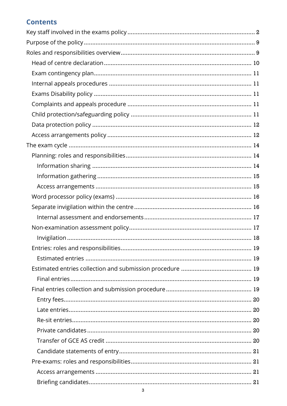# **Contents**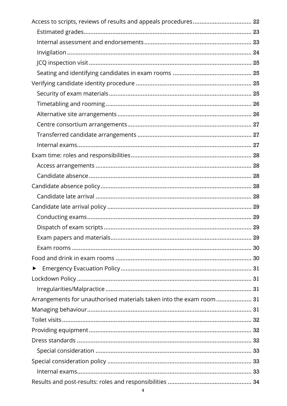| Access to scripts, reviews of results and appeals procedures 22      |  |
|----------------------------------------------------------------------|--|
|                                                                      |  |
|                                                                      |  |
|                                                                      |  |
|                                                                      |  |
|                                                                      |  |
|                                                                      |  |
|                                                                      |  |
|                                                                      |  |
|                                                                      |  |
|                                                                      |  |
|                                                                      |  |
|                                                                      |  |
|                                                                      |  |
|                                                                      |  |
|                                                                      |  |
|                                                                      |  |
|                                                                      |  |
|                                                                      |  |
|                                                                      |  |
|                                                                      |  |
|                                                                      |  |
|                                                                      |  |
|                                                                      |  |
| ▶                                                                    |  |
|                                                                      |  |
|                                                                      |  |
| Arrangements for unauthorised materials taken into the exam room  31 |  |
|                                                                      |  |
|                                                                      |  |
|                                                                      |  |
|                                                                      |  |
|                                                                      |  |
|                                                                      |  |
|                                                                      |  |
|                                                                      |  |
| 4                                                                    |  |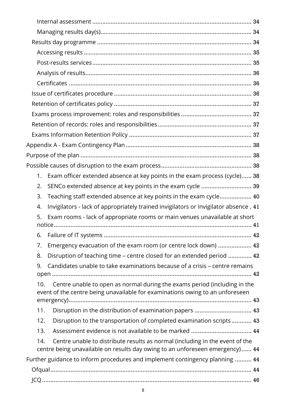| Exam officer extended absence at key points in the exam process (cycle) 38<br>1.                                                                                    |  |
|---------------------------------------------------------------------------------------------------------------------------------------------------------------------|--|
| SENCo extended absence at key points in the exam cycle  39<br>2.                                                                                                    |  |
| Teaching staff extended absence at key points in the exam cycle 40<br>3.                                                                                            |  |
| Invigilators - lack of appropriately trained invigilators or invigilator absence . 41<br>4.                                                                         |  |
| Exam rooms - lack of appropriate rooms or main venues unavailable at short<br>5.                                                                                    |  |
|                                                                                                                                                                     |  |
| 6.                                                                                                                                                                  |  |
| Emergency evacuation of the exam room (or centre lock down)  42<br>7.                                                                                               |  |
| Disruption of teaching time - centre closed for an extended period  42<br>8.                                                                                        |  |
| Candidates unable to take examinations because of a crisis - centre remains<br>9.                                                                                   |  |
| Centre unable to open as normal during the exams period (including in the<br>10.                                                                                    |  |
| event of the centre being unavailable for examinations owing to an unforeseen                                                                                       |  |
|                                                                                                                                                                     |  |
| Disruption in the distribution of examination papers  43<br>11.                                                                                                     |  |
| Disruption to the transportation of completed examination scripts 43<br>12.                                                                                         |  |
| Assessment evidence is not available to be marked  44<br>13.                                                                                                        |  |
| Centre unable to distribute results as normal (including in the event of the<br>14.<br>centre being unavailable on results day owing to an unforeseen emergency) 44 |  |
| Further guidance to inform procedures and implement contingency planning  44                                                                                        |  |
|                                                                                                                                                                     |  |
|                                                                                                                                                                     |  |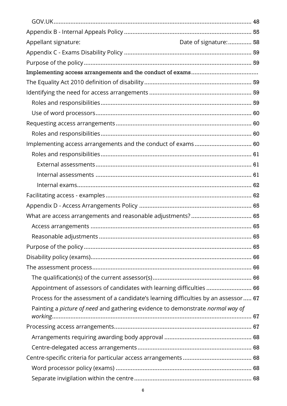| Appellant signature:                                                                | Date of signature:  58 |
|-------------------------------------------------------------------------------------|------------------------|
|                                                                                     |                        |
|                                                                                     |                        |
|                                                                                     |                        |
|                                                                                     |                        |
|                                                                                     |                        |
|                                                                                     |                        |
|                                                                                     |                        |
|                                                                                     |                        |
|                                                                                     |                        |
| Implementing access arrangements and the conduct of exams 60                        |                        |
|                                                                                     |                        |
|                                                                                     |                        |
|                                                                                     |                        |
|                                                                                     |                        |
|                                                                                     |                        |
|                                                                                     |                        |
|                                                                                     |                        |
|                                                                                     |                        |
|                                                                                     |                        |
|                                                                                     |                        |
|                                                                                     |                        |
|                                                                                     |                        |
|                                                                                     |                        |
| Appointment of assessors of candidates with learning difficulties  66               |                        |
| Process for the assessment of a candidate's learning difficulties by an assessor 67 |                        |
| Painting a picture of need and gathering evidence to demonstrate normal way of      |                        |
|                                                                                     |                        |
|                                                                                     |                        |
|                                                                                     |                        |
|                                                                                     |                        |
|                                                                                     |                        |
|                                                                                     |                        |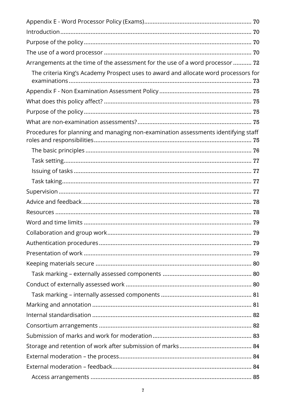| Arrangements at the time of the assessment for the use of a word processor  72      |  |
|-------------------------------------------------------------------------------------|--|
| The criteria King's Academy Prospect uses to award and allocate word processors for |  |
|                                                                                     |  |
|                                                                                     |  |
|                                                                                     |  |
|                                                                                     |  |
| Procedures for planning and managing non-examination assessments identifying staff  |  |
|                                                                                     |  |
|                                                                                     |  |
|                                                                                     |  |
|                                                                                     |  |
|                                                                                     |  |
|                                                                                     |  |
|                                                                                     |  |
|                                                                                     |  |
|                                                                                     |  |
|                                                                                     |  |
|                                                                                     |  |
|                                                                                     |  |
|                                                                                     |  |
|                                                                                     |  |
|                                                                                     |  |
|                                                                                     |  |
|                                                                                     |  |
|                                                                                     |  |
|                                                                                     |  |
|                                                                                     |  |
|                                                                                     |  |
|                                                                                     |  |
|                                                                                     |  |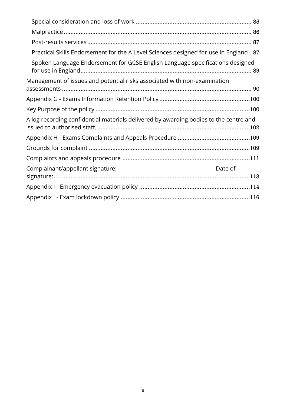| Practical Skills Endorsement for the A Level Sciences designed for use in England 87  |
|---------------------------------------------------------------------------------------|
| Spoken Language Endorsement for GCSE English Language specifications designed         |
| Management of issues and potential risks associated with non-examination              |
|                                                                                       |
|                                                                                       |
| A log recording confidential materials delivered by awarding bodies to the centre and |
|                                                                                       |
|                                                                                       |
|                                                                                       |
| Complainant/appellant signature:<br>Date of                                           |
|                                                                                       |
|                                                                                       |
|                                                                                       |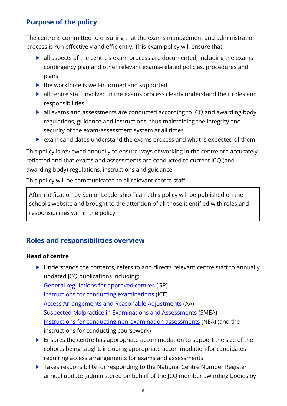# <span id="page-8-0"></span>**Purpose of the policy**

The centre is committed to ensuring that the exams management and administration process is run effectively and efficiently. This exam policy will ensure that:

- all aspects of the centre's exam process are documented, including the exams contingency plan and other relevant exams-related policies, procedures and plans
- $\blacktriangleright$  the workforce is well-informed and supported
- all centre staff involved in the exams process clearly understand their roles and responsibilities
- all exams and assessments are conducted according to JCQ and awarding body regulations, guidance and instructions, thus maintaining the integrity and security of the exam/assessment system at all times
- exam candidates understand the exams process and what is expected of them

This policy is reviewed annually to ensure ways of working in the centre are accurately reflected and that exams and assessments are conducted to current JCQ (and awarding body) regulations, instructions and guidance.

This policy will be communicated to all relevant centre staff.

After ratification by Senior Leadership Team, this policy will be published on the school's website and brought to the attention of all those identified with roles and responsibilities within the policy.

# <span id="page-8-1"></span>**Roles and responsibilities overview**

# **Head of centre**

- ▶ Understands the contents, refers to and directs relevant centre staff to annually updated JCQ publications including: [General regulations for approved centres](http://www.jcq.org.uk/exams-office/general-regulations) (GR) [Instructions for conducting examinations](http://www.jcq.org.uk/exams-office/ice---instructions-for-conducting-examinations) (ICE) [Access Arrangements and Reasonable Adjustments](http://www.jcq.org.uk/exams-office/access-arrangements-and-special-consideration/regulations-and-guidance) (AA) [Suspected Malpractice in Examinations and Assessments](http://www.jcq.org.uk/exams-office/malpractice) (SMEA) [Instructions for conducting non-examination assessments](http://www.jcq.org.uk/exams-office/non-examination-assessments) (NEA) (and the instructions for conducting coursework)
- $\blacktriangleright$  Ensures the centre has appropriate accommodation to support the size of the cohorts being taught, including appropriate accommodation for candidates requiring access arrangements for exams and assessments
- ▶ Takes responsibility for responding to the National Centre Number Register annual update (administered on behalf of the JCQ member awarding bodies by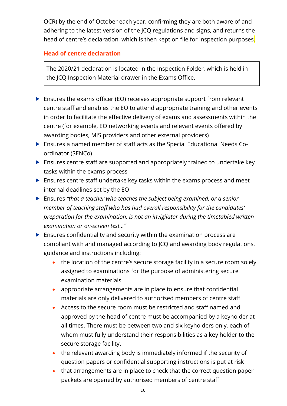OCR) by the end of October each year, confirming they are both aware of and adhering to the latest version of the JCQ regulations and signs, and returns the head of centre's declaration, which is then kept on file for inspection purposes.

# <span id="page-9-0"></span>**Head of centre declaration**

The 2020/21 declaration is located in the Inspection Folder, which is held in the JCQ Inspection Material drawer in the Exams Office.

- $\triangleright$  Ensures the exams officer (EO) receives appropriate support from relevant centre staff and enables the EO to attend appropriate training and other events in order to facilitate the effective delivery of exams and assessments within the centre (for example, EO networking events and relevant events offered by awarding bodies, MIS providers and other external providers)
- Ensures a named member of staff acts as the Special Educational Needs Coordinator (SENCo)
- Ensures centre staff are supported and appropriately trained to undertake key tasks within the exams process
- Ensures centre staff undertake key tasks within the exams process and meet internal deadlines set by the EO
- Ensures *"that a teacher who teaches the subject being examined, or a senior member of teaching staff who has had overall responsibility for the candidates' preparation for the examination, is not an invigilator during the timetabled written examination or on-screen test…"*
- $\blacktriangleright$  Ensures confidentiality and security within the examination process are compliant with and managed according to JCQ and awarding body regulations, guidance and instructions including:
	- the location of the centre's secure storage facility in a secure room solely assigned to examinations for the purpose of administering secure examination materials
	- appropriate arrangements are in place to ensure that confidential materials are only delivered to authorised members of centre staff
	- Access to the secure room must be restricted and staff named and approved by the head of centre must be accompanied by a keyholder at all times. There must be between two and six keyholders only, each of whom must fully understand their responsibilities as a key holder to the secure storage facility.
	- the relevant awarding body is immediately informed if the security of question papers or confidential supporting instructions is put at risk
	- that arrangements are in place to check that the correct question paper packets are opened by authorised members of centre staff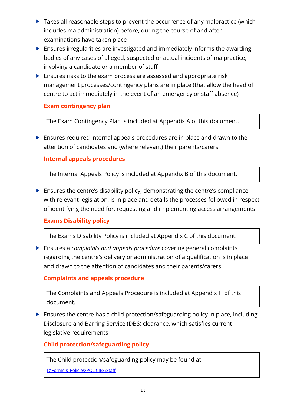- $\triangleright$  Takes all reasonable steps to prevent the occurrence of any malpractice (which includes maladministration) before, during the course of and after examinations have taken place
- Ensures irregularities are investigated and immediately informs the awarding bodies of any cases of alleged, suspected or actual incidents of malpractice, involving a candidate or a member of staff
- **Ensures risks to the exam process are assessed and appropriate risk** management processes/contingency plans are in place (that allow the head of centre to act immediately in the event of an emergency or staff absence)

# <span id="page-10-0"></span>**Exam contingency plan**

The Exam Contingency Plan is included at Appendix A of this document.

 Ensures required internal appeals procedures are in place and drawn to the attention of candidates and (where relevant) their parents/carers

# <span id="page-10-1"></span>**Internal appeals procedures**

The Internal Appeals Policy is included at Appendix B of this document.

 Ensures the centre's disability policy, demonstrating the centre's compliance with relevant legislation, is in place and details the processes followed in respect of identifying the need for, requesting and implementing access arrangements

# <span id="page-10-2"></span>**Exams Disability policy**

The Exams Disability Policy is included at Appendix C of this document.

 Ensures a *complaints and appeals procedure* covering general complaints regarding the centre's delivery or administration of a qualification is in place and drawn to the attention of candidates and their parents/carers

# <span id="page-10-3"></span>**Complaints and appeals procedure**

The Complaints and Appeals Procedure is included at Appendix H of this document.

 Ensures the centre has a child protection/safeguarding policy in place, including Disclosure and Barring Service (DBS) clearance, which satisfies current legislative requirements

# <span id="page-10-4"></span>**Child protection/safeguarding policy**

The Child protection/safeguarding policy may be found at

[T:\Forms & Policies\POLICIES\Staff](file://///PS-FILE-01/StaffShare$/Forms%20&%20Policies/POLICIES/Staff)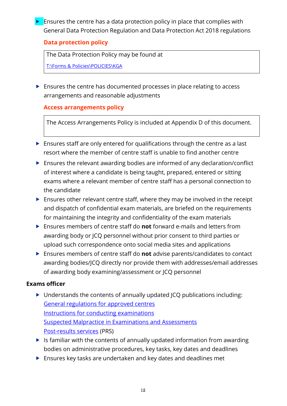$\blacktriangleright$  Ensures the centre has a data protection policy in place that complies with General Data Protection Regulation and Data Protection Act 2018 regulations

#### <span id="page-11-0"></span>**Data protection policy**

The Data Protection Policy may be found at

[T:\Forms & Policies\POLICIES\KGA](file://///PS-FILE-01/StaffShare$/Forms%20&%20Policies/POLICIES/KGA)

Ensures the centre has documented processes in place relating to access arrangements and reasonable adjustments

# <span id="page-11-1"></span>**Access arrangements policy**

The Access Arrangements Policy is included at Appendix D of this document.

- Ensures staff are only entered for qualifications through the centre as a last resort where the member of centre staff is unable to find another centre
- Ensures the relevant awarding bodies are informed of any declaration/conflict of interest where a candidate is being taught, prepared, entered or sitting exams where a relevant member of centre staff has a personal connection to the candidate
- $\blacktriangleright$  Ensures other relevant centre staff, where they may be involved in the receipt and dispatch of confidential exam materials, are briefed on the requirements for maintaining the integrity and confidentiality of the exam materials
- Ensures members of centre staff do **not** forward e-mails and letters from awarding body or JCQ personnel without prior consent to third parties or upload such correspondence onto social media sites and applications
- Ensures members of centre staff do **not** advise parents/candidates to contact awarding bodies/JCQ directly nor provide them with addresses/email addresses of awarding body examining/assessment or JCQ personnel

- ▶ Understands the contents of annually updated JCQ publications including: [General regulations for approved centres](http://www.jcq.org.uk/exams-office/general-regulations) [Instructions for conducting examinations](http://www.jcq.org.uk/exams-office/ice---instructions-for-conducting-examinations) [Suspected Malpractice in Examinations and Assessments](http://www.jcq.org.uk/exams-office/malpractice) [Post-results services](http://www.jcq.org.uk/exams-office/post-results-services) (PRS)
- $\blacktriangleright$  Is familiar with the contents of annually updated information from awarding bodies on administrative procedures, key tasks, key dates and deadlines
- Ensures key tasks are undertaken and key dates and deadlines met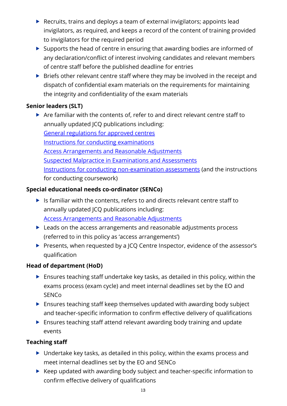- ▶ Recruits, trains and deploys a team of external invigilators; appoints lead invigilators, as required, and keeps a record of the content of training provided to invigilators for the required period
- ▶ Supports the head of centre in ensuring that awarding bodies are informed of any declaration/conflict of interest involving candidates and relevant members of centre staff before the published deadline for entries
- **Briefs other relevant centre staff where they may be involved in the receipt and** dispatch of confidential exam materials on the requirements for maintaining the integrity and confidentiality of the exam materials

# **Senior leaders (SLT)**

 Are familiar with the contents of, refer to and direct relevant centre staff to annually updated JCQ publications including: [General regulations for approved centres](http://www.jcq.org.uk/exams-office/general-regulations) [Instructions for conducting examinations](http://www.jcq.org.uk/exams-office/ice---instructions-for-conducting-examinations) [Access Arrangements and Reasonable Adjustments](http://www.jcq.org.uk/exams-office/access-arrangements-and-special-consideration/regulations-and-guidance) [Suspected Malpractice in Examinations and Assessments](http://www.jcq.org.uk/exams-office/malpractice) [Instructions for conducting non-examination assessments](http://www.jcq.org.uk/exams-office/non-examination-assessments) (and the instructions for conducting coursework)

# **Special educational needs co-ordinator (SENCo)**

- $\blacktriangleright$  Is familiar with the contents, refers to and directs relevant centre staff to annually updated JCQ publications including: [Access Arrangements and Reasonable Adjustments](http://www.jcq.org.uk/exams-office/access-arrangements-and-special-consideration/regulations-and-guidance)
- ▶ Leads on the access arrangements and reasonable adjustments process (referred to in this policy as 'access arrangements')
- Presents, when requested by a JCQ Centre Inspector, evidence of the assessor's qualification

# **Head of department (HoD)**

- Ensures teaching staff undertake key tasks, as detailed in this policy, within the exams process (exam cycle) and meet internal deadlines set by the EO and **SENCo**
- ▶ Ensures teaching staff keep themselves updated with awarding body subject and teacher-specific information to confirm effective delivery of qualifications
- ▶ Ensures teaching staff attend relevant awarding body training and update events

# **Teaching staff**

- Undertake key tasks, as detailed in this policy, within the exams process and meet internal deadlines set by the EO and SENCo
- ▶ Keep updated with awarding body subject and teacher-specific information to confirm effective delivery of qualifications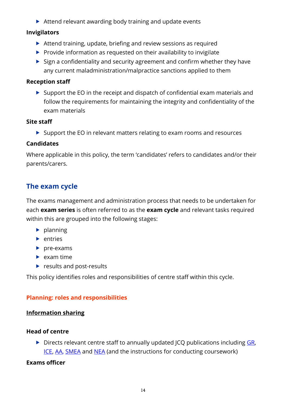▶ Attend relevant awarding body training and update events

#### **Invigilators**

- Attend training, update, briefing and review sessions as required
- $\triangleright$  Provide information as requested on their availability to invigilate
- $\triangleright$  Sign a confidentiality and security agreement and confirm whether they have any current maladministration/malpractice sanctions applied to them

#### **Reception staff**

 Support the EO in the receipt and dispatch of confidential exam materials and follow the requirements for maintaining the integrity and confidentiality of the exam materials

#### **Site staff**

 $\triangleright$  Support the EO in relevant matters relating to exam rooms and resources

#### **Candidates**

Where applicable in this policy, the term 'candidates' refers to candidates and/or their parents/carers.

# <span id="page-13-0"></span>**The exam cycle**

The exams management and administration process that needs to be undertaken for each **exam series** is often referred to as the **exam cycle** and relevant tasks required within this are grouped into the following stages:

- $\blacktriangleright$  planning
- $\blacktriangleright$  entries
- $\rho$  pre-exams
- $\blacktriangleright$  exam time
- $\blacktriangleright$  results and post-results

This policy identifies roles and responsibilities of centre staff within this cycle.

# <span id="page-13-1"></span>**Planning: roles and responsibilities**

# <span id="page-13-2"></span>**Information sharing**

# **Head of centre**

 $\triangleright$  Directs relevant centre staff to annually updated JCQ publications including [GR,](http://www.jcq.org.uk/exams-office/general-regulations) [ICE,](http://www.jcq.org.uk/exams-office/ice---instructions-for-conducting-examinations) [AA,](http://www.jcq.org.uk/exams-office/access-arrangements-and-special-consideration) [SMEA](http://www.jcq.org.uk/exams-office/malpractice) and [NEA](http://www.jcq.org.uk/exams-office/non-examination-assessments) (and the instructions for conducting coursework)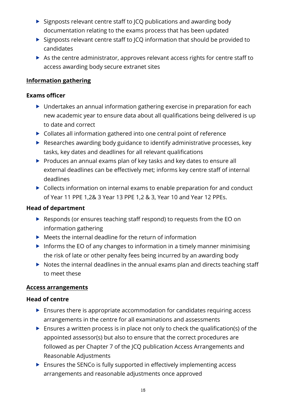- $\triangleright$  Signposts relevant centre staff to JCQ publications and awarding body documentation relating to the exams process that has been updated
- $\triangleright$  Signposts relevant centre staff to JCQ information that should be provided to candidates
- As the centre administrator, approves relevant access rights for centre staff to access awarding body secure extranet sites

#### <span id="page-14-0"></span>**Information gathering**

#### **Exams officer**

- ▶ Undertakes an annual information gathering exercise in preparation for each new academic year to ensure data about all qualifications being delivered is up to date and correct
- ▶ Collates all information gathered into one central point of reference
- ▶ Researches awarding body guidance to identify administrative processes, key tasks, key dates and deadlines for all relevant qualifications
- ▶ Produces an annual exams plan of key tasks and key dates to ensure all external deadlines can be effectively met; informs key centre staff of internal deadlines
- ▶ Collects information on internal exams to enable preparation for and conduct of Year 11 PPE 1,2& 3 Year 13 PPE 1,2 & 3, Year 10 and Year 12 PPEs.

#### **Head of department**

- ▶ Responds (or ensures teaching staff respond) to requests from the EO on information gathering
- $\blacktriangleright$  Meets the internal deadline for the return of information
- Informs the EO of any changes to information in a timely manner minimising the risk of late or other penalty fees being incurred by an awarding body
- $\triangleright$  Notes the internal deadlines in the annual exams plan and directs teaching staff to meet these

#### <span id="page-14-1"></span>**Access arrangements**

#### **Head of centre**

- $\blacktriangleright$  Ensures there is appropriate accommodation for candidates requiring access arrangements in the centre for all examinations and assessments
- $\blacktriangleright$  Ensures a written process is in place not only to check the qualification(s) of the appointed assessor(s) but also to ensure that the correct procedures are followed as per Chapter 7 of the JCQ publication Access Arrangements and Reasonable Adjustments
- Ensures the SENCo is fully supported in effectively implementing access arrangements and reasonable adjustments once approved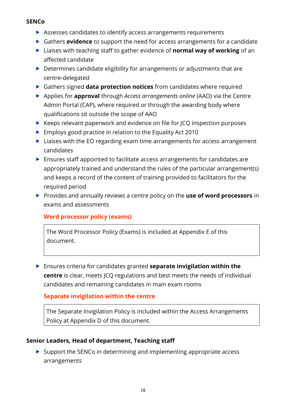#### **SENCo**

- Assesses candidates to identify access arrangements requirements
- Gathers **evidence** to support the need for access arrangements for a candidate
- Liaises with teaching staff to gather evidence of **normal way of working** of an affected candidate
- ▶ Determines candidate eligibility for arrangements or adjustments that are centre-delegated
- Gathers signed **data protection notices** from candidates where required
- Applies for **approval** through *Access arrangements online* (AAO) via the Centre Admin Portal (CAP), where required or through the awarding body where qualifications sit outside the scope of AAO
- $\blacktriangleright$  Keeps relevant paperwork and evidence on file for JCQ inspection purposes
- ▶ Employs good practice in relation to the Equality Act 2010
- ▶ Liaises with the EO regarding exam time arrangements for access arrangement candidates
- Ensures staff appointed to facilitate access arrangements for candidates are appropriately trained and understand the rules of the particular arrangement(s) and keeps a record of the content of training provided to facilitators for the required period
- **Provides and annually reviews a centre policy on the use of word processors** in exams and assessments

# <span id="page-15-0"></span>**Word processor policy (exams)**

The Word Processor Policy (Exams) is included at Appendix E of this document.

 Ensures criteria for candidates granted **separate invigilation within the centre** is clear, meets JCQ regulations and best meets the needs of individual candidates and remaining candidates in main exam rooms

#### <span id="page-15-1"></span>**Separate invigilation within the centre**

The Separate Invigilation Policy is included within the Access Arrangements Policy at Appendix D of this document.

# **Senior Leaders, Head of department, Teaching staff**

 $\triangleright$  Support the SENCo in determining and implementing appropriate access arrangements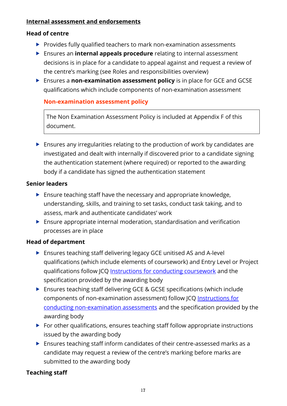#### <span id="page-16-0"></span>**Internal assessment and endorsements**

#### **Head of centre**

- Provides fully qualified teachers to mark non-examination assessments
- Ensures an **internal appeals procedure** relating to internal assessment decisions is in place for a candidate to appeal against and request a review of the centre's marking (see Roles and responsibilities overview)
- Ensures a **non-examination assessment policy** is in place for GCE and GCSE qualifications which include components of non-examination assessment

<span id="page-16-1"></span>**Non-examination assessment policy**

The Non Examination Assessment Policy is included at Appendix F of this document.

 Ensures any irregularities relating to the production of work by candidates are investigated and dealt with internally if discovered prior to a candidate signing the authentication statement (where required) or reported to the awarding body if a candidate has signed the authentication statement

#### **Senior leaders**

- $\blacktriangleright$  Ensure teaching staff have the necessary and appropriate knowledge, understanding, skills, and training to set tasks, conduct task taking, and to assess, mark and authenticate candidates' work
- Ensure appropriate internal moderation, standardisation and verification processes are in place

#### **Head of department**

- ▶ Ensures teaching staff delivering legacy GCE unitised AS and A-level qualifications (which include elements of coursework) and Entry Level or Project qualifications follow JCQ [Instructions for conducting coursework](http://www.jcq.org.uk/exams-office/coursework) and the specification provided by the awarding body
- Ensures teaching staff delivering GCE & GCSE specifications (which include components of non-examination assessment) follow JCQ [Instructions for](http://www.jcq.org.uk/exams-office/non-examination-assessments)  [conducting non-examination assessments](http://www.jcq.org.uk/exams-office/non-examination-assessments) and the specification provided by the awarding body
- $\blacktriangleright$  For other qualifications, ensures teaching staff follow appropriate instructions issued by the awarding body
- Ensures teaching staff inform candidates of their centre-assessed marks as a candidate may request a review of the centre's marking before marks are submitted to the awarding body

# **Teaching staff**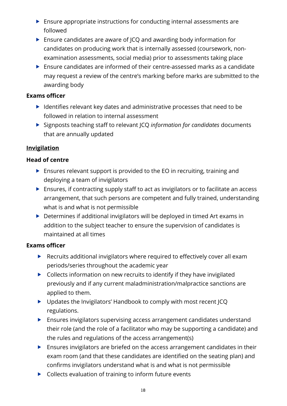- Ensure appropriate instructions for conducting internal assessments are followed
- ▶ Ensure candidates are aware of JCQ and awarding body information for candidates on producing work that is internally assessed (coursework, nonexamination assessments, social media) prior to assessments taking place
- Ensure candidates are informed of their centre-assessed marks as a candidate may request a review of the centre's marking before marks are submitted to the awarding body

#### **Exams officer**

- $\blacktriangleright$  Identifies relevant key dates and administrative processes that need to be followed in relation to internal assessment
- Signposts teaching staff to relevant JCQ *information for candidates* documents that are annually updated

#### <span id="page-17-0"></span>**Invigilation**

#### **Head of centre**

- ▶ Ensures relevant support is provided to the EO in recruiting, training and deploying a team of invigilators
- Ensures, if contracting supply staff to act as invigilators or to facilitate an access arrangement, that such persons are competent and fully trained, understanding what is and what is not permissible
- ▶ Determines if additional invigilators will be deployed in timed Art exams in addition to the subject teacher to ensure the supervision of candidates is maintained at all times

- ▶ Recruits additional invigilators where required to effectively cover all exam periods/series throughout the academic year
- ▶ Collects information on new recruits to identify if they have invigilated previously and if any current maladministration/malpractice sanctions are applied to them.
- ▶ Updates the Invigilators' Handbook to comply with most recent JCQ regulations.
- Ensures invigilators supervising access arrangement candidates understand their role (and the role of a facilitator who may be supporting a candidate) and the rules and regulations of the access arrangement(s)
- Ensures invigilators are briefed on the access arrangement candidates in their exam room (and that these candidates are identified on the seating plan) and confirms invigilators understand what is and what is not permissible
- ▶ Collects evaluation of training to inform future events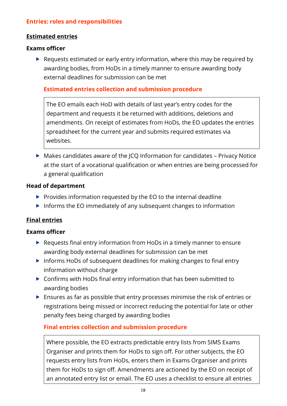#### <span id="page-18-0"></span>**Entries: roles and responsibilities**

#### <span id="page-18-1"></span>**Estimated entries**

#### **Exams officer**

▶ Requests estimated or early entry information, where this may be required by awarding bodies, from HoDs in a timely manner to ensure awarding body external deadlines for submission can be met

#### <span id="page-18-2"></span>**Estimated entries collection and submission procedure**

The EO emails each HoD with details of last year's entry codes for the department and requests it be returned with additions, deletions and amendments. On receipt of estimates from HoDs, the EO updates the entries spreadsheet for the current year and submits required estimates via websites.

 $\triangleright$  Makes candidates aware of the JCQ Information for candidates – Privacy Notice at the start of a vocational qualification or when entries are being processed for a general qualification

#### **Head of department**

- $\blacktriangleright$  Provides information requested by the EO to the internal deadline
- $\triangleright$  Informs the EO immediately of any subsequent changes to information

#### <span id="page-18-3"></span>**Final entries**

#### **Exams officer**

- ▶ Requests final entry information from HoDs in a timely manner to ensure awarding body external deadlines for submission can be met
- $\triangleright$  Informs HoDs of subsequent deadlines for making changes to final entry information without charge
- ▶ Confirms with HoDs final entry information that has been submitted to awarding bodies
- Ensures as far as possible that entry processes minimise the risk of entries or registrations being missed or incorrect reducing the potential for late or other penalty fees being charged by awarding bodies

#### <span id="page-18-4"></span>**Final entries collection and submission procedure**

Where possible, the EO extracts predictable entry lists from SIMS Exams Organiser and prints them for HoDs to sign off. For other subjects, the EO requests entry lists from HoDs, enters them in Exams Organiser and prints them for HoDs to sign off. Amendments are actioned by the EO on receipt of an annotated entry list or email. The EO uses a checklist to ensure all entries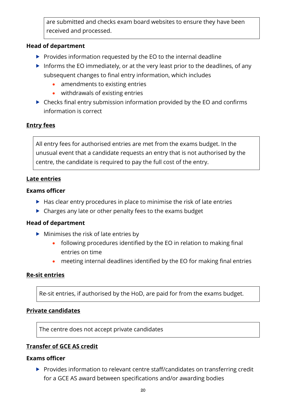are submitted and checks exam board websites to ensure they have been received and processed.

#### **Head of department**

- $\triangleright$  Provides information requested by the EO to the internal deadline
- Informs the EO immediately, or at the very least prior to the deadlines, of any subsequent changes to final entry information, which includes
	- amendments to existing entries
	- withdrawals of existing entries
- ▶ Checks final entry submission information provided by the EO and confirms information is correct

# <span id="page-19-0"></span>**Entry fees**

All entry fees for authorised entries are met from the exams budget. In the unusual event that a candidate requests an entry that is not authorised by the centre, the candidate is required to pay the full cost of the entry.

#### <span id="page-19-1"></span>**Late entries**

#### **Exams officer**

- $\blacktriangleright$  Has clear entry procedures in place to minimise the risk of late entries
- $\triangleright$  Charges any late or other penalty fees to the exams budget

#### **Head of department**

- $\blacktriangleright$  Minimises the risk of late entries by
	- following procedures identified by the EO in relation to making final entries on time
	- meeting internal deadlines identified by the EO for making final entries

#### <span id="page-19-2"></span>**Re-sit entries**

Re-sit entries, if authorised by the HoD, are paid for from the exams budget.

#### <span id="page-19-3"></span>**Private candidates**

The centre does not accept private candidates

#### <span id="page-19-4"></span>**Transfer of GCE AS credit**

#### **Exams officer**

Provides information to relevant centre staff/candidates on transferring credit for a GCE AS award between specifications and/or awarding bodies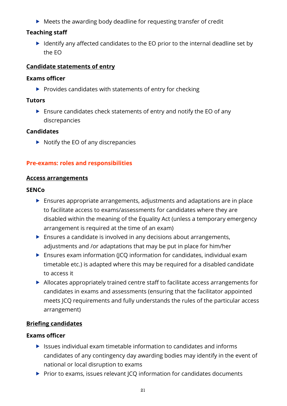▶ Meets the awarding body deadline for requesting transfer of credit

#### **Teaching staff**

 $\blacktriangleright$  Identify any affected candidates to the EO prior to the internal deadline set by the EO

#### <span id="page-20-0"></span>**Candidate statements of entry**

#### **Exams officer**

 $\blacktriangleright$  Provides candidates with statements of entry for checking

#### **Tutors**

 $\blacktriangleright$  Ensure candidates check statements of entry and notify the EO of any discrepancies

#### **Candidates**

 $\triangleright$  Notify the EO of any discrepancies

#### <span id="page-20-1"></span>**Pre-exams: roles and responsibilities**

#### <span id="page-20-2"></span>**Access arrangements**

#### **SENCo**

- Ensures appropriate arrangements, adjustments and adaptations are in place to facilitate access to exams/assessments for candidates where they are disabled within the meaning of the Equality Act (unless a temporary emergency arrangement is required at the time of an exam)
- ▶ Ensures a candidate is involved in any decisions about arrangements, adjustments and /or adaptations that may be put in place for him/her
- ▶ Ensures exam information (JCQ information for candidates, individual exam timetable etc.) is adapted where this may be required for a disabled candidate to access it
- Allocates appropriately trained centre staff to facilitate access arrangements for candidates in exams and assessments (ensuring that the facilitator appointed meets JCQ requirements and fully understands the rules of the particular access arrangement)

#### <span id="page-20-3"></span>**Briefing candidates**

- $\blacktriangleright$  Issues individual exam timetable information to candidates and informs candidates of any contingency day awarding bodies may identify in the event of national or local disruption to exams
- $\triangleright$  Prior to exams, issues relevant JCQ information for candidates documents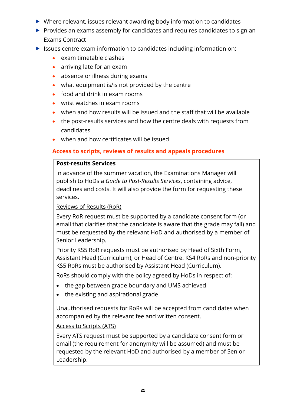- Where relevant, issues relevant awarding body information to candidates
- ▶ Provides an exams assembly for candidates and requires candidates to sign an Exams Contract
- Issues centre exam information to candidates including information on:
	- exam timetable clashes
	- arriving late for an exam
	- absence or illness during exams
	- what equipment is/is not provided by the centre
	- food and drink in exam rooms
	- wrist watches in exam rooms
	- when and how results will be issued and the staff that will be available
	- the post-results services and how the centre deals with requests from candidates
	- when and how certificates will be issued

# <span id="page-21-0"></span>**Access to scripts, reviews of results and appeals procedures**

#### **Post-results Services**

In advance of the summer vacation, the Examinations Manager will publish to HoDs a *Guide to Post-Results Services*, containing advice, deadlines and costs. It will also provide the form for requesting these services.

#### Reviews of Results (RoR)

Every RoR request must be supported by a candidate consent form (or email that clarifies that the candidate is aware that the grade may fall) and must be requested by the relevant HoD and authorised by a member of Senior Leadership.

Priority KS5 RoR requests must be authorised by Head of Sixth Form, Assistant Head (Curriculum), or Head of Centre. KS4 RoRs and non-priority KS5 RoRs must be authorised by Assistant Head (Curriculum).

RoRs should comply with the policy agreed by HoDs in respect of:

- the gap between grade boundary and UMS achieved
- the existing and aspirational grade

Unauthorised requests for RoRs will be accepted from candidates when accompanied by the relevant fee and written consent.

# Access to Scripts (ATS)

Every ATS request must be supported by a candidate consent form or email (the requirement for anonymity will be assumed) and must be requested by the relevant HoD and authorised by a member of Senior Leadership.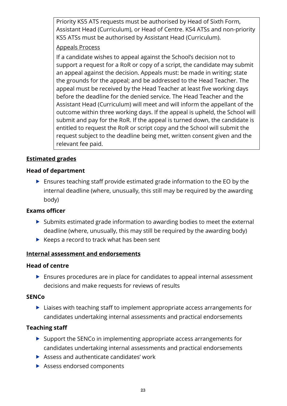Priority KS5 ATS requests must be authorised by Head of Sixth Form, Assistant Head (Curriculum), or Head of Centre. KS4 ATSs and non-priority KS5 ATSs must be authorised by Assistant Head (Curriculum).

#### Appeals Process

If a candidate wishes to appeal against the School's decision not to support a request for a RoR or copy of a script, the candidate may submit an appeal against the decision. Appeals must: be made in writing; state the grounds for the appeal; and be addressed to the Head Teacher. The appeal must be received by the Head Teacher at least five working days before the deadline for the denied service. The Head Teacher and the Assistant Head (Curriculum) will meet and will inform the appellant of the outcome within three working days. If the appeal is upheld, the School will submit and pay for the RoR. If the appeal is turned down, the candidate is entitled to request the RoR or script copy and the School will submit the request subject to the deadline being met, written consent given and the relevant fee paid.

# <span id="page-22-0"></span>**Estimated grades**

# **Head of department**

 Ensures teaching staff provide estimated grade information to the EO by the internal deadline (where, unusually, this still may be required by the awarding body)

# **Exams officer**

- ▶ Submits estimated grade information to awarding bodies to meet the external deadline (where, unusually, this may still be required by the awarding body)
- $\blacktriangleright$  Keeps a record to track what has been sent

# <span id="page-22-1"></span>**Internal assessment and endorsements**

#### **Head of centre**

 Ensures procedures are in place for candidates to appeal internal assessment decisions and make requests for reviews of results

#### **SENCo**

▶ Liaises with teaching staff to implement appropriate access arrangements for candidates undertaking internal assessments and practical endorsements

# **Teaching staff**

- $\triangleright$  Support the SENCo in implementing appropriate access arrangements for candidates undertaking internal assessments and practical endorsements
- $\blacktriangleright$  Assess and authenticate candidates' work
- Assess endorsed components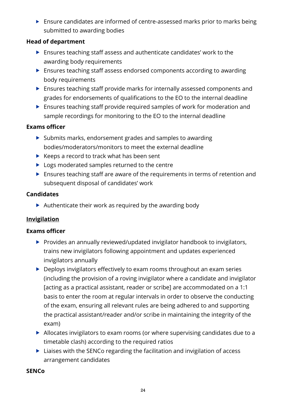Ensure candidates are informed of centre-assessed marks prior to marks being submitted to awarding bodies

#### **Head of department**

- Ensures teaching staff assess and authenticate candidates' work to the awarding body requirements
- Ensures teaching staff assess endorsed components according to awarding body requirements
- Ensures teaching staff provide marks for internally assessed components and grades for endorsements of qualifications to the EO to the internal deadline
- **Ensures teaching staff provide required samples of work for moderation and** sample recordings for monitoring to the EO to the internal deadline

#### **Exams officer**

- ▶ Submits marks, endorsement grades and samples to awarding bodies/moderators/monitors to meet the external deadline
- $\blacktriangleright$  Keeps a record to track what has been sent
- ▶ Logs moderated samples returned to the centre
- Ensures teaching staff are aware of the requirements in terms of retention and subsequent disposal of candidates' work

#### **Candidates**

 $\blacktriangleright$  Authenticate their work as required by the awarding body

# <span id="page-23-0"></span>**Invigilation**

#### **Exams officer**

- ▶ Provides an annually reviewed/updated invigilator handbook to invigilators, trains new invigilators following appointment and updates experienced invigilators annually
- ▶ Deploys invigilators effectively to exam rooms throughout an exam series (including the provision of a roving invigilator where a candidate and invigilator [acting as a practical assistant, reader or scribe] are accommodated on a 1:1 basis to enter the room at regular intervals in order to observe the conducting of the exam, ensuring all relevant rules are being adhered to and supporting the practical assistant/reader and/or scribe in maintaining the integrity of the exam)
- Allocates invigilators to exam rooms (or where supervising candidates due to a timetable clash) according to the required ratios
- ▶ Liaises with the SENCo regarding the facilitation and invigilation of access arrangement candidates

#### **SENCo**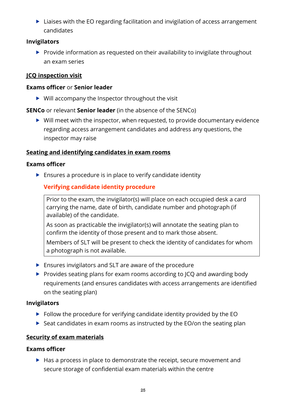▶ Liaises with the EO regarding facilitation and invigilation of access arrangement candidates

#### **Invigilators**

 $\blacktriangleright$  Provide information as requested on their availability to invigilate throughout an exam series

# <span id="page-24-0"></span>**JCQ inspection visit**

#### **Exams officer** or **Senior leader**

 $\triangleright$  Will accompany the Inspector throughout the visit

**SENCo** or relevant **Senior leader** (in the absence of the SENCo)

 $\triangleright$  Will meet with the inspector, when requested, to provide documentary evidence regarding access arrangement candidates and address any questions, the inspector may raise

# <span id="page-24-1"></span>**Seating and identifying candidates in exam rooms**

#### **Exams officer**

<span id="page-24-2"></span> $\blacktriangleright$  Ensures a procedure is in place to verify candidate identity

# **Verifying candidate identity procedure**

Prior to the exam, the invigilator(s) will place on each occupied desk a card carrying the name, date of birth, candidate number and photograph (if available) of the candidate.

As soon as practicable the invigilator(s) will annotate the seating plan to confirm the identity of those present and to mark those absent.

Members of SLT will be present to check the identity of candidates for whom a photograph is not available.

- **Ensures invigilators and SLT are aware of the procedure**
- Provides seating plans for exam rooms according to JCQ and awarding body requirements (and ensures candidates with access arrangements are identified on the seating plan)

#### **Invigilators**

- $\triangleright$  Follow the procedure for verifying candidate identity provided by the EO
- $\triangleright$  Seat candidates in exam rooms as instructed by the EO/on the seating plan

# <span id="page-24-3"></span>**Security of exam materials**

#### **Exams officer**

 $\blacktriangleright$  Has a process in place to demonstrate the receipt, secure movement and secure storage of confidential exam materials within the centre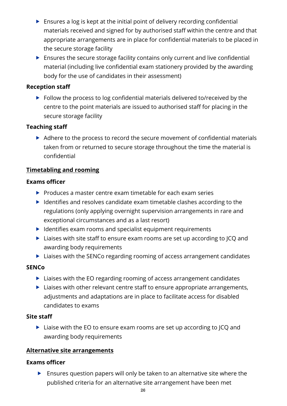- $\blacktriangleright$  Ensures a log is kept at the initial point of delivery recording confidential materials received and signed for by authorised staff within the centre and that appropriate arrangements are in place for confidential materials to be placed in the secure storage facility
- Ensures the secure storage facility contains only current and live confidential material (including live confidential exam stationery provided by the awarding body for the use of candidates in their assessment)

#### **Reception staff**

Follow the process to log confidential materials delivered to/received by the centre to the point materials are issued to authorised staff for placing in the secure storage facility

#### **Teaching staff**

Adhere to the process to record the secure movement of confidential materials taken from or returned to secure storage throughout the time the material is confidential

# <span id="page-25-0"></span>**Timetabling and rooming**

#### **Exams officer**

- $\triangleright$  Produces a master centre exam timetable for each exam series
- $\blacktriangleright$  Identifies and resolves candidate exam timetable clashes according to the regulations (only applying overnight supervision arrangements in rare and exceptional circumstances and as a last resort)
- $\blacktriangleright$  Identifies exam rooms and specialist equipment requirements
- ▶ Liaises with site staff to ensure exam rooms are set up according to JCQ and awarding body requirements
- ▶ Liaises with the SENCo regarding rooming of access arrangement candidates

#### **SENCo**

- ▶ Liaises with the EO regarding rooming of access arrangement candidates
- $\blacktriangleright$  Liaises with other relevant centre staff to ensure appropriate arrangements, adjustments and adaptations are in place to facilitate access for disabled candidates to exams

#### **Site staff**

▶ Liaise with the EO to ensure exam rooms are set up according to JCQ and awarding body requirements

#### <span id="page-25-1"></span>**Alternative site arrangements**

#### **Exams officer**

Ensures question papers will only be taken to an alternative site where the published criteria for an alternative site arrangement have been met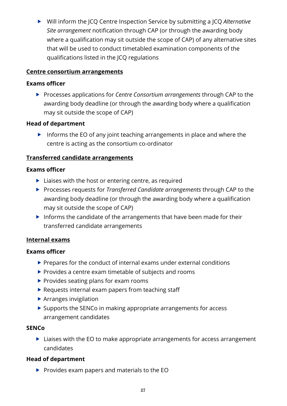Will inform the JCQ Centre Inspection Service by submitting a JCQ *Alternative Site arrangement* notification through CAP (or through the awarding body where a qualification may sit outside the scope of CAP) of any alternative sites that will be used to conduct timetabled examination components of the qualifications listed in the JCQ regulations

#### <span id="page-26-0"></span>**Centre consortium arrangements**

#### **Exams officer**

 Processes applications for *Centre Consortium arrangements* through CAP to the awarding body deadline (or through the awarding body where a qualification may sit outside the scope of CAP)

#### **Head of department**

Informs the EO of any joint teaching arrangements in place and where the centre is acting as the consortium co-ordinator

#### <span id="page-26-1"></span>**Transferred candidate arrangements**

#### **Exams officer**

- $\blacktriangleright$  Liaises with the host or entering centre, as required
- Processes requests for *Transferred Candidate arrangements* through CAP to the awarding body deadline (or through the awarding body where a qualification may sit outside the scope of CAP)
- $\blacktriangleright$  Informs the candidate of the arrangements that have been made for their transferred candidate arrangements

# <span id="page-26-2"></span>**Internal exams**

#### **Exams officer**

- $\blacktriangleright$  Prepares for the conduct of internal exams under external conditions
- $\blacktriangleright$  Provides a centre exam timetable of subjects and rooms
- $\blacktriangleright$  Provides seating plans for exam rooms
- $\blacktriangleright$  Requests internal exam papers from teaching staff
- $\blacktriangleright$  Arranges invigilation
- ▶ Supports the SENCo in making appropriate arrangements for access arrangement candidates

#### **SENCo**

▶ Liaises with the EO to make appropriate arrangements for access arrangement candidates

# **Head of department**

 $\blacktriangleright$  Provides exam papers and materials to the EO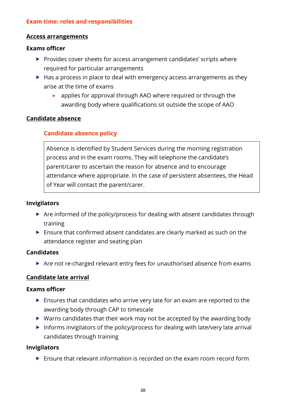#### <span id="page-27-0"></span>**Exam time: roles and responsibilities**

#### <span id="page-27-1"></span>**Access arrangements**

#### **Exams officer**

- ▶ Provides cover sheets for access arrangement candidates' scripts where required for particular arrangements
- $\blacktriangleright$  Has a process in place to deal with emergency access arrangements as they arise at the time of exams
	- applies for approval through AAO where required or through the awarding body where qualifications sit outside the scope of AAO

#### <span id="page-27-3"></span><span id="page-27-2"></span>**Candidate absence**

#### **Candidate absence policy**

Absence is identified by Student Services during the morning registration process and in the exam rooms. They will telephone the candidate's parent/carer to ascertain the reason for absence and to encourage attendance where appropriate. In the case of persistent absentees, the Head of Year will contact the parent/carer.

#### **Invigilators**

- Are informed of the policy/process for dealing with absent candidates through training
- Ensure that confirmed absent candidates are clearly marked as such on the attendance register and seating plan

#### **Candidates**

▶ Are not re-charged relevant entry fees for unauthorised absence from exams

#### <span id="page-27-4"></span>**Candidate late arrival**

#### **Exams officer**

- Ensures that candidates who arrive very late for an exam are reported to the awarding body through CAP to timescale
- $\triangleright$  Warns candidates that their work may not be accepted by the awarding body
- Informs invigilators of the policy/process for dealing with late/very late arrival candidates through training

#### **Invigilators**

▶ Ensure that relevant information is recorded on the exam room record form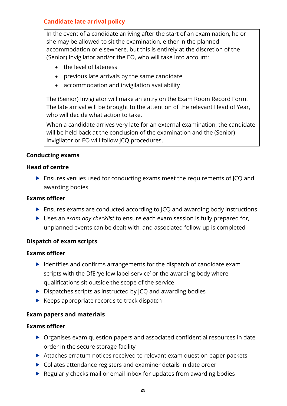#### <span id="page-28-0"></span>**Candidate late arrival policy**

In the event of a candidate arriving after the start of an examination, he or she may be allowed to sit the examination, either in the planned accommodation or elsewhere, but this is entirely at the discretion of the (Senior) Invigilator and/or the EO, who will take into account:

- the level of lateness
- previous late arrivals by the same candidate
- accommodation and invigilation availability

The (Senior) Invigilator will make an entry on the Exam Room Record Form. The late arrival will be brought to the attention of the relevant Head of Year, who will decide what action to take.

When a candidate arrives very late for an external examination, the candidate will be held back at the conclusion of the examination and the (Senior) Invigilator or EO will follow JCQ procedures.

#### <span id="page-28-1"></span>**Conducting exams**

#### **Head of centre**

 Ensures venues used for conducting exams meet the requirements of JCQ and awarding bodies

#### **Exams officer**

- ▶ Ensures exams are conducted according to JCQ and awarding body instructions
- Uses an *exam day checklist* to ensure each exam session is fully prepared for, unplanned events can be dealt with, and associated follow-up is completed

#### <span id="page-28-2"></span>**Dispatch of exam scripts**

#### **Exams officer**

- $\blacktriangleright$  Identifies and confirms arrangements for the dispatch of candidate exam scripts with the DfE 'yellow label service' or the awarding body where qualifications sit outside the scope of the service
- $\triangleright$  Dispatches scripts as instructed by JCQ and awarding bodies
- $\blacktriangleright$  Keeps appropriate records to track dispatch

#### <span id="page-28-3"></span>**Exam papers and materials**

- Organises exam question papers and associated confidential resources in date order in the secure storage facility
- Attaches erratum notices received to relevant exam question paper packets
- ▶ Collates attendance registers and examiner details in date order
- $\blacktriangleright$  Regularly checks mail or email inbox for updates from awarding bodies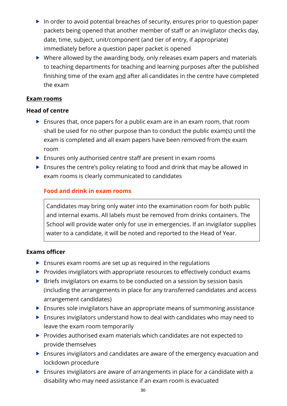- $\blacktriangleright$  In order to avoid potential breaches of security, ensures prior to question paper packets being opened that another member of staff or an invigilator checks day, date, time, subject, unit/component (and tier of entry, if appropriate) immediately before a question paper packet is opened
- ▶ Where allowed by the awarding body, only releases exam papers and materials to teaching departments for teaching and learning purposes after the published finishing time of the exam and after all candidates in the centre have completed the exam

#### <span id="page-29-0"></span>**Exam rooms**

#### **Head of centre**

- Ensures that, once papers for a public exam are in an exam room, that room shall be used for no other purpose than to conduct the public exam(s) until the exam is completed and all exam papers have been removed from the exam room
- ▶ Ensures only authorised centre staff are present in exam rooms
- ▶ Ensures the centre's policy relating to food and drink that may be allowed in exam rooms is clearly communicated to candidates

# <span id="page-29-1"></span>**Food and drink in exam rooms**

Candidates may bring only water into the examination room for both public and internal exams. All labels must be removed from drinks containers. The School will provide water only for use in emergencies. If an invigilator supplies water to a candidate, it will be noted and reported to the Head of Year.

- $\blacktriangleright$  Ensures exam rooms are set up as required in the regulations
- $\blacktriangleright$  Provides invigilators with appropriate resources to effectively conduct exams
- ▶ Briefs invigilators on exams to be conducted on a session by session basis (including the arrangements in place for any transferred candidates and access arrangement candidates)
- **Ensures sole invigilators have an appropriate means of summoning assistance**
- Ensures invigilators understand how to deal with candidates who may need to leave the exam room temporarily
- Provides authorised exam materials which candidates are not expected to provide themselves
- Ensures invigilators and candidates are aware of the emergency evacuation and lockdown procedure
- Ensures invigilators are aware of arrangements in place for a candidate with a disability who may need assistance if an exam room is evacuated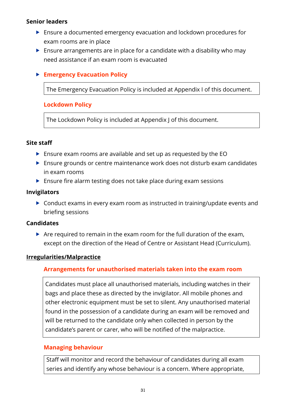#### **Senior leaders**

- Ensure a documented emergency evacuation and lockdown procedures for exam rooms are in place
- $\triangleright$  Ensure arrangements are in place for a candidate with a disability who may need assistance if an exam room is evacuated

#### <span id="page-30-0"></span>**Emergency Evacuation Policy**

The Emergency Evacuation Policy is included at Appendix I of this document.

#### <span id="page-30-1"></span>**Lockdown Policy**

The Lockdown Policy is included at Appendix J of this document.

#### **Site staff**

- Ensure exam rooms are available and set up as requested by the EO
- ▶ Ensure grounds or centre maintenance work does not disturb exam candidates in exam rooms
- ▶ Ensure fire alarm testing does not take place during exam sessions

#### **Invigilators**

▶ Conduct exams in every exam room as instructed in training/update events and briefing sessions

#### **Candidates**

 $\triangleright$  Are required to remain in the exam room for the full duration of the exam, except on the direction of the Head of Centre or Assistant Head (Curriculum).

#### <span id="page-30-3"></span><span id="page-30-2"></span>**Irregularities/Malpractice**

#### **Arrangements for unauthorised materials taken into the exam room**

Candidates must place all unauthorised materials, including watches in their bags and place these as directed by the invigilator. All mobile phones and other electronic equipment must be set to silent. Any unauthorised material found in the possession of a candidate during an exam will be removed and will be returned to the candidate only when collected in person by the candidate's parent or carer, who will be notified of the malpractice.

#### <span id="page-30-4"></span>**Managing behaviour**

Staff will monitor and record the behaviour of candidates during all exam series and identify any whose behaviour is a concern. Where appropriate,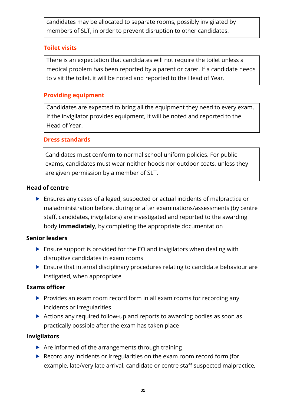candidates may be allocated to separate rooms, possibly invigilated by members of SLT, in order to prevent disruption to other candidates.

#### <span id="page-31-0"></span>**Toilet visits**

There is an expectation that candidates will not require the toilet unless a medical problem has been reported by a parent or carer. If a candidate needs to visit the toilet, it will be noted and reported to the Head of Year.

# <span id="page-31-1"></span>**Providing equipment**

Candidates are expected to bring all the equipment they need to every exam. If the invigilator provides equipment, it will be noted and reported to the Head of Year.

#### <span id="page-31-2"></span>**Dress standards**

Candidates must conform to normal school uniform policies. For public exams, candidates must wear neither hoods nor outdoor coats, unless they are given permission by a member of SLT.

#### **Head of centre**

 Ensures any cases of alleged, suspected or actual incidents of malpractice or maladministration before, during or after examinations/assessments (by centre staff, candidates, invigilators) are investigated and reported to the awarding body **immediately**, by completing the appropriate documentation

#### **Senior leaders**

- Ensure support is provided for the EO and invigilators when dealing with disruptive candidates in exam rooms
- **Ensure that internal disciplinary procedures relating to candidate behaviour are** instigated, when appropriate

#### **Exams officer**

- $\triangleright$  Provides an exam room record form in all exam rooms for recording any incidents or irregularities
- Actions any required follow-up and reports to awarding bodies as soon as practically possible after the exam has taken place

#### **Invigilators**

- $\triangleright$  Are informed of the arrangements through training
- ▶ Record any incidents or irregularities on the exam room record form (for example, late/very late arrival, candidate or centre staff suspected malpractice,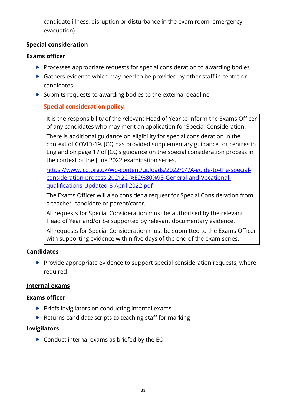candidate illness, disruption or disturbance in the exam room, emergency evacuation)

#### <span id="page-32-0"></span>**Special consideration**

#### **Exams officer**

- $\blacktriangleright$  Processes appropriate requests for special consideration to awarding bodies
- ▶ Gathers evidence which may need to be provided by other staff in centre or candidates
- <span id="page-32-1"></span> $\triangleright$  Submits requests to awarding bodies to the external deadline

# **Special consideration policy**

It is the responsibility of the relevant Head of Year to inform the Exams Officer of any candidates who may merit an application for Special Consideration.

There is additional guidance on eligibility for special consideration in the context of COVID-19. JCQ has provided supplementary guidance for centres in England on page 17 of JCQ's guidance on the special consideration process in the context of the June 2022 examination series.

[https://www.jcq.org.uk/wp-content/uploads/2022/04/A-guide-to-the-special](https://www.jcq.org.uk/wp-content/uploads/2022/04/A-guide-to-the-special-consideration-process-202122-%E2%80%93-General-and-Vocational-qualifications-Updated-8-April-2022.pdf)[consideration-process-202122-%E2%80%93-General-and-Vocational](https://www.jcq.org.uk/wp-content/uploads/2022/04/A-guide-to-the-special-consideration-process-202122-%E2%80%93-General-and-Vocational-qualifications-Updated-8-April-2022.pdf)[qualifications-Updated-8-April-2022.pdf](https://www.jcq.org.uk/wp-content/uploads/2022/04/A-guide-to-the-special-consideration-process-202122-%E2%80%93-General-and-Vocational-qualifications-Updated-8-April-2022.pdf)

The Exams Officer will also consider a request for Special Consideration from a teacher, candidate or parent/carer.

All requests for Special Consideration must be authorised by the relevant Head of Year and/or be supported by relevant documentary evidence.

All requests for Special Consideration must be submitted to the Exams Officer with supporting evidence within five days of the end of the exam series.

# **Candidates**

 $\blacktriangleright$  Provide appropriate evidence to support special consideration requests, where required

#### <span id="page-32-2"></span>**Internal exams**

#### **Exams officer**

- $\triangleright$  Briefs invigilators on conducting internal exams
- $\blacktriangleright$  Returns candidate scripts to teaching staff for marking

# **Invigilators**

▶ Conduct internal exams as briefed by the EO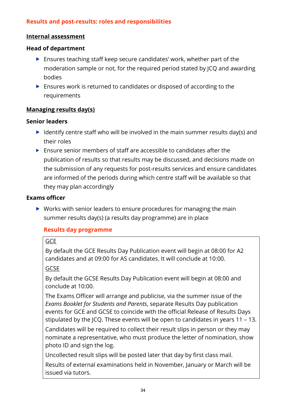#### <span id="page-33-0"></span>**Results and post-results: roles and responsibilities**

#### <span id="page-33-1"></span>**Internal assessment**

#### **Head of department**

- Ensures teaching staff keep secure candidates' work, whether part of the moderation sample or not, for the required period stated by JCQ and awarding bodies
- Ensures work is returned to candidates or disposed of according to the requirements

#### <span id="page-33-2"></span>**Managing results day(s)**

#### **Senior leaders**

- Identify centre staff who will be involved in the main summer results day(s) and their roles
- $\blacktriangleright$  Ensure senior members of staff are accessible to candidates after the publication of results so that results may be discussed, and decisions made on the submission of any requests for post-results services and ensure candidates are informed of the periods during which centre staff will be available so that they may plan accordingly

#### **Exams officer**

 $\triangleright$  Works with senior leaders to ensure procedures for managing the main summer results day(s) (a results day programme) are in place

#### <span id="page-33-3"></span>**Results day programme**

#### **GCE**

By default the GCE Results Day Publication event will begin at 08:00 for A2 candidates and at 09:00 for AS candidates. It will conclude at 10:00.

#### GCSE

By default the GCSE Results Day Publication event will begin at 08:00 and conclude at 10:00.

The Exams Officer will arrange and publicise, via the summer issue of the *Exams Booklet for Students and Parents*, separate Results Day publication events for GCE and GCSE to coincide with the official Release of Results Days stipulated by the JCQ. These events will be open to candidates in years 11 – 13.

Candidates will be required to collect their result slips in person or they may nominate a representative, who must produce the letter of nomination, show photo ID and sign the log.

Uncollected result slips will be posted later that day by first class mail.

Results of external examinations held in November, January or March will be issued via tutors.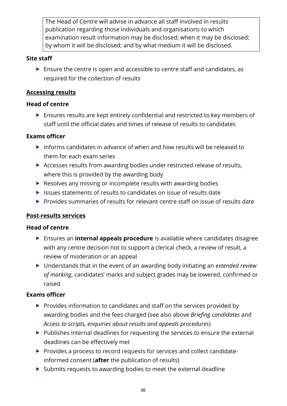The Head of Centre will advise in advance all staff involved in results publication regarding those individuals and organisations to which examination result information may be disclosed; when it may be disclosed; by whom it will be disclosed; and by what medium it will be disclosed.

#### **Site staff**

 Ensure the centre is open and accessible to centre staff and candidates, as required for the collection of results

# <span id="page-34-0"></span>**Accessing results**

#### **Head of centre**

 Ensures results are kept entirely confidential and restricted to key members of staff until the official dates and times of release of results to candidates

#### **Exams officer**

- Informs candidates in advance of when and how results will be released to them for each exam series
- Accesses results from awarding bodies under restricted release of results, where this is provided by the awarding body
- Resolves any missing or incomplete results with awarding bodies
- $\triangleright$  Issues statements of results to candidates on issue of results date
- $\blacktriangleright$  Provides summaries of results for relevant centre staff on issue of results date

# <span id="page-34-1"></span>**Post-results services**

#### **Head of centre**

- Ensures an **internal appeals procedure** is available where candidates disagree with any centre decision not to support a clerical check, a review of result, a review of moderation or an appeal
- Understands that in the event of an awarding body initiating an *extended review of marking*, candidates' marks and subject grades may be lowered, confirmed or raised

- $\blacktriangleright$  Provides information to candidates and staff on the services provided by awarding bodies and the fees charged (see also above *Briefing candidates* and *Access to scripts, enquiries about results and appeals procedures*)
- ▶ Publishes internal deadlines for requesting the services to ensure the external deadlines can be effectively met
- $\blacktriangleright$  Provides a process to record requests for services and collect candidateinformed consent (**after** the publication of results)
- ▶ Submits requests to awarding bodies to meet the external deadline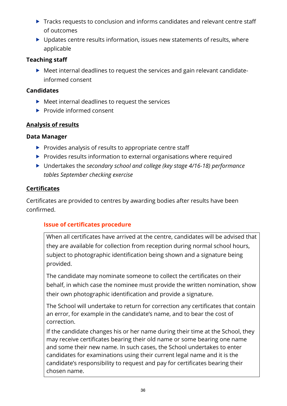- ▶ Tracks requests to conclusion and informs candidates and relevant centre staff of outcomes
- ▶ Updates centre results information, issues new statements of results, where applicable

#### **Teaching staff**

 Meet internal deadlines to request the services and gain relevant candidateinformed consent

#### **Candidates**

- ▶ Meet internal deadlines to request the services
- $\blacktriangleright$  Provide informed consent

#### <span id="page-35-0"></span>**Analysis of results**

#### **Data Manager**

- $\blacktriangleright$  Provides analysis of results to appropriate centre staff
- $\blacktriangleright$  Provides results information to external organisations where required
- Undertakes the *secondary school and college (key stage 4/16-18) performance tables September checking exercise*

#### <span id="page-35-1"></span>**Certificates**

Certificates are provided to centres by awarding bodies after results have been confirmed.

# <span id="page-35-2"></span>**Issue of certificates procedure**

When all certificates have arrived at the centre, candidates will be advised that they are available for collection from reception during normal school hours, subject to photographic identification being shown and a signature being provided.

The candidate may nominate someone to collect the certificates on their behalf, in which case the nominee must provide the written nomination, show their own photographic identification and provide a signature.

The School will undertake to return for correction any certificates that contain an error, for example in the candidate's name, and to bear the cost of correction.

If the candidate changes his or her name during their time at the School, they may receive certificates bearing their old name or some bearing one name and some their new name. In such cases, the School undertakes to enter candidates for examinations using their current legal name and it is the candidate's responsibility to request and pay for certificates bearing their chosen name.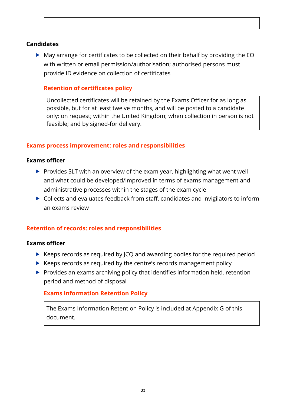#### **Candidates**

 May arrange for certificates to be collected on their behalf by providing the EO with written or email permission/authorisation; authorised persons must provide ID evidence on collection of certificates

### **Retention of certificates policy**

Uncollected certificates will be retained by the Exams Officer for as long as possible, but for at least twelve months, and will be posted to a candidate only: on request; within the United Kingdom; when collection in person is not feasible; and by signed-for delivery.

#### **Exams process improvement: roles and responsibilities**

#### **Exams officer**

- $\triangleright$  Provides SLT with an overview of the exam year, highlighting what went well and what could be developed/improved in terms of exams management and administrative processes within the stages of the exam cycle
- $\triangleright$  Collects and evaluates feedback from staff, candidates and invigilators to inform an exams review

#### **Retention of records: roles and responsibilities**

#### **Exams officer**

- $\triangleright$  Keeps records as required by JCQ and awarding bodies for the required period
- $\triangleright$  Keeps records as required by the centre's records management policy
- $\blacktriangleright$  Provides an exams archiving policy that identifies information held, retention period and method of disposal

#### **Exams Information Retention Policy**

The Exams Information Retention Policy is included at Appendix G of this document.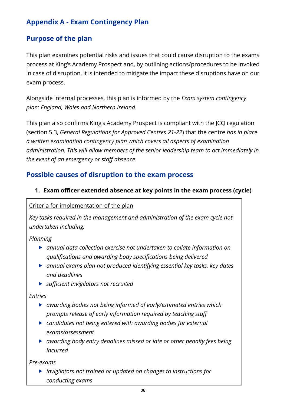# **Appendix A - Exam Contingency Plan**

# **Purpose of the plan**

This plan examines potential risks and issues that could cause disruption to the exams process at King's Academy Prospect and, by outlining actions/procedures to be invoked in case of disruption, it is intended to mitigate the impact these disruptions have on our exam process.

Alongside internal processes, this plan is informed by the *Exam system contingency plan: England, Wales and Northern Ireland*.

This plan also confirms King's Academy Prospect is compliant with the JCQ regulation (section 5.3, *General Regulations for Approved Centres 21-22*) that the centre *has in place a written examination contingency plan which covers all aspects of examination administration. This will allow members of the senior leadership team to act immediately in the event of an emergency or staff absence*.

# **Possible causes of disruption to the exam process**

## **1. Exam officer extended absence at key points in the exam process (cycle)**

### Criteria for implementation of the plan

*Key tasks required in the management and administration of the exam cycle not undertaken including:*

*Planning*

- *annual data collection exercise not undertaken to collate information on qualifications and awarding body specifications being delivered*
- *annual exams plan not produced identifying essential key tasks, key dates and deadlines*
- *sufficient invigilators not recruited*

*Entries*

- *awarding bodies not being informed of early/estimated entries which prompts release of early information required by teaching staff*
- *candidates not being entered with awarding bodies for external exams/assessment*
- *awarding body entry deadlines missed or late or other penalty fees being incurred*

*Pre-exams*

 *invigilators not trained or updated on changes to instructions for conducting exams*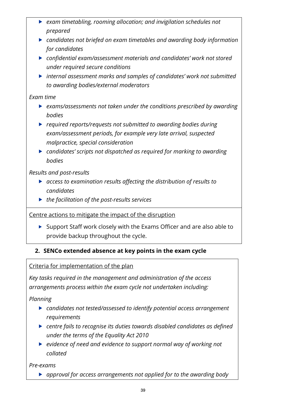- *exam timetabling, rooming allocation; and invigilation schedules not prepared*
- *candidates not briefed on exam timetables and awarding body information for candidates*
- *confidential exam/assessment materials and candidates' work not stored under required secure conditions*
- *internal assessment marks and samples of candidates' work not submitted to awarding bodies/external moderators*

### *Exam time*

- *exams/assessments not taken under the conditions prescribed by awarding bodies*
- *required reports/requests not submitted to awarding bodies during exam/assessment periods, for example very late arrival, suspected malpractice, special consideration*
- *candidates' scripts not dispatched as required for marking to awarding bodies*

## *Results and post-results*

- *access to examination results affecting the distribution of results to candidates*
- *the facilitation of the post-results services*

Centre actions to mitigate the impact of the disruption

 $\triangleright$  Support Staff work closely with the Exams Officer and are also able to provide backup throughout the cycle.

# **2. SENCo extended absence at key points in the exam cycle**

## Criteria for implementation of the plan

*Key tasks required in the management and administration of the access arrangements process within the exam cycle not undertaken including:*

*Planning*

- *candidates not tested/assessed to identify potential access arrangement requirements*
- *centre fails to recognise its duties towards disabled candidates as defined under the terms of the Equality Act 2010*
- *evidence of need and evidence to support normal way of working not collated*

*Pre-exams*

*approval for access arrangements not applied for to the awarding body*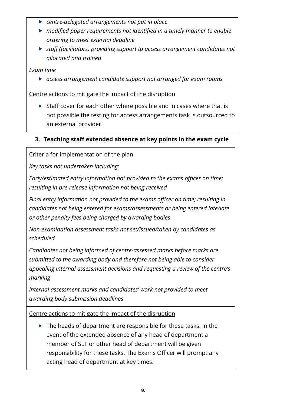- *centre-delegated arrangements not put in place*
- *modified paper requirements not identified in a timely manner to enable ordering to meet external deadline*
- *staff (facilitators) providing support to access arrangement candidates not allocated and trained*

*Exam time*

*access arrangement candidate support not arranged for exam rooms*

Centre actions to mitigate the impact of the disruption

 $\triangleright$  Staff cover for each other where possible and in cases where that is not possible the testing for access arrangements task is outsourced to an external provider.

## **3. Teaching staff extended absence at key points in the exam cycle**

Criteria for implementation of the plan

*Key tasks not undertaken including:*

*Early/estimated entry information not provided to the exams officer on time; resulting in pre-release information not being received*

*Final entry information not provided to the exams officer on time; resulting in candidates not being entered for exams/assessments or being entered late/late or other penalty fees being charged by awarding bodies*

*Non-examination assessment tasks not set/issued/taken by candidates as scheduled*

*Candidates not being informed of centre-assessed marks before marks are submitted to the awarding body and therefore not being able to consider appealing internal assessment decisions and requesting a review of the centre's marking*

*Internal assessment marks and candidates' work not provided to meet awarding body submission deadlines*

Centre actions to mitigate the impact of the disruption

 $\triangleright$  The heads of department are responsible for these tasks. In the event of the extended absence of any head of department a member of SLT or other head of department will be given responsibility for these tasks. The Exams Officer will prompt any acting head of department at key times.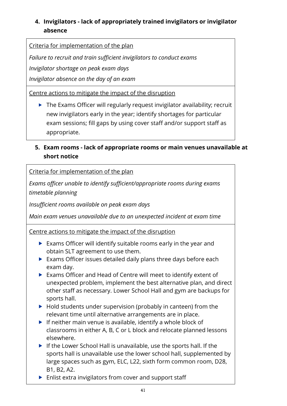# **4. Invigilators - lack of appropriately trained invigilators or invigilator absence**

Criteria for implementation of the plan

*Failure to recruit and train sufficient invigilators to conduct exams*

*Invigilator shortage on peak exam days*

*Invigilator absence on the day of an exam*

Centre actions to mitigate the impact of the disruption

- $\triangleright$  The Exams Officer will regularly request invigilator availability; recruit new invigilators early in the year; identify shortages for particular exam sessions; fill gaps by using cover staff and/or support staff as appropriate.
- **5. Exam rooms - lack of appropriate rooms or main venues unavailable at short notice**

Criteria for implementation of the plan

*Exams officer unable to identify sufficient/appropriate rooms during exams timetable planning*

*Insufficient rooms available on peak exam days*

*Main exam venues unavailable due to an unexpected incident at exam time*

Centre actions to mitigate the impact of the disruption

- Exams Officer will identify suitable rooms early in the year and obtain SLT agreement to use them.
- Exams Officer issues detailed daily plans three days before each exam day.
- Exams Officer and Head of Centre will meet to identify extent of unexpected problem, implement the best alternative plan, and direct other staff as necessary. Lower School Hall and gym are backups for sports hall.
- $\blacktriangleright$  Hold students under supervision (probably in canteen) from the relevant time until alternative arrangements are in place.
- $\blacktriangleright$  If neither main venue is available, identify a whole block of classrooms in either A, B, C or L block and relocate planned lessons elsewhere.
- $\blacktriangleright$  If the Lower School Hall is unavailable, use the sports hall. If the sports hall is unavailable use the lower school hall, supplemented by large spaces such as gym, ELC, L22, sixth form common room, D28, B1, B2, A2.
- **Enlist extra invigilators from cover and support staff**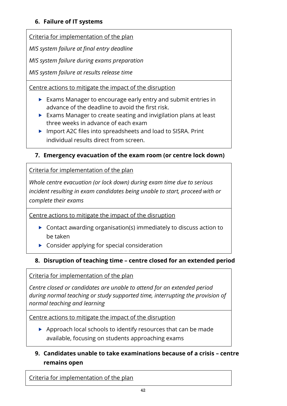### **6. Failure of IT systems**

Criteria for implementation of the plan

*MIS system failure at final entry deadline*

*MIS system failure during exams preparation*

*MIS system failure at results release time*

Centre actions to mitigate the impact of the disruption

- ▶ Exams Manager to encourage early entry and submit entries in advance of the deadline to avoid the first risk.
- ▶ Exams Manager to create seating and invigilation plans at least three weeks in advance of each exam
- ▶ Import A2C files into spreadsheets and load to SISRA. Print individual results direct from screen.

## **7. Emergency evacuation of the exam room (or centre lock down)**

Criteria for implementation of the plan

*Whole centre evacuation (or lock down) during exam time due to serious incident resulting in exam candidates being unable to start, proceed with or complete their exams*

Centre actions to mitigate the impact of the disruption

- ▶ Contact awarding organisation(s) immediately to discuss action to be taken
- ▶ Consider applying for special consideration

## **8. Disruption of teaching time – centre closed for an extended period**

Criteria for implementation of the plan

*Centre closed or candidates are unable to attend for an extended period during normal teaching or study supported time, interrupting the provision of normal teaching and learning*

Centre actions to mitigate the impact of the disruption

- ▶ Approach local schools to identify resources that can be made available, focusing on students approaching exams
- **9. Candidates unable to take examinations because of a crisis – centre remains open**

Criteria for implementation of the plan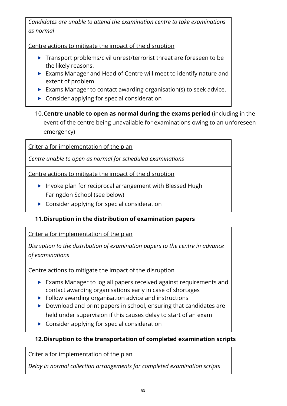*Candidates are unable to attend the examination centre to take examinations as normal*

Centre actions to mitigate the impact of the disruption

- ▶ Transport problems/civil unrest/terrorist threat are foreseen to be the likely reasons.
- Exams Manager and Head of Centre will meet to identify nature and extent of problem.
- Exams Manager to contact awarding organisation(s) to seek advice.
- ▶ Consider applying for special consideration
- 10.**Centre unable to open as normal during the exams period** (including in the event of the centre being unavailable for examinations owing to an unforeseen emergency)

Criteria for implementation of the plan

*Centre unable to open as normal for scheduled examinations*

Centre actions to mitigate the impact of the disruption

- **Invoke plan for reciprocal arrangement with Blessed Hugh** Faringdon School (see below)
- ▶ Consider applying for special consideration

## **11.Disruption in the distribution of examination papers**

Criteria for implementation of the plan

*Disruption to the distribution of examination papers to the centre in advance of examinations*

Centre actions to mitigate the impact of the disruption

- Exams Manager to log all papers received against requirements and contact awarding organisations early in case of shortages
- $\blacktriangleright$  Follow awarding organisation advice and instructions
- ▶ Download and print papers in school, ensuring that candidates are held under supervision if this causes delay to start of an exam
- ▶ Consider applying for special consideration

## **12.Disruption to the transportation of completed examination scripts**

Criteria for implementation of the plan

*Delay in normal collection arrangements for completed examination scripts*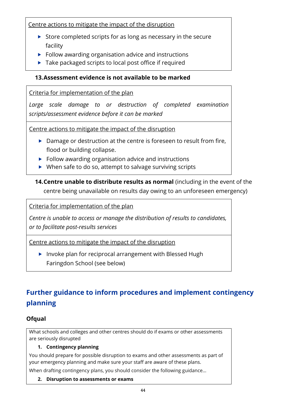Centre actions to mitigate the impact of the disruption

- $\triangleright$  Store completed scripts for as long as necessary in the secure facility
- $\blacktriangleright$  Follow awarding organisation advice and instructions
- $\blacktriangleright$  Take packaged scripts to local post office if required

### **13.Assessment evidence is not available to be marked**

### Criteria for implementation of the plan

*Large scale damage to or destruction of completed examination scripts/assessment evidence before it can be marked*

Centre actions to mitigate the impact of the disruption

- ▶ Damage or destruction at the centre is foreseen to result from fire, flood or building collapse.
- $\blacktriangleright$  Follow awarding organisation advice and instructions
- $\triangleright$  When safe to do so, attempt to salvage surviving scripts

**14.Centre unable to distribute results as normal** (including in the event of the centre being unavailable on results day owing to an unforeseen emergency)

Criteria for implementation of the plan

*Centre is unable to access or manage the distribution of results to candidates, or to facilitate post-results services*

Centre actions to mitigate the impact of the disruption

▶ Invoke plan for reciprocal arrangement with Blessed Hugh Faringdon School (see below)

# **Further guidance to inform procedures and implement contingency planning**

## **Ofqual**

What schools and colleges and other centres should do if exams or other assessments are seriously disrupted

#### **1. Contingency planning**

You should prepare for possible disruption to exams and other assessments as part of your emergency planning and make sure your staff are aware of these plans.

When drafting contingency plans, you should consider the following guidance…

#### **2. Disruption to assessments or exams**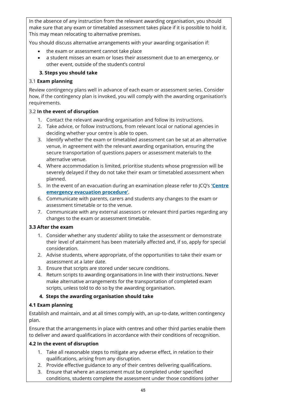In the absence of any instruction from the relevant awarding organisation, you should make sure that any exam or timetabled assessment takes place if it is possible to hold it. This may mean relocating to alternative premises.

You should discuss alternative arrangements with your awarding organisation if:

- the exam or assessment cannot take place
- a student misses an exam or loses their assessment due to an emergency, or other event, outside of the student's control

#### **3. Steps you should take**

#### 3.1 **Exam planning**

Review contingency plans well in advance of each exam or assessment series. Consider how, if the contingency plan is invoked, you will comply with the awarding organisation's requirements.

#### 3.2 **In the event of disruption**

- 1. Contact the relevant awarding organisation and follow its instructions.
- 2. Take advice, or follow instructions, from relevant local or national agencies in deciding whether your centre is able to open.
- 3. Identify whether the exam or timetabled assessment can be sat at an alternative venue, in agreement with the relevant awarding organisation, ensuring the secure transportation of questions papers or assessment materials to the alternative venue.
- 4. Where accommodation is limited, prioritise students whose progression will be severely delayed if they do not take their exam or timetabled assessment when planned.
- 5. In the event of an evacuation during an examination please refer to JCQ's **['Centre](https://www.jcq.org.uk/exams-office/ice---instructions-for-conducting-examinations/centre-emergency-evacuation-procedure) emergency [evacuation](https://www.jcq.org.uk/exams-office/ice---instructions-for-conducting-examinations/centre-emergency-evacuation-procedure) procedure'**.
- 6. Communicate with parents, carers and students any changes to the exam or assessment timetable or to the venue.
- 7. Communicate with any external assessors or relevant third parties regarding any changes to the exam or assessment timetable.

#### **3.3 After the exam**

- 1. Consider whether any students' ability to take the assessment or demonstrate their level of attainment has been materially affected and, if so, apply for special consideration.
- 2. Advise students, where appropriate, of the opportunities to take their exam or assessment at a later date.
- 3. Ensure that scripts are stored under secure conditions.
- 4. Return scripts to awarding organisations in line with their instructions. Never make alternative arrangements for the transportation of completed exam scripts, unless told to do so by the awarding organisation.

#### **4. Steps the awarding organisation should take**

#### **4.1 Exam planning**

Establish and maintain, and at all times comply with, an up-to-date, written contingency plan.

Ensure that the arrangements in place with centres and other third parties enable them to deliver and award qualifications in accordance with their conditions of recognition.

#### **4.2 In the event of disruption**

- 1. Take all reasonable steps to mitigate any adverse effect, in relation to their qualifications, arising from any disruption.
- 2. Provide effective guidance to any of their centres delivering qualifications.
- 3. Ensure that where an assessment must be completed under specified conditions, students complete the assessment under those conditions (other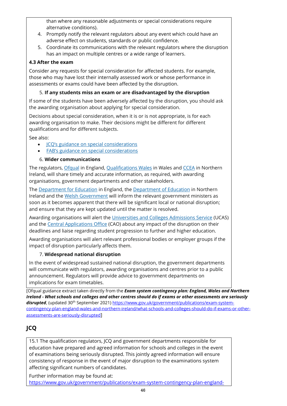than where any reasonable adjustments or special considerations require alternative conditions).

- 4. Promptly notify the relevant regulators about any event which could have an adverse effect on students, standards or public confidence.
- 5. Coordinate its communications with the relevant regulators where the disruption has an impact on multiple centres or a wide range of learners.

#### **4.3 After the exam**

Consider any requests for special consideration for affected students. For example, those who may have lost their internally assessed work or whose performance in assessments or exams could have been affected by the disruption.

#### 5. **If any students miss an exam or are disadvantaged by the disruption**

If some of the students have been adversely affected by the disruption, you should ask the awarding organisation about applying for special consideration.

Decisions about special consideration, when it is or is not appropriate, is for each awarding organisation to make. Their decisions might be different for different qualifications and for different subjects.

See also:

- **JCQ's guidance on special [considerations](https://www.jcq.org.uk/exams-office/access-arrangements-and-special-consideration/regulations-and-guidance)**
- FAB's guidance on special [considerations](http://www.awarding.org.uk/images/Guidance/FAB_Guide_on_The_Application_of_Reasonable_Adjustments_and_Special_Consideration_in_VQs_January_2012.pdf)

#### 6. **Wider communications**

The regulators, [Ofqual](https://www.gov.uk/ofqual) in England, [Qualifications](http://qualificationswales.org/) Wales in Wales and [CCEA](http://ccea.org.uk/) in Northern Ireland, will share timely and accurate information, as required, with awarding organisations, government departments and other stakeholders.

The [Department](https://www.gov.uk/government/organisations/department-for-education) for Education in England, the [Department](https://www.education-ni.gov.uk/) of Education in Northern Ireland and the Welsh [Government](http://gov.wales/topics/educationandskills/?lang=en) will inform the relevant government ministers as soon as it becomes apparent that there will be significant local or national disruption; and ensure that they are kept updated until the matter is resolved.

Awarding organisations will alert the [Universities](https://www.ucas.com/) and Colleges Admissions Service (UCAS) and the Central [Applications](http://www.cao.ie/) Office (CAO) about any impact of the disruption on their deadlines and liaise regarding student progression to further and higher education.

Awarding organisations will alert relevant professional bodies or employer groups if the impact of disruption particularly affects them.

#### 7. **Widespread national disruption**

In the event of widespread sustained national disruption, the government departments will communicate with regulators, awarding organisations and centres prior to a public announcement. Regulators will provide advice to government departments on implications for exam timetables.

[Ofqual guidance extract taken directly from the *Exam system contingency plan: England, Wales and Northern Ireland - What schools and colleges and other centres should do if exams or other assessments are seriously*  disrupted, (updated 30<sup>th</sup> September 2021[\) https://www.gov.uk/government/publications/exam-system](https://www.gov.uk/government/publications/exam-system-contingency-plan-england-wales-and-northern-ireland/what-schools-and-colleges-should-do-if-exams-or-other-assessments-are-seriously-disrupted)[contingency-plan-england-wales-and-northern-ireland/what-schools-and-colleges-should-do-if-exams-or-other](https://www.gov.uk/government/publications/exam-system-contingency-plan-england-wales-and-northern-ireland/what-schools-and-colleges-should-do-if-exams-or-other-assessments-are-seriously-disrupted)[assessments-are-seriously-disrupted](https://www.gov.uk/government/publications/exam-system-contingency-plan-england-wales-and-northern-ireland/what-schools-and-colleges-should-do-if-exams-or-other-assessments-are-seriously-disrupted)]

# **JCQ**

15.1 The qualification regulators, JCQ and government departments responsible for education have prepared and agreed information for schools and colleges in the event of examinations being seriously disrupted. This jointly agreed information will ensure consistency of response in the event of major disruption to the examinations system affecting significant numbers of candidates.

Further information may be found at: [https://www.gov.uk/government/publications/exam-system-contingency-plan-england-](https://www.gov.uk/government/publications/exam-system-contingency-plan-england-wales-and-northern-ireland/what-schools-and-colleges-should-do-if-exams-or-other-assessments-are-seriously-disrupted)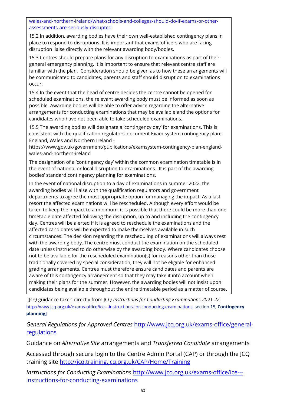[wales-and-northern-ireland/what-schools-and-colleges-should-do-if-exams-or-other](https://www.gov.uk/government/publications/exam-system-contingency-plan-england-wales-and-northern-ireland/what-schools-and-colleges-should-do-if-exams-or-other-assessments-are-seriously-disrupted)[assessments-are-seriously-disrupted](https://www.gov.uk/government/publications/exam-system-contingency-plan-england-wales-and-northern-ireland/what-schools-and-colleges-should-do-if-exams-or-other-assessments-are-seriously-disrupted)

15.2 In addition, awarding bodies have their own well-established contingency plans in place to respond to disruptions. It is important that exams officers who are facing disruption liaise directly with the relevant awarding body/bodies.

15.3 Centres should prepare plans for any disruption to examinations as part of their general emergency planning. It is important to ensure that relevant centre staff are familiar with the plan. Consideration should be given as to how these arrangements will be communicated to candidates, parents and staff should disruption to examinations occur.

15.4 In the event that the head of centre decides the centre cannot be opened for scheduled examinations, the relevant awarding body must be informed as soon as possible. Awarding bodies will be able to offer advice regarding the alternative arrangements for conducting examinations that may be available and the options for candidates who have not been able to take scheduled examinations.

15.5 The awarding bodies will designate a 'contingency day' for examinations. This is consistent with the qualification regulators' document Exam system contingency plan: England, Wales and Northern Ireland -

https://www.gov.uk/government/publications/examsystem-contingency-plan-englandwales-and-northern-ireland

The designation of a 'contingency day' within the common examination timetable is in the event of national or local disruption to examinations. It is part of the awarding bodies' standard contingency planning for examinations.

In the event of national disruption to a day of examinations in summer 2022, the awarding bodies will liaise with the qualification regulators and government departments to agree the most appropriate option for managing the impact. As a last resort the affected examinations will be rescheduled. Although every effort would be taken to keep the impact to a minimum, it is possible that there could be more than one timetable date affected following the disruption, up to and including the contingency day. Centres will be alerted if it is agreed to reschedule the examinations and the affected candidates will be expected to make themselves available in such circumstances. The decision regarding the rescheduling of examinations will always rest with the awarding body. The centre must conduct the examination on the scheduled date unless instructed to do otherwise by the awarding body. Where candidates choose not to be available for the rescheduled examination(s) for reasons other than those traditionally covered by special consideration, they will not be eligible for enhanced grading arrangements. Centres must therefore ensure candidates and parents are aware of this contingency arrangement so that they may take it into account when making their plans for the summer. However, the awarding bodies will not insist upon candidates being available throughout the entire timetable period as a matter of course.

[JCQ guidance taken directly from JCQ *Instructions for Conducting Examinations 2021-22* [http://www.jcq.org.uk/exams-office/ice---instructions-for-conducting-examinations,](http://www.jcq.org.uk/exams-office/ice---instructions-for-conducting-examinations) section 15, **Contingency planning**]

*General Regulations for Approved Centres* [http://www.jcq.org.uk/exams-office/general](http://www.jcq.org.uk/exams-office/general-regulations)[regulations](http://www.jcq.org.uk/exams-office/general-regulations)

Guidance on *Alternative Site* arrangements and *Transferred Candidate* arrangements

Accessed through secure login to the Centre Admin Portal (CAP) or through the JCQ training site<http://jcq.training.jcq.org.uk/CAP/Home/Training>

*Instructions for Conducting Examinations* [http://www.jcq.org.uk/exams-office/ice--](http://www.jcq.org.uk/exams-office/ice---instructions-for-conducting-examinations) [instructions-for-conducting-examinations](http://www.jcq.org.uk/exams-office/ice---instructions-for-conducting-examinations)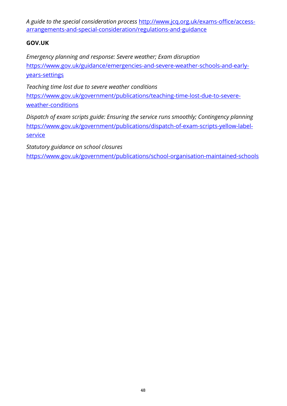*A guide to the special consideration process* [http://www.jcq.org.uk/exams-office/access](http://www.jcq.org.uk/exams-office/access-arrangements-and-special-consideration/regulations-and-guidance)[arrangements-and-special-consideration/regulations-and-guidance](http://www.jcq.org.uk/exams-office/access-arrangements-and-special-consideration/regulations-and-guidance)

### **GOV.UK**

*Emergency planning and response: Severe weather; Exam disruption*  [https://www.gov.uk/guidance/emergencies-and-severe-weather-schools-and-early](https://www.gov.uk/guidance/emergencies-and-severe-weather-schools-and-early-years-settings)[years-settings](https://www.gov.uk/guidance/emergencies-and-severe-weather-schools-and-early-years-settings)

*Teaching time lost due to severe weather conditions*

[https://www.gov.uk/government/publications/teaching-time-lost-due-to-severe](https://www.gov.uk/government/publications/teaching-time-lost-due-to-severe-weather-conditions)[weather-conditions](https://www.gov.uk/government/publications/teaching-time-lost-due-to-severe-weather-conditions)

*Dispatch of exam scripts guide: Ensuring the service runs smoothly; Contingency planning*  [https://www.gov.uk/government/publications/dispatch-of-exam-scripts-yellow-label](https://www.gov.uk/government/publications/dispatch-of-exam-scripts-yellow-label-service)[service](https://www.gov.uk/government/publications/dispatch-of-exam-scripts-yellow-label-service)

*Statutory guidance on school closures* 

<https://www.gov.uk/government/publications/school-organisation-maintained-schools>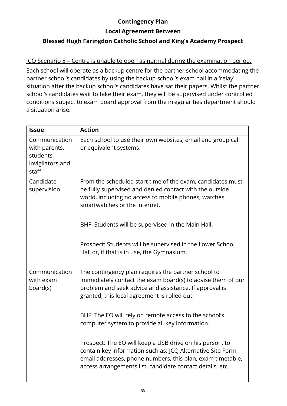## **Contingency Plan**

**Local Agreement Between**

## **Blessed Hugh Faringdon Catholic School and King's Academy Prospect**

JCQ Scenario 5 – Centre is unable to open as normal during the examination period.

Each school will operate as a backup centre for the partner school accommodating the partner school's candidates by using the backup school's exam hall in a 'relay' situation after the backup school's candidates have sat their papers. Whilst the partner school's candidates wait to take their exam, they will be supervised under controlled conditions subject to exam board approval from the irregularities department should a situation arise.

| <b>Issue</b>                                                             | <b>Action</b>                                                                                                                                                                                                                                      |  |
|--------------------------------------------------------------------------|----------------------------------------------------------------------------------------------------------------------------------------------------------------------------------------------------------------------------------------------------|--|
| Communication<br>with parents,<br>students,<br>invigilators and<br>staff | Each school to use their own websites, email and group call<br>or equivalent systems.                                                                                                                                                              |  |
| Candidate<br>supervision                                                 | From the scheduled start time of the exam, candidates must<br>be fully supervised and denied contact with the outside<br>world, including no access to mobile phones, watches<br>smartwatches or the internet.                                     |  |
|                                                                          | BHF: Students will be supervised in the Main Hall.                                                                                                                                                                                                 |  |
|                                                                          | Prospect: Students will be supervised in the Lower School<br>Hall or, if that is in use, the Gymnasium.                                                                                                                                            |  |
| Communication<br>with exam<br>board(s)                                   | The contingency plan requires the partner school to<br>immediately contact the exam board(s) to advise them of our<br>problem and seek advice and assistance. If approval is<br>granted, this local agreement is rolled out.                       |  |
|                                                                          | BHF: The EO will rely on remote access to the school's<br>computer system to provide all key information.                                                                                                                                          |  |
|                                                                          | Prospect: The EO will keep a USB drive on his person, to<br>contain key information such as: JCQ Alternative Site Form,<br>email addresses, phone numbers, this plan, exam timetable,<br>access arrangements list, candidate contact details, etc. |  |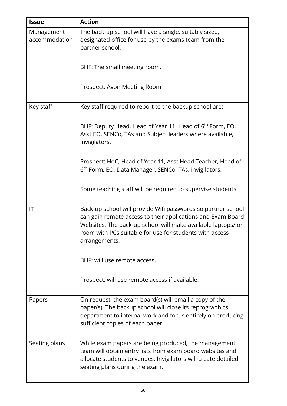| <b>Issue</b>                | <b>Action</b>                                                                                                                                                                                                                                                           |  |  |
|-----------------------------|-------------------------------------------------------------------------------------------------------------------------------------------------------------------------------------------------------------------------------------------------------------------------|--|--|
| Management<br>accommodation | The back-up school will have a single, suitably sized,<br>designated office for use by the exams team from the<br>partner school.                                                                                                                                       |  |  |
|                             | BHF: The small meeting room.                                                                                                                                                                                                                                            |  |  |
|                             | Prospect: Avon Meeting Room                                                                                                                                                                                                                                             |  |  |
| Key staff                   | Key staff required to report to the backup school are:                                                                                                                                                                                                                  |  |  |
|                             | BHF: Deputy Head, Head of Year 11, Head of 6 <sup>th</sup> Form, EO,<br>Asst EO, SENCo, TAs and Subject leaders where available,<br>invigilators.                                                                                                                       |  |  |
|                             | Prospect: HoC, Head of Year 11, Asst Head Teacher, Head of<br>6 <sup>th</sup> Form, EO, Data Manager, SENCo, TAs, invigilators.                                                                                                                                         |  |  |
|                             | Some teaching staff will be required to supervise students.                                                                                                                                                                                                             |  |  |
| IT                          | Back-up school will provide Wifi passwords so partner school<br>can gain remote access to their applications and Exam Board<br>Websites. The back-up school will make available laptops/ or<br>room with PCs suitable for use for students with access<br>arrangements. |  |  |
|                             | BHF: will use remote access.                                                                                                                                                                                                                                            |  |  |
|                             | Prospect: will use remote access if available.                                                                                                                                                                                                                          |  |  |
| Papers                      | On request, the exam board(s) will email a copy of the<br>paper(s). The backup school will close its reprographics<br>department to internal work and focus entirely on producing<br>sufficient copies of each paper.                                                   |  |  |
| Seating plans               | While exam papers are being produced, the management<br>team will obtain entry lists from exam board websites and<br>allocate students to venues. Invigilators will create detailed<br>seating plans during the exam.                                                   |  |  |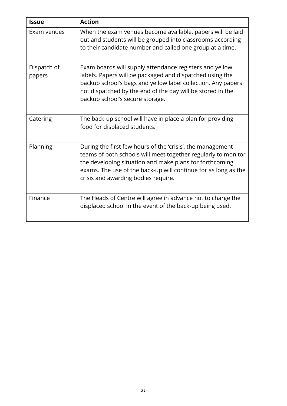| <b>Issue</b>          | <b>Action</b>                                                                                                                                                                                                                                                                                   |
|-----------------------|-------------------------------------------------------------------------------------------------------------------------------------------------------------------------------------------------------------------------------------------------------------------------------------------------|
| Exam venues           | When the exam venues become available, papers will be laid<br>out and students will be grouped into classrooms according<br>to their candidate number and called one group at a time.                                                                                                           |
| Dispatch of<br>papers | Exam boards will supply attendance registers and yellow<br>labels. Papers will be packaged and dispatched using the<br>backup school's bags and yellow label collection. Any papers<br>not dispatched by the end of the day will be stored in the<br>backup school's secure storage.            |
| Catering              | The back-up school will have in place a plan for providing<br>food for displaced students.                                                                                                                                                                                                      |
| Planning              | During the first few hours of the 'crisis', the management<br>teams of both schools will meet together regularly to monitor<br>the developing situation and make plans for forthcoming<br>exams. The use of the back-up will continue for as long as the<br>crisis and awarding bodies require. |
| Finance               | The Heads of Centre will agree in advance not to charge the<br>displaced school in the event of the back-up being used.                                                                                                                                                                         |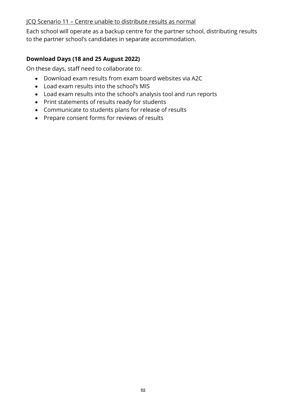#### JCQ Scenario 11 – Centre unable to distribute results as normal

Each school will operate as a backup centre for the partner school, distributing results to the partner school's candidates in separate accommodation.

#### **Download Days (18 and 25 August 2022)**

On these days, staff need to collaborate to:

- Download exam results from exam board websites via A2C
- Load exam results into the school's MIS
- Load exam results into the school's analysis tool and run reports
- Print statements of results ready for students
- Communicate to students plans for release of results
- Prepare consent forms for reviews of results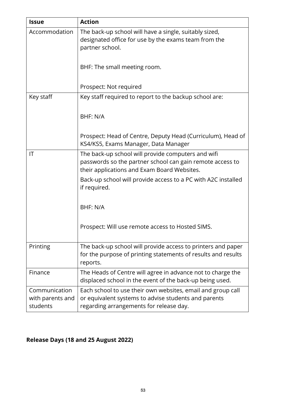| <b>Issue</b>                                  | <b>Action</b>                                                                                                                                                  |  |  |  |
|-----------------------------------------------|----------------------------------------------------------------------------------------------------------------------------------------------------------------|--|--|--|
| Accommodation                                 | The back-up school will have a single, suitably sized,<br>designated office for use by the exams team from the<br>partner school.                              |  |  |  |
|                                               | BHF: The small meeting room.                                                                                                                                   |  |  |  |
|                                               | Prospect: Not required                                                                                                                                         |  |  |  |
| Key staff                                     | Key staff required to report to the backup school are:                                                                                                         |  |  |  |
|                                               | BHF: N/A                                                                                                                                                       |  |  |  |
|                                               | Prospect: Head of Centre, Deputy Head (Curriculum), Head of<br>KS4/KS5, Exams Manager, Data Manager                                                            |  |  |  |
| IT                                            | The back-up school will provide computers and wifi<br>passwords so the partner school can gain remote access to<br>their applications and Exam Board Websites. |  |  |  |
|                                               | Back-up school will provide access to a PC with A2C installed<br>if required.                                                                                  |  |  |  |
|                                               | BHF: N/A                                                                                                                                                       |  |  |  |
|                                               | Prospect: Will use remote access to Hosted SIMS.                                                                                                               |  |  |  |
| Printing                                      | The back-up school will provide access to printers and paper<br>for the purpose of printing statements of results and results<br>reports.                      |  |  |  |
| Finance                                       | The Heads of Centre will agree in advance not to charge the<br>displaced school in the event of the back-up being used.                                        |  |  |  |
| Communication<br>with parents and<br>students | Each school to use their own websites, email and group call<br>or equivalent systems to advise students and parents<br>regarding arrangements for release day. |  |  |  |

# **Release Days (18 and 25 August 2022)**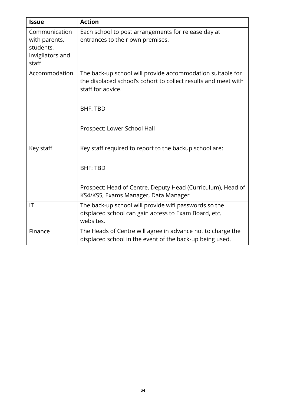| <b>Issue</b>                                                             | <b>Action</b>                                                                                                                                     |
|--------------------------------------------------------------------------|---------------------------------------------------------------------------------------------------------------------------------------------------|
| Communication<br>with parents,<br>students,<br>invigilators and<br>staff | Each school to post arrangements for release day at<br>entrances to their own premises.                                                           |
| Accommodation                                                            | The back-up school will provide accommodation suitable for<br>the displaced school's cohort to collect results and meet with<br>staff for advice. |
|                                                                          | <b>BHF: TBD</b><br>Prospect: Lower School Hall                                                                                                    |
| Key staff                                                                | Key staff required to report to the backup school are:<br><b>BHF: TBD</b><br>Prospect: Head of Centre, Deputy Head (Curriculum), Head of          |
|                                                                          | KS4/KS5, Exams Manager, Data Manager                                                                                                              |
| IT                                                                       | The back-up school will provide wifi passwords so the<br>displaced school can gain access to Exam Board, etc.<br>websites.                        |
| Finance                                                                  | The Heads of Centre will agree in advance not to charge the<br>displaced school in the event of the back-up being used.                           |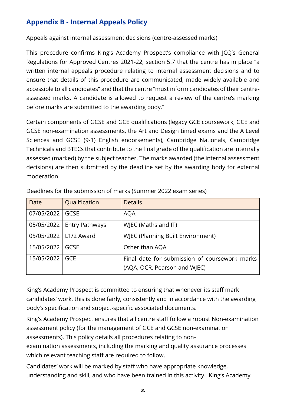# **Appendix B - Internal Appeals Policy**

Appeals against internal assessment decisions (centre-assessed marks)

This procedure confirms King's Academy Prospect's compliance with JCQ's General Regulations for Approved Centres 2021-22, section 5.7 that the centre has in place "a written internal appeals procedure relating to internal assessment decisions and to ensure that details of this procedure are communicated, made widely available and accessible to all candidates" and that the centre "must inform candidates of their centreassessed marks. A candidate is allowed to request a review of the centre's marking before marks are submitted to the awarding body."

Certain components of GCSE and GCE qualifications (legacy GCE coursework, GCE and GCSE non-examination assessments, the Art and Design timed exams and the A Level Sciences and GCSE (9-1) English endorsements), Cambridge Nationals, Cambridge Technicals and BTECs that contribute to the final grade of the qualification are internally assessed (marked) by the subject teacher. The marks awarded (the internal assessment decisions) are then submitted by the deadline set by the awarding body for external moderation.

| Date       | Qualification           | <b>Details</b>                                |
|------------|-------------------------|-----------------------------------------------|
| 07/05/2022 | GCSE                    | <b>AQA</b>                                    |
| 05/05/2022 | <b>Entry Pathways</b>   | WJEC (Maths and IT)                           |
|            | 05/05/2022   L1/2 Award | <b>WJEC (Planning Built Environment)</b>      |
| 15/05/2022 | <b>GCSE</b>             | Other than AQA                                |
| 15/05/2022 | <b>GCE</b>              | Final date for submission of coursework marks |
|            |                         | (AQA, OCR, Pearson and WJEC)                  |

Deadlines for the submission of marks (Summer 2022 exam series)

King's Academy Prospect is committed to ensuring that whenever its staff mark candidates' work, this is done fairly, consistently and in accordance with the awarding body's specification and subject-specific associated documents.

King's Academy Prospect ensures that all centre staff follow a robust Non-examination assessment policy (for the management of GCE and GCSE non-examination assessments). This policy details all procedures relating to non-

examination assessments, including the marking and quality assurance processes which relevant teaching staff are required to follow.

Candidates' work will be marked by staff who have appropriate knowledge, understanding and skill, and who have been trained in this activity. King's Academy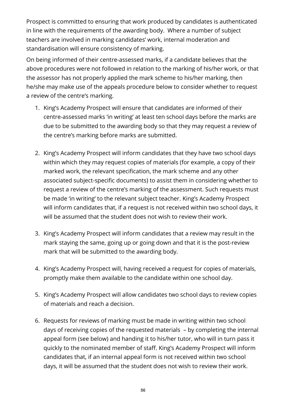Prospect is committed to ensuring that work produced by candidates is authenticated in line with the requirements of the awarding body. Where a number of subject teachers are involved in marking candidates' work, internal moderation and standardisation will ensure consistency of marking.

On being informed of their centre-assessed marks, if a candidate believes that the above procedures were not followed in relation to the marking of his/her work, or that the assessor has not properly applied the mark scheme to his/her marking, then he/she may make use of the appeals procedure below to consider whether to request a review of the centre's marking.

- 1. King's Academy Prospect will ensure that candidates are informed of their centre-assessed marks 'in writing' at least ten school days before the marks are due to be submitted to the awarding body so that they may request a review of the centre's marking before marks are submitted.
- 2. King's Academy Prospect will inform candidates that they have two school days within which they may request copies of materials (for example, a copy of their marked work, the relevant specification, the mark scheme and any other associated subject-specific documents) to assist them in considering whether to request a review of the centre's marking of the assessment. Such requests must be made 'in writing' to the relevant subject teacher. King's Academy Prospect will inform candidates that, if a request is not received within two school days, it will be assumed that the student does not wish to review their work.
- 3. King's Academy Prospect will inform candidates that a review may result in the mark staying the same, going up or going down and that it is the post-review mark that will be submitted to the awarding body.
- 4. King's Academy Prospect will, having received a request for copies of materials, promptly make them available to the candidate within one school day.
- 5. King's Academy Prospect will allow candidates two school days to review copies of materials and reach a decision.
- 6. Requests for reviews of marking must be made in writing within two school days of receiving copies of the requested materials – by completing the internal appeal form (see below) and handing it to his/her tutor, who will in turn pass it quickly to the nominated member of staff. King's Academy Prospect will inform candidates that, if an internal appeal form is not received within two school days, it will be assumed that the student does not wish to review their work.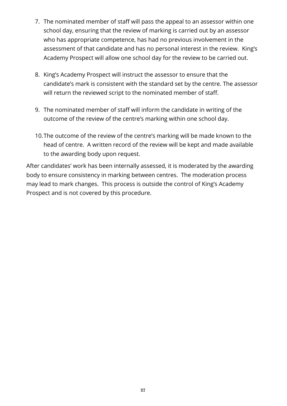- 7. The nominated member of staff will pass the appeal to an assessor within one school day, ensuring that the review of marking is carried out by an assessor who has appropriate competence, has had no previous involvement in the assessment of that candidate and has no personal interest in the review. King's Academy Prospect will allow one school day for the review to be carried out.
- 8. King's Academy Prospect will instruct the assessor to ensure that the candidate's mark is consistent with the standard set by the centre. The assessor will return the reviewed script to the nominated member of staff.
- 9. The nominated member of staff will inform the candidate in writing of the outcome of the review of the centre's marking within one school day.
- 10.The outcome of the review of the centre's marking will be made known to the head of centre. A written record of the review will be kept and made available to the awarding body upon request.

After candidates' work has been internally assessed, it is moderated by the awarding body to ensure consistency in marking between centres. The moderation process may lead to mark changes. This process is outside the control of King's Academy Prospect and is not covered by this procedure.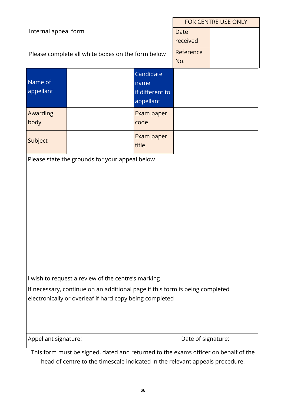|                                                                                    |                                                    |                   | <b>FOR CENTRE USE ONLY</b> |  |
|------------------------------------------------------------------------------------|----------------------------------------------------|-------------------|----------------------------|--|
| Internal appeal form                                                               |                                                    | <b>Date</b>       |                            |  |
|                                                                                    |                                                    |                   | received                   |  |
|                                                                                    | Please complete all white boxes on the form below  |                   | Reference<br>No.           |  |
|                                                                                    |                                                    |                   |                            |  |
| Name of                                                                            |                                                    | Candidate<br>name |                            |  |
| appellant                                                                          |                                                    | if different to   |                            |  |
|                                                                                    |                                                    | appellant         |                            |  |
| Awarding                                                                           |                                                    | Exam paper        |                            |  |
| body                                                                               |                                                    | code              |                            |  |
| Subject                                                                            |                                                    | Exam paper        |                            |  |
|                                                                                    |                                                    | title             |                            |  |
|                                                                                    | Please state the grounds for your appeal below     |                   |                            |  |
|                                                                                    |                                                    |                   |                            |  |
|                                                                                    |                                                    |                   |                            |  |
|                                                                                    |                                                    |                   |                            |  |
|                                                                                    |                                                    |                   |                            |  |
|                                                                                    |                                                    |                   |                            |  |
|                                                                                    |                                                    |                   |                            |  |
|                                                                                    |                                                    |                   |                            |  |
|                                                                                    |                                                    |                   |                            |  |
|                                                                                    |                                                    |                   |                            |  |
|                                                                                    |                                                    |                   |                            |  |
|                                                                                    | I wish to request a review of the centre's marking |                   |                            |  |
| If necessary, continue on an additional page if this form is being completed       |                                                    |                   |                            |  |
| electronically or overleaf if hard copy being completed                            |                                                    |                   |                            |  |
|                                                                                    |                                                    |                   |                            |  |
|                                                                                    |                                                    |                   |                            |  |
| Appellant signature:                                                               |                                                    |                   | Date of signature:         |  |
| This form must be signed, dated and returned to the exams officer on behalf of the |                                                    |                   |                            |  |

This form must be signed, dated and returned to the exams officer on behalf of the head of centre to the timescale indicated in the relevant appeals procedure.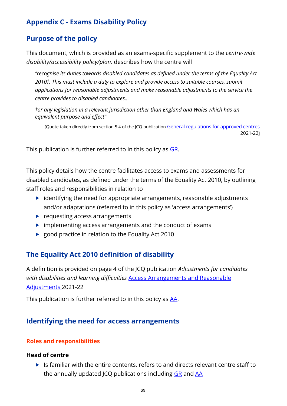# **Appendix C - Exams Disability Policy**

# **Purpose of the policy**

This document, which is provided as an exams-specific supplement to the *centre-wide disability/accessibility policy/plan,* describes how the centre will

*"recognise its duties towards disabled candidates as defined under the terms of the Equality Act 2010†. This must include a duty to explore and provide access to suitable courses, submit applications for reasonable adjustments and make reasonable adjustments to the service the centre provides to disabled candidates…*

*†or any legislation in a relevant jurisdiction other than England and Wales which has an equivalent purpose and effect"*

[Quote taken directly from section 5.4 of the JCQ publication [General regulations for approved centres](http://www.jcq.org.uk/exams-office/general-regulations) 2021-22]

This publication is further referred to in this policy as [GR.](http://www.jcq.org.uk/exams-office/general-regulations)

This policy details how the centre facilitates access to exams and assessments for disabled candidates, as defined under the terms of the Equality Act 2010, by outlining staff roles and responsibilities in relation to

- $\blacktriangleright$  identifying the need for appropriate arrangements, reasonable adjustments and/or adaptations (referred to in this policy as 'access arrangements')
- requesting access arrangements
- $\triangleright$  implementing access arrangements and the conduct of exams
- ▶ good practice in relation to the Equality Act 2010

# **The Equality Act 2010 definition of disability**

A definition is provided on page 4 of the JCQ publication *Adjustments for candidates with disabilities and learning difficulties* [Access Arrangements and Reasonable](http://www.jcq.org.uk/exams-office/access-arrangements-and-special-consideration/regulations-and-guidance)  [Adjustments](http://www.jcq.org.uk/exams-office/access-arrangements-and-special-consideration/regulations-and-guidance) 2021-22

This publication is further referred to in this policy as [AA.](http://www.jcq.org.uk/exams-office/access-arrangements-and-special-consideration/regulations-and-guidance)

# **Identifying the need for access arrangements**

#### **Roles and responsibilities**

#### **Head of centre**

 $\blacktriangleright$  Is familiar with the entire contents, refers to and directs relevant centre staff to the annually updated JCQ publications including [GR](http://www.jcq.org.uk/exams-office/general-regulations) and [AA](http://www.jcq.org.uk/exams-office/access-arrangements-and-special-consideration/regulations-and-guidance)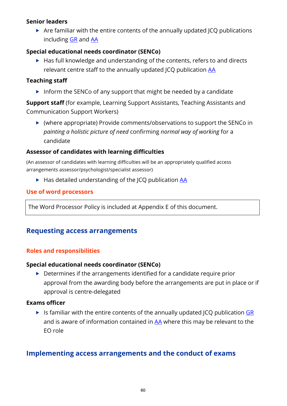### **Senior leaders**

 $\triangleright$  Are familiar with the entire contents of the annually updated JCQ publications including [GR](http://www.jcq.org.uk/exams-office/general-regulations) and [AA](http://www.jcq.org.uk/exams-office/access-arrangements-and-special-consideration/regulations-and-guidance)

#### **Special educational needs coordinator (SENCo)**

 $\blacktriangleright$  Has full knowledge and understanding of the contents, refers to and directs relevant centre staff to the annually updated JCQ publication [AA](http://www.jcq.org.uk/exams-office/access-arrangements-and-special-consideration/regulations-and-guidance)

#### **Teaching staff**

Inform the SENCo of any support that might be needed by a candidate

**Support staff** (for example, Learning Support Assistants, Teaching Assistants and Communication Support Workers)

 (where appropriate) Provide comments/observations to support the SENCo in *painting a holistic picture of need* confirming *normal way of working* for a candidate

#### **Assessor of candidates with learning difficulties**

(An assessor of candidates with learning difficulties will be an appropriately qualified access arrangements assessor/psychologist/specialist assessor)

 $\blacktriangleright$  Has detailed understanding of the JCQ publication [AA](http://www.jcq.org.uk/exams-office/access-arrangements-and-special-consideration/regulations-and-guidance)

#### **Use of word processors**

The Word Processor Policy is included at Appendix E of this document.

# **Requesting access arrangements**

#### **Roles and responsibilities**

#### **Special educational needs coordinator (SENCo)**

 $\triangleright$  Determines if the arrangements identified for a candidate require prior approval from the awarding body before the arrangements are put in place or if approval is centre-delegated

#### **Exams officer**

If Is familiar with the entire contents of the annually updated JCQ publication  $GR$ and is aware of information contained in  $AA$  where this may be relevant to the EO role

# **Implementing access arrangements and the conduct of exams**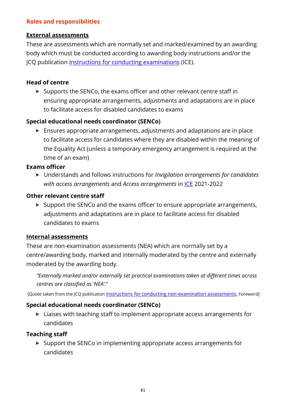### **Roles and responsibilities**

#### **External assessments**

These are assessments which are normally set and marked/examined by an awarding body which must be conducted according to awarding body instructions and/or the JCQ publication [Instructions for conducting examinations](http://www.jcq.org.uk/exams-office/ice---instructions-for-conducting-examinations) (ICE).

### **Head of centre**

 $\triangleright$  Supports the SENCo, the exams officer and other relevant centre staff in ensuring appropriate arrangements, adjustments and adaptations are in place to facilitate access for disabled candidates to exams

### **Special educational needs coordinator (SENCo)**

 Ensures appropriate arrangements, adjustments and adaptations are in place to facilitate access for candidates where they are disabled within the meaning of the Equality Act (unless a temporary emergency arrangement is required at the time of an exam)

#### **Exams officer**

 Understands and follows instructions for *Invigilation arrangements for candidates with access arrangements* and *Access arrangements* in [ICE](http://www.jcq.org.uk/exams-office/ice---instructions-for-conducting-examinations) 2021-2022

#### **Other relevant centre staff**

 $\triangleright$  Support the SENCo and the exams officer to ensure appropriate arrangements, adjustments and adaptations are in place to facilitate access for disabled candidates to exams

#### **Internal assessments**

These are non-examination assessments (NEA) which are normally set by a centre/awarding body, marked and internally moderated by the centre and externally moderated by the awarding body.

*"Externally marked and/or externally set practical examinations taken at different times across centres are classified as 'NEA'."*

[Quote taken from the JCQ publication [Instructions for conducting non-examination assessments,](http://www.jcq.org.uk/exams-office/non-examination-assessments) Foreword]

#### **Special educational needs coordinator (SENCo)**

▶ Liaises with teaching staff to implement appropriate access arrangements for candidates

#### **Teaching staff**

 $\triangleright$  Support the SENCo in implementing appropriate access arrangements for candidates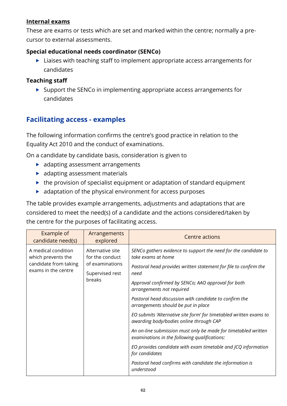### **Internal exams**

These are exams or tests which are set and marked within the centre; normally a precursor to external assessments.

### **Special educational needs coordinator (SENCo)**

▶ Liaises with teaching staff to implement appropriate access arrangements for candidates

### **Teaching staff**

 $\triangleright$  Support the SENCo in implementing appropriate access arrangements for candidates

# **Facilitating access - examples**

The following information confirms the centre's good practice in relation to the Equality Act 2010 and the conduct of examinations.

On a candidate by candidate basis, consideration is given to

- **adapting assessment arrangements**
- **adapting assessment materials**
- $\blacktriangleright$  the provision of specialist equipment or adaptation of standard equipment
- adaptation of the physical environment for access purposes

The table provides example arrangements, adjustments and adaptations that are considered to meet the need(s) of a candidate and the actions considered/taken by the centre for the purposes of facilitating access.

| Example of<br>candidate need(s)                                                           | Arrangements<br>explored                                                            | Centre actions                                                                                                                                                                                                                                                                                                                                                                                                                                                                                                                                                                                                                                                                                                                                         |
|-------------------------------------------------------------------------------------------|-------------------------------------------------------------------------------------|--------------------------------------------------------------------------------------------------------------------------------------------------------------------------------------------------------------------------------------------------------------------------------------------------------------------------------------------------------------------------------------------------------------------------------------------------------------------------------------------------------------------------------------------------------------------------------------------------------------------------------------------------------------------------------------------------------------------------------------------------------|
| A medical condition<br>which prevents the<br>candidate from taking<br>exams in the centre | Alternative site<br>for the conduct<br>of examinations<br>Supervised rest<br>breaks | SENCo gathers evidence to support the need for the candidate to<br>take exams at home<br>Pastoral head provides written statement for file to confirm the<br>need<br>Approval confirmed by SENCo; AAO approval for both<br>arrangements not required<br>Pastoral head discussion with candidate to confirm the<br>arrangements should be put in place<br>EO submits 'Alternative site form' for timetabled written exams to<br>awarding body/bodies online through CAP<br>An on-line submission must only be made for timetabled written<br>examinations in the following qualifications:<br>EO provides candidate with exam timetable and JCQ information<br>for candidates<br>Pastoral head confirms with candidate the information is<br>understood |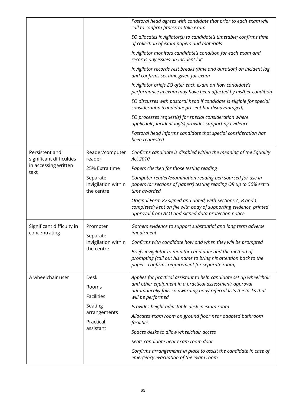|                                            |                                                           | Pastoral head agrees with candidate that prior to each exam will<br>call to confirm fitness to take exam                                                                                |
|--------------------------------------------|-----------------------------------------------------------|-----------------------------------------------------------------------------------------------------------------------------------------------------------------------------------------|
|                                            |                                                           | EO allocates invigilator(s) to candidate's timetable; confirms time<br>of collection of exam papers and materials                                                                       |
|                                            |                                                           | Invigilator monitors candidate's condition for each exam and<br>records any issues on incident log                                                                                      |
|                                            |                                                           | Invigilator records rest breaks (time and duration) on incident log<br>and confirms set time given for exam                                                                             |
|                                            |                                                           | Invigilator briefs EO after each exam on how candidate's<br>performance in exam may have been affected by his/her condition                                                             |
|                                            |                                                           | EO discusses with pastoral head if candidate is eligible for special<br>consideration (candidate present but disadvantaged)                                                             |
|                                            |                                                           | EO processes request(s) for special consideration where<br>applicable; incident log(s) provides supporting evidence                                                                     |
|                                            |                                                           | Pastoral head informs candidate that special consideration has<br>been requested                                                                                                        |
| Persistent and<br>significant difficulties | Reader/computer<br>reader                                 | Confirms candidate is disabled within the meaning of the Equality<br>Act 2010                                                                                                           |
| in accessing written<br>text               | 25% Extra time                                            | Papers checked for those testing reading                                                                                                                                                |
|                                            | Separate<br>invigilation within<br>the centre             | Computer reader/examination reading pen sourced for use in<br>papers (or sections of papers) testing reading OR up to 50% extra<br>time awarded                                         |
|                                            |                                                           | Original Form 8v signed and dated, with Sections A, B and C<br>completed; kept on file with body of supporting evidence, printed<br>approval from AAO and signed data protection notice |
| Significant difficulty in<br>concentrating | Prompter<br>Separate<br>invigilation within<br>the centre | Gathers evidence to support substantial and long term adverse<br>impairment                                                                                                             |
|                                            |                                                           | Confirms with candidate how and when they will be prompted                                                                                                                              |
|                                            |                                                           | Briefs invigilator to monitor candidate and the method of<br>prompting (call out his name to bring his attention back to the<br>paper - confirms requirement for separate room)         |
| A wheelchair user                          | Desk                                                      | Applies for practical assistant to help candidate set up wheelchair                                                                                                                     |
|                                            | Rooms<br><b>Facilities</b>                                | and other equipment in a practical assessment; approval<br>automatically fails so awarding body referral lists the tasks that<br>will be performed                                      |
|                                            | Seating                                                   | Provides height adjustable desk in exam room                                                                                                                                            |
|                                            | arrangements<br>Practical<br>assistant                    | Allocates exam room on ground floor near adapted bathroom<br>facilities                                                                                                                 |
|                                            |                                                           | Spaces desks to allow wheelchair access                                                                                                                                                 |
|                                            |                                                           | Seats candidate near exam room door                                                                                                                                                     |
|                                            |                                                           | Confirms arrangements in place to assist the candidate in case of<br>emergency evacuation of the exam room                                                                              |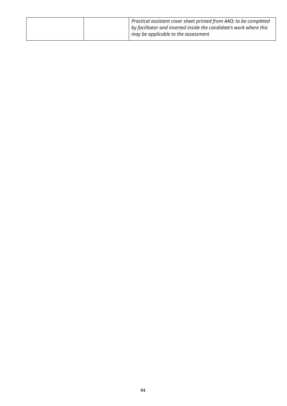|  | Practical assistant cover sheet printed from AAO; to be completed  |
|--|--------------------------------------------------------------------|
|  | by facilitator and inserted inside the candidate's work where this |
|  | may be applicable to the assessment                                |
|  |                                                                    |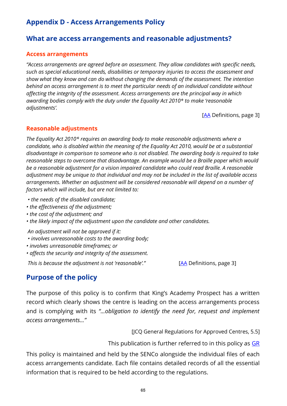# **Appendix D - Access Arrangements Policy**

## **What are access arrangements and reasonable adjustments?**

#### **Access arrangements**

*"Access arrangements are agreed before an assessment. They allow candidates with specific needs, such as special educational needs, disabilities or temporary injuries to access the assessment and show what they know and can do without changing the demands of the assessment. The intention behind an access arrangement is to meet the particular needs of an individual candidate without affecting the integrity of the assessment. Access arrangements are the principal way in which awarding bodies comply with the duty under the Equality Act 2010\* to make 'reasonable adjustments'.* 

[\[AA](http://www.jcq.org.uk/exams-office/access-arrangements-and-special-consideration/regulations-and-guidance) Definitions, page 3]

#### **Reasonable adjustments**

*The Equality Act 2010\* requires an awarding body to make reasonable adjustments where a candidate, who is disabled within the meaning of the Equality Act 2010, would be at a substantial disadvantage in comparison to someone who is not disabled. The awarding body is required to take reasonable steps to overcome that disadvantage. An example would be a Braille paper which would be a reasonable adjustment for a vision impaired candidate who could read Braille. A reasonable adjustment may be unique to that individual and may not be included in the list of available access arrangements. Whether an adjustment will be considered reasonable will depend on a number of factors which will include, but are not limited to:* 

- *the needs of the disabled candidate;*
- *the effectiveness of the adjustment;*
- *the cost of the adjustment; and*
- *the likely impact of the adjustment upon the candidate and other candidates.*

*An adjustment will not be approved if it:* 

- *involves unreasonable costs to the awarding body;*
- *involves unreasonable timeframes; or*
- *affects the security and integrity of the assessment.*

*This is because the adjustment is not 'reasonable'.*" [\[AA](http://www.jcq.org.uk/exams-office/access-arrangements-and-special-consideration/regulations-and-guidance) Definitions, page 3]

## **Purpose of the policy**

The purpose of this policy is to confirm that King's Academy Prospect has a written record which clearly shows the centre is leading on the access arrangements process and is complying with its *"...obligation to identify the need for, request and implement access arrangements..."*

[JCQ General Regulations for Approved Centres, 5.5]

This publication is further referred to in this policy as  $GR$ 

This policy is maintained and held by the SENCo alongside the individual files of each access arrangements candidate. Each file contains detailed records of all the essential information that is required to be held according to the regulations.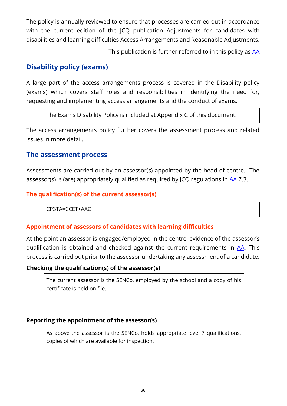The policy is annually reviewed to ensure that processes are carried out in accordance with the current edition of the ICO publication Adjustments for candidates with disabilities and learning difficulties Access Arrangements and Reasonable Adjustments.

This publication is further referred to in this policy as [AA](http://www.jcq.org.uk/exams-office/access-arrangements-and-special-consideration/regulations-and-guidance)

## **Disability policy (exams)**

A large part of the access arrangements process is covered in the Disability policy (exams) which covers staff roles and responsibilities in identifying the need for, requesting and implementing access arrangements and the conduct of exams.

The Exams Disability Policy is included at Appendix C of this document.

The access arrangements policy further covers the assessment process and related issues in more detail.

## **The assessment process**

Assessments are carried out by an assessor(s) appointed by the head of centre. The assessor(s) is (are) appropriately qualified as required by JCQ regulations in [AA](http://www.jcq.org.uk/exams-office/access-arrangements-and-special-consideration/regulations-and-guidance) 7.3.

#### **The qualification(s) of the current assessor(s)**

CP3TA=CCET+AAC

#### **Appointment of assessors of candidates with learning difficulties**

At the point an assessor is engaged/employed in the centre, evidence of the assessor's qualification is obtained and checked against the current requirements in [AA.](http://www.jcq.org.uk/exams-office/access-arrangements-and-special-consideration/regulations-and-guidance) This process is carried out prior to the assessor undertaking any assessment of a candidate.

#### **Checking the qualification(s) of the assessor(s)**

The current assessor is the SENCo, employed by the school and a copy of his certificate is held on file.

#### **Reporting the appointment of the assessor(s)**

As above the assessor is the SENCo, holds appropriate level 7 qualifications, copies of which are available for inspection.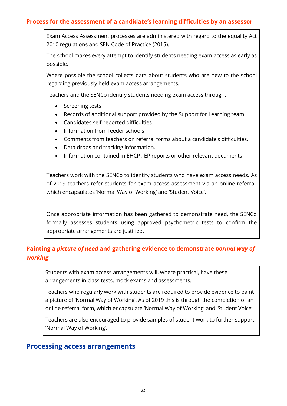#### **Process for the assessment of a candidate's learning difficulties by an assessor**

Exam Access Assessment processes are administered with regard to the equality Act 2010 regulations and SEN Code of Practice (2015).

The school makes every attempt to identify students needing exam access as early as possible.

Where possible the school collects data about students who are new to the school regarding previously held exam access arrangements.

Teachers and the SENCo identify students needing exam access through:

- Screening tests
- Records of additional support provided by the Support for Learning team
- Candidates self-reported difficulties
- Information from feeder schools
- Comments from teachers on referral forms about a candidate's difficulties.
- Data drops and tracking information.
- Information contained in EHCP , EP reports or other relevant documents

Teachers work with the SENCo to identify students who have exam access needs. As of 2019 teachers refer students for exam access assessment via an online referral, which encapsulates 'Normal Way of Working' and 'Student Voice'.

Once appropriate information has been gathered to demonstrate need, the SENCo formally assesses students using approved psychometric tests to confirm the appropriate arrangements are justified.

# **Painting a** *picture of need* **and gathering evidence to demonstrate** *normal way of working*

Students with exam access arrangements will, where practical, have these arrangements in class tests, mock exams and assessments.

Teachers who regularly work with students are required to provide evidence to paint a picture of 'Normal Way of Working'. As of 2019 this is through the completion of an online referral form, which encapsulate 'Normal Way of Working' and 'Student Voice'.

Teachers are also encouraged to provide samples of student work to further support 'Normal Way of Working'.

#### **Processing access arrangements**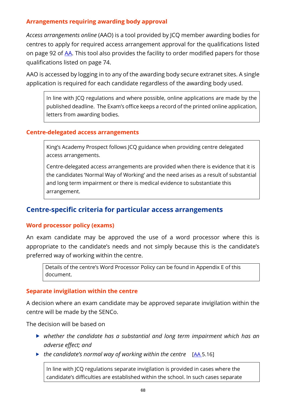### **Arrangements requiring awarding body approval**

*Access arrangements online* (AAO) is a tool provided by JCQ member awarding bodies for centres to apply for required access arrangement approval for the qualifications listed on page 92 of [AA.](http://www.jcq.org.uk/exams-office/access-arrangements-and-special-consideration/regulations-and-guidance) This tool also provides the facility to order modified papers for those qualifications listed on page 74.

AAO is accessed by logging in to any of the awarding body secure extranet sites. A single application is required for each candidate regardless of the awarding body used.

In line with JCQ regulations and where possible, online applications are made by the published deadline. The Exam's office keeps a record of the printed online application, letters from awarding bodies.

#### **Centre-delegated access arrangements**

King's Academy Prospect follows JCQ guidance when providing centre delegated access arrangements.

Centre-delegated access arrangements are provided when there is evidence that it is the candidates 'Normal Way of Working' and the need arises as a result of substantial and long term impairment or there is medical evidence to substantiate this arrangement.

# **Centre-specific criteria for particular access arrangements**

#### **Word processor policy (exams)**

An exam candidate may be approved the use of a word processor where this is appropriate to the candidate's needs and not simply because this is the candidate's preferred way of working within the centre.

Details of the centre's Word Processor Policy can be found in Appendix E of this document.

#### **Separate invigilation within the centre**

A decision where an exam candidate may be approved separate invigilation within the centre will be made by the SENCo.

The decision will be based on

- *whether the candidate has a substantial and long term impairment which has an adverse effect; and*
- **►** the candidate's normal way of working within the centre [\[AA](http://www.jcq.org.uk/exams-office/access-arrangements-and-special-consideration) 5.16]

In line with JCQ regulations separate invigilation is provided in cases where the candidate's difficulties are established within the school. In such cases separate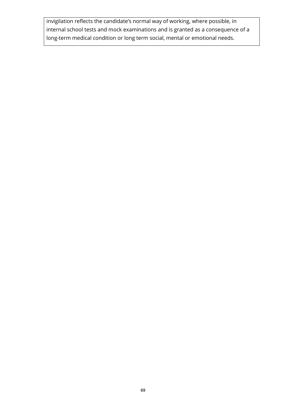invigilation reflects the candidate's normal way of working, where possible, in internal school tests and mock examinations and is granted as a consequence of a long-term medical condition or long term social, mental or emotional needs.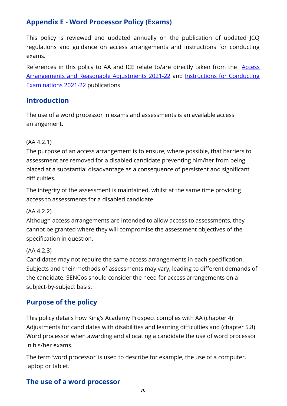# **Appendix E - Word Processor Policy (Exams)**

This policy is reviewed and updated annually on the publication of updated JCQ regulations and guidance on access arrangements and instructions for conducting exams.

References in this policy to AA and ICE relate to/are directly taken from the **Access** [Arrangements and Reasonable Adjustments 2021-22](http://www.jcq.org.uk/exams-office/access-arrangements-and-special-consideration/regulations-and-guidance) and [Instructions for Conducting](http://www.jcq.org.uk/exams-office/ice---instructions-for-conducting-examinations)  [Examinations 202](http://www.jcq.org.uk/exams-office/ice---instructions-for-conducting-examinations)1-22 publications.

# **Introduction**

The use of a word processor in exams and assessments is an available access arrangement.

### (AA 4.2.1)

The purpose of an access arrangement is to ensure, where possible, that barriers to assessment are removed for a disabled candidate preventing him/her from being placed at a substantial disadvantage as a consequence of persistent and significant difficulties.

The integrity of the assessment is maintained, whilst at the same time providing access to assessments for a disabled candidate.

#### (AA 4.2.2)

Although access arrangements are intended to allow access to assessments, they cannot be granted where they will compromise the assessment objectives of the specification in question.

#### (AA 4.2.3)

Candidates may not require the same access arrangements in each specification. Subjects and their methods of assessments may vary, leading to different demands of the candidate. SENCos should consider the need for access arrangements on a subject-by-subject basis.

# **Purpose of the policy**

This policy details how King's Academy Prospect complies with AA (chapter 4) Adjustments for candidates with disabilities and learning difficulties and (chapter 5.8) Word processor when awarding and allocating a candidate the use of word processor in his/her exams.

The term 'word processor' is used to describe for example, the use of a computer, laptop or tablet.

# **The use of a word processor**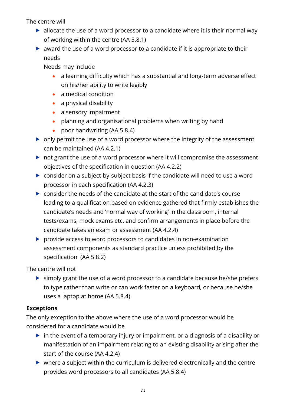The centre will

- $\blacktriangleright$  allocate the use of a word processor to a candidate where it is their normal way of working within the centre (AA 5.8.1)
- award the use of a word processor to a candidate if it is appropriate to their needs

Needs may include

- a learning difficulty which has a substantial and long-term adverse effect on his/her ability to write legibly
- a medical condition
- a physical disability
- a sensory impairment
- planning and organisational problems when writing by hand
- poor handwriting (AA 5.8.4)
- $\triangleright$  only permit the use of a word processor where the integrity of the assessment can be maintained (AA 4.2.1)
- $\triangleright$  not grant the use of a word processor where it will compromise the assessment objectives of the specification in question (AA 4.2.2)
- consider on a subject-by-subject basis if the candidate will need to use a word processor in each specification (AA 4.2.3)
- consider the needs of the candidate at the start of the candidate's course leading to a qualification based on evidence gathered that firmly establishes the candidate's needs and 'normal way of working' in the classroom, internal tests/exams, mock exams etc. and confirm arrangements in place before the candidate takes an exam or assessment (AA 4.2.4)
- **P** provide access to word processors to candidates in non-examination assessment components as standard practice unless prohibited by the specification (AA 5.8.2)

The centre will not

 $\triangleright$  simply grant the use of a word processor to a candidate because he/she prefers to type rather than write or can work faster on a keyboard, or because he/she uses a laptop at home (AA 5.8.4)

# **Exceptions**

The only exception to the above where the use of a word processor would be considered for a candidate would be

- $\triangleright$  in the event of a temporary injury or impairment, or a diagnosis of a disability or manifestation of an impairment relating to an existing disability arising after the start of the course (AA 4.2.4)
- $\triangleright$  where a subject within the curriculum is delivered electronically and the centre provides word processors to all candidates (AA 5.8.4)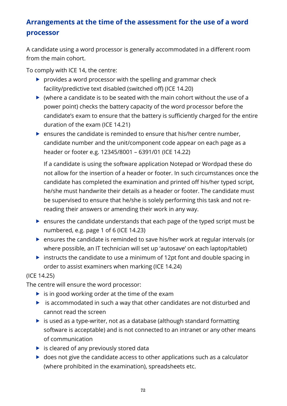# **Arrangements at the time of the assessment for the use of a word processor**

A candidate using a word processor is generally accommodated in a different room from the main cohort.

To comply with ICE 14, the centre:

- $\triangleright$  provides a word processor with the spelling and grammar check facility/predictive text disabled (switched off) (ICE 14.20)
- $\triangleright$  (where a candidate is to be seated with the main cohort without the use of a power point) checks the battery capacity of the word processor before the candidate's exam to ensure that the battery is sufficiently charged for the entire duration of the exam (ICE 14.21)
- $\blacktriangleright$  ensures the candidate is reminded to ensure that his/her centre number, candidate number and the unit/component code appear on each page as a header or footer e.g. 12345/8001 – 6391/01 (ICE 14.22)

If a candidate is using the software application Notepad or Wordpad these do not allow for the insertion of a header or footer. In such circumstances once the candidate has completed the examination and printed off his/her typed script, he/she must handwrite their details as a header or footer. The candidate must be supervised to ensure that he/she is solely performing this task and not rereading their answers or amending their work in any way.

- ensures the candidate understands that each page of the typed script must be numbered, e.g. page 1 of 6 (ICE 14.23)
- ensures the candidate is reminded to save his/her work at regular intervals (or where possible, an IT technician will set up 'autosave' on each laptop/tablet)
- instructs the candidate to use a minimum of 12pt font and double spacing in order to assist examiners when marking (ICE 14.24)

#### (ICE 14.25)

The centre will ensure the word processor:

- $\triangleright$  is in good working order at the time of the exam
- $\triangleright$  is accommodated in such a way that other candidates are not disturbed and cannot read the screen
- $\triangleright$  is used as a type-writer, not as a database (although standard formatting software is acceptable) and is not connected to an intranet or any other means of communication
- $\triangleright$  is cleared of any previously stored data
- $\triangleright$  does not give the candidate access to other applications such as a calculator (where prohibited in the examination), spreadsheets etc.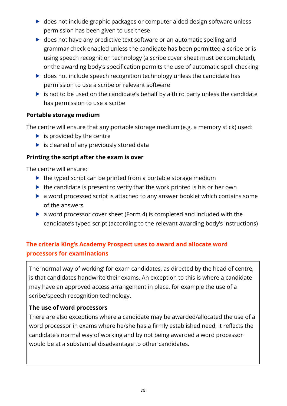- ▶ does not include graphic packages or computer aided design software unless permission has been given to use these
- ▶ does not have any predictive text software or an automatic spelling and grammar check enabled unless the candidate has been permitted a scribe or is using speech recognition technology (a scribe cover sheet must be completed), or the awarding body's specification permits the use of automatic spell checking
- ▶ does not include speech recognition technology unless the candidate has permission to use a scribe or relevant software
- $\triangleright$  is not to be used on the candidate's behalf by a third party unless the candidate has permission to use a scribe

#### **Portable storage medium**

The centre will ensure that any portable storage medium (e.g. a memory stick) used:

- $\blacktriangleright$  is provided by the centre
- $\triangleright$  is cleared of any previously stored data

#### **Printing the script after the exam is over**

The centre will ensure:

- $\triangleright$  the typed script can be printed from a portable storage medium
- $\blacktriangleright$  the candidate is present to verify that the work printed is his or her own
- a word processed script is attached to any answer booklet which contains some of the answers
- a word processor cover sheet (Form 4) is completed and included with the candidate's typed script (according to the relevant awarding body's instructions)

## **The criteria King's Academy Prospect uses to award and allocate word processors for examinations**

The 'normal way of working' for exam candidates, as directed by the head of centre, is that candidates handwrite their exams. An exception to this is where a candidate may have an approved access arrangement in place, for example the use of a scribe/speech recognition technology.

#### **The use of word processors**

There are also exceptions where a candidate may be awarded/allocated the use of a word processor in exams where he/she has a firmly established need, it reflects the candidate's normal way of working and by not being awarded a word processor would be at a substantial disadvantage to other candidates.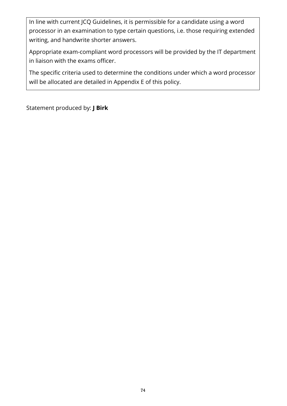In line with current JCQ Guidelines, it is permissible for a candidate using a word processor in an examination to type certain questions, i.e. those requiring extended writing, and handwrite shorter answers.

Appropriate exam-compliant word processors will be provided by the IT department in liaison with the exams officer.

The specific criteria used to determine the conditions under which a word processor will be allocated are detailed in Appendix E of this policy.

Statement produced by: **J Birk**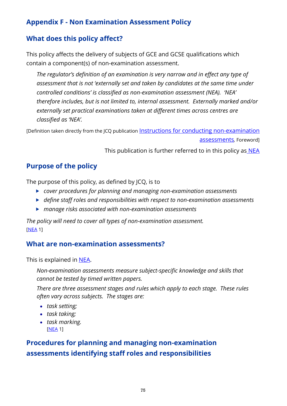## **Appendix F - Non Examination Assessment Policy**

## **What does this policy affect?**

This policy affects the delivery of subjects of GCE and GCSE qualifications which contain a component(s) of non-examination assessment.

*The regulator's definition of an examination is very narrow and in effect any type of assessment that is not 'externally set and taken by candidates at the same time under controlled conditions' is classified as non-examination assessment (NEA). 'NEA' therefore includes, but is not limited to, internal assessment. Externally marked and/or externally set practical examinations taken at different times across centres are classified as 'NEA'.*

[Definition taken directly from the ICQ publication Instructions for conducting non-examination

[assessments](http://www.jcq.org.uk/exams-office/non-examination-assessments)*,* Foreword]

This publication is further referred to in this policy as [NEA](http://www.jcq.org.uk/exams-office/non-examination-assessments)

## **Purpose of the policy**

The purpose of this policy, as defined by JCQ, is to

- *cover procedures for planning and managing non-examination assessments*
- *define staff roles and responsibilities with respect to non-examination assessments*
- *manage risks associated with non-examination assessments*

*The policy will need to cover all types of non-examination assessment.*  [\[NEA](http://www.jcq.org.uk/exams-office/non-examination-assessments) 1]

## **What are non-examination assessments?**

This is explained in [NEA.](http://www.jcq.org.uk/exams-office/non-examination-assessments)

*Non-examination assessments measure subject-specific knowledge and skills that cannot be tested by timed written papers.* 

*There are three assessment stages and rules which apply to each stage. These rules often vary across subjects. The stages are:* 

- *task setting;*
- *task taking;*
- *task marking.*  [\[NEA](http://www.jcq.org.uk/exams-office/non-examination-assessments) 1]

# **Procedures for planning and managing non-examination assessments identifying staff roles and responsibilities**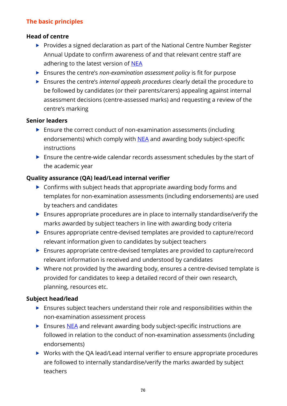## **The basic principles**

#### **Head of centre**

- Provides a signed declaration as part of the National Centre Number Register Annual Update to confirm awareness of and that relevant centre staff are adhering to the latest version of [NEA](http://www.jcq.org.uk/exams-office/non-examination-assessments)
- Ensures the centre's *non-examination assessment policy* is fit for purpose
- Ensures the centre's *internal appeals procedures* clearly detail the procedure to be followed by candidates (or their parents/carers) appealing against internal assessment decisions (centre-assessed marks) and requesting a review of the centre's marking

#### **Senior leaders**

- ▶ Ensure the correct conduct of non-examination assessments (including endorsements) which comply with [NEA](http://www.jcq.org.uk/exams-office/non-examination-assessments) and awarding body subject-specific instructions
- Ensure the centre-wide calendar records assessment schedules by the start of the academic year

## **Quality assurance (QA) lead/Lead internal verifier**

- ▶ Confirms with subject heads that appropriate awarding body forms and templates for non-examination assessments (including endorsements) are used by teachers and candidates
- $\blacktriangleright$  Ensures appropriate procedures are in place to internally standardise/verify the marks awarded by subject teachers in line with awarding body criteria
- Ensures appropriate centre-devised templates are provided to capture/record relevant information given to candidates by subject teachers
- Ensures appropriate centre-devised templates are provided to capture/record relevant information is received and understood by candidates
- Where not provided by the awarding body, ensures a centre-devised template is provided for candidates to keep a detailed record of their own research, planning, resources etc.

## **Subject head/lead**

- Ensures subject teachers understand their role and responsibilities within the non-examination assessment process
- Ensures [NEA](http://www.jcq.org.uk/exams-office/non-examination-assessments) and relevant awarding body subject-specific instructions are followed in relation to the conduct of non-examination assessments (including endorsements)
- ▶ Works with the QA lead/Lead internal verifier to ensure appropriate procedures are followed to internally standardise/verify the marks awarded by subject teachers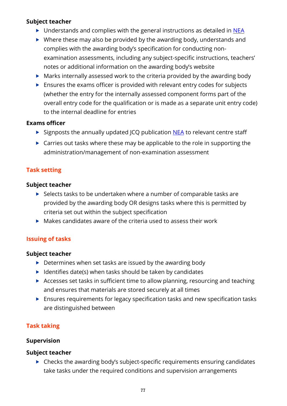#### **Subject teacher**

- ▶ Understands and complies with the general instructions as detailed in [NEA](http://www.jcq.org.uk/exams-office/non-examination-assessments)
- $\triangleright$  Where these may also be provided by the awarding body, understands and complies with the awarding body's specification for conducting nonexamination assessments, including any subject-specific instructions, teachers' notes or additional information on the awarding body's website
- Marks internally assessed work to the criteria provided by the awarding body
- Ensures the exams officer is provided with relevant entry codes for subjects (whether the entry for the internally assessed component forms part of the overall entry code for the qualification or is made as a separate unit entry code) to the internal deadline for entries

#### **Exams officer**

- $\triangleright$  Signposts the annually updated JCQ publication [NEA](http://www.jcq.org.uk/exams-office/non-examination-assessments) to relevant centre staff
- ▶ Carries out tasks where these may be applicable to the role in supporting the administration/management of non-examination assessment

## **Task setting**

#### **Subject teacher**

- $\triangleright$  Selects tasks to be undertaken where a number of comparable tasks are provided by the awarding body OR designs tasks where this is permitted by criteria set out within the subject specification
- $\triangleright$  Makes candidates aware of the criteria used to assess their work

#### **Issuing of tasks**

#### **Subject teacher**

- $\triangleright$  Determines when set tasks are issued by the awarding body
- $\blacktriangleright$  Identifies date(s) when tasks should be taken by candidates
- Accesses set tasks in sufficient time to allow planning, resourcing and teaching and ensures that materials are stored securely at all times
- Ensures requirements for legacy specification tasks and new specification tasks are distinguished between

## **Task taking**

#### **Supervision**

#### **Subject teacher**

 $\triangleright$  Checks the awarding body's subject-specific requirements ensuring candidates take tasks under the required conditions and supervision arrangements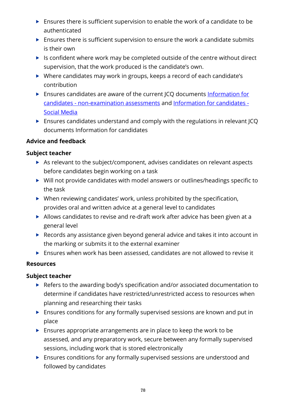- Ensures there is sufficient supervision to enable the work of a candidate to be authenticated
- $\blacktriangleright$  Ensures there is sufficient supervision to ensure the work a candidate submits is their own
- $\blacktriangleright$  Is confident where work may be completed outside of the centre without direct supervision, that the work produced is the candidate's own.
- Where candidates may work in groups, keeps a record of each candidate's contribution
- Ensures candidates are aware of the current JCQ documents Information for candidates - [non-examination assessments](http://www.jcq.org.uk/exams-office/information-for-candidates-documents) and [Information for candidates -](http://www.jcq.org.uk/exams-office/information-for-candidates-documents) [Social Media](http://www.jcq.org.uk/exams-office/information-for-candidates-documents)
- Ensures candidates understand and comply with the regulations in relevant JCQ documents Information for candidates

## **Advice and feedback**

#### **Subject teacher**

- As relevant to the subject/component, advises candidates on relevant aspects before candidates begin working on a task
- Will not provide candidates with model answers or outlines/headings specific to the task
- When reviewing candidates' work, unless prohibited by the specification, provides oral and written advice at a general level to candidates
- Allows candidates to revise and re-draft work after advice has been given at a general level
- ▶ Records any assistance given beyond general advice and takes it into account in the marking or submits it to the external examiner
- Ensures when work has been assessed, candidates are not allowed to revise it

#### **Resources**

- ▶ Refers to the awarding body's specification and/or associated documentation to determine if candidates have restricted/unrestricted access to resources when planning and researching their tasks
- Ensures conditions for any formally supervised sessions are known and put in place
- $\triangleright$  Ensures appropriate arrangements are in place to keep the work to be assessed, and any preparatory work, secure between any formally supervised sessions, including work that is stored electronically
- Ensures conditions for any formally supervised sessions are understood and followed by candidates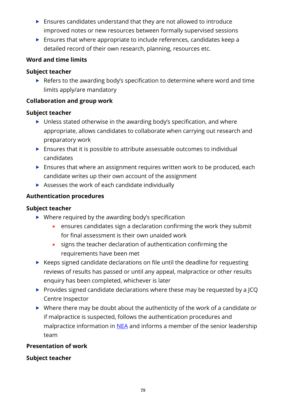- $\blacktriangleright$  Ensures candidates understand that they are not allowed to introduce improved notes or new resources between formally supervised sessions
- $\blacktriangleright$  Ensures that where appropriate to include references, candidates keep a detailed record of their own research, planning, resources etc.

### **Word and time limits**

### **Subject teacher**

Refers to the awarding body's specification to determine where word and time limits apply/are mandatory

### **Collaboration and group work**

#### **Subject teacher**

- ▶ Unless stated otherwise in the awarding body's specification, and where appropriate, allows candidates to collaborate when carrying out research and preparatory work
- Ensures that it is possible to attribute assessable outcomes to individual candidates
- Ensures that where an assignment requires written work to be produced, each candidate writes up their own account of the assignment
- Assesses the work of each candidate individually

## **Authentication procedures**

#### **Subject teacher**

- ▶ Where required by the awarding body's specification
	- ensures candidates sign a declaration confirming the work they submit for final assessment is their own unaided work
	- signs the teacher declaration of authentication confirming the requirements have been met
- ▶ Keeps signed candidate declarations on file until the deadline for requesting reviews of results has passed or until any appeal, malpractice or other results enquiry has been completed, whichever is later
- Provides signed candidate declarations where these may be requested by a JCQ Centre Inspector
- $\triangleright$  Where there may be doubt about the authenticity of the work of a candidate or if malpractice is suspected, follows the authentication procedures and malpractice information in [NEA](http://www.jcq.org.uk/exams-office/non-examination-assessments) and informs a member of the senior leadership team

#### **Presentation of work**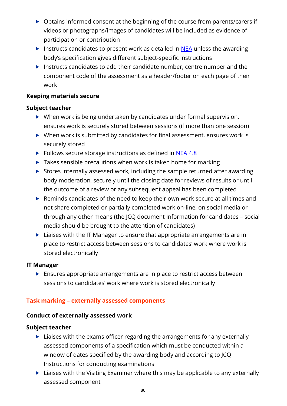- ▶ Obtains informed consent at the beginning of the course from parents/carers if videos or photographs/images of candidates will be included as evidence of participation or contribution
- Instructs candidates to present work as detailed in  $NEA$  unless the awarding body's specification gives different subject-specific instructions
- Instructs candidates to add their candidate number, centre number and the component code of the assessment as a header/footer on each page of their work

#### **Keeping materials secure**

#### **Subject teacher**

- ▶ When work is being undertaken by candidates under formal supervision, ensures work is securely stored between sessions (if more than one session)
- $\triangleright$  When work is submitted by candidates for final assessment, ensures work is securely stored
- $\triangleright$  Follows secure storage instructions as defined in [NEA](http://www.jcq.org.uk/exams-office/non-examination-assessments) 4.8
- $\triangleright$  Takes sensible precautions when work is taken home for marking
- $\triangleright$  Stores internally assessed work, including the sample returned after awarding body moderation, securely until the closing date for reviews of results or until the outcome of a review or any subsequent appeal has been completed
- Reminds candidates of the need to keep their own work secure at all times and not share completed or partially completed work on-line, on social media or through any other means (the JCQ document Information for candidates – social media should be brought to the attention of candidates)
- $\blacktriangleright$  Liaises with the IT Manager to ensure that appropriate arrangements are in place to restrict access between sessions to candidates' work where work is stored electronically

#### **IT Manager**

**Ensures appropriate arrangements are in place to restrict access between** sessions to candidates' work where work is stored electronically

## **Task marking – externally assessed components**

#### **Conduct of externally assessed work**

- $\blacktriangleright$  Liaises with the exams officer regarding the arrangements for any externally assessed components of a specification which must be conducted within a window of dates specified by the awarding body and according to JCQ Instructions for conducting examinations
- $\blacktriangleright$  Liaises with the Visiting Examiner where this may be applicable to any externally assessed component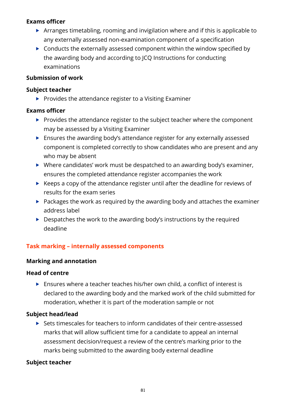#### **Exams officer**

- Arranges timetabling, rooming and invigilation where and if this is applicable to any externally assessed non-examination component of a specification
- ▶ Conducts the externally assessed component within the window specified by the awarding body and according to JCQ Instructions for conducting examinations

#### **Submission of work**

#### **Subject teacher**

 $\blacktriangleright$  Provides the attendance register to a Visiting Examiner

#### **Exams officer**

- $\blacktriangleright$  Provides the attendance register to the subject teacher where the component may be assessed by a Visiting Examiner
- Ensures the awarding body's attendance register for any externally assessed component is completed correctly to show candidates who are present and any who may be absent
- Where candidates' work must be despatched to an awarding body's examiner, ensures the completed attendance register accompanies the work
- $\triangleright$  Keeps a copy of the attendance register until after the deadline for reviews of results for the exam series
- $\triangleright$  Packages the work as required by the awarding body and attaches the examiner address label
- $\triangleright$  Despatches the work to the awarding body's instructions by the required deadline

## **Task marking – internally assessed components**

#### **Marking and annotation**

#### **Head of centre**

 Ensures where a teacher teaches his/her own child, a conflict of interest is declared to the awarding body and the marked work of the child submitted for moderation, whether it is part of the moderation sample or not

#### **Subject head/lead**

 Sets timescales for teachers to inform candidates of their centre-assessed marks that will allow sufficient time for a candidate to appeal an internal assessment decision/request a review of the centre's marking prior to the marks being submitted to the awarding body external deadline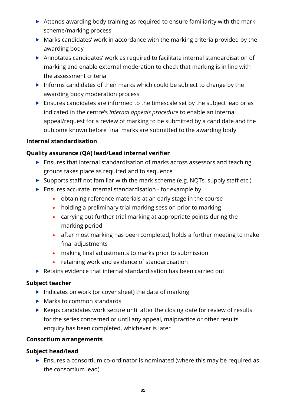- Attends awarding body training as required to ensure familiarity with the mark scheme/marking process
- $\blacktriangleright$  Marks candidates' work in accordance with the marking criteria provided by the awarding body
- Annotates candidates' work as required to facilitate internal standardisation of marking and enable external moderation to check that marking is in line with the assessment criteria
- Informs candidates of their marks which could be subject to change by the awarding body moderation process
- Ensures candidates are informed to the timescale set by the subject lead or as indicated in the centre's *internal appeals procedure* to enable an internal appeal/request for a review of marking to be submitted by a candidate and the outcome known before final marks are submitted to the awarding body

#### **Internal standardisation**

## **Quality assurance (QA) lead/Lead internal verifier**

- Ensures that internal standardisation of marks across assessors and teaching groups takes place as required and to sequence
- $\triangleright$  Supports staff not familiar with the mark scheme (e.g. NQTs, supply staff etc.)
- $\blacktriangleright$  Ensures accurate internal standardisation for example by
	- obtaining reference materials at an early stage in the course
	- holding a preliminary trial marking session prior to marking
	- carrying out further trial marking at appropriate points during the marking period
	- after most marking has been completed, holds a further meeting to make final adjustments
	- making final adjustments to marks prior to submission
	- retaining work and evidence of standardisation
- ▶ Retains evidence that internal standardisation has been carried out

#### **Subject teacher**

- Indicates on work (or cover sheet) the date of marking
- ▶ Marks to common standards
- $\triangleright$  Keeps candidates work secure until after the closing date for review of results for the series concerned or until any appeal, malpractice or other results enquiry has been completed, whichever is later

#### **Consortium arrangements**

#### **Subject head/lead**

 Ensures a consortium co-ordinator is nominated (where this may be required as the consortium lead)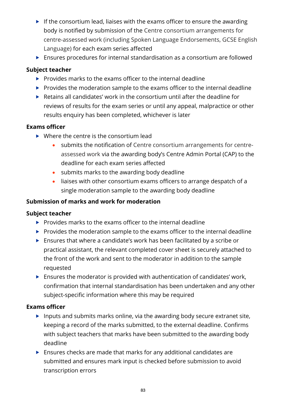- $\blacktriangleright$  If the consortium lead, liaises with the exams officer to ensure the awarding body is notified by submission of the Centre consortium arrangements for centre-assessed work (including Spoken Language Endorsements, GCSE English Language) for each exam series affected
- Ensures procedures for internal standardisation as a consortium are followed

#### **Subject teacher**

- $\triangleright$  Provides marks to the exams officer to the internal deadline
- $\blacktriangleright$  Provides the moderation sample to the exams officer to the internal deadline
- Retains all candidates' work in the consortium until after the deadline for reviews of results for the exam series or until any appeal, malpractice or other results enquiry has been completed, whichever is later

#### **Exams officer**

- $\triangleright$  Where the centre is the consortium lead
	- submits the notification of Centre consortium arrangements for centreassessed work via the awarding body's Centre Admin Portal (CAP) to the deadline for each exam series affected
	- submits marks to the awarding body deadline
	- liaises with other consortium exams officers to arrange despatch of a single moderation sample to the awarding body deadline

#### **Submission of marks and work for moderation**

#### **Subject teacher**

- $\blacktriangleright$  Provides marks to the exams officer to the internal deadline
- $\blacktriangleright$  Provides the moderation sample to the exams officer to the internal deadline
- Ensures that where a candidate's work has been facilitated by a scribe or practical assistant, the relevant completed cover sheet is securely attached to the front of the work and sent to the moderator in addition to the sample requested
- $\blacktriangleright$  Ensures the moderator is provided with authentication of candidates' work, confirmation that internal standardisation has been undertaken and any other subject-specific information where this may be required

#### **Exams officer**

- Inputs and submits marks online, via the awarding body secure extranet site, keeping a record of the marks submitted, to the external deadline. Confirms with subject teachers that marks have been submitted to the awarding body deadline
- Ensures checks are made that marks for any additional candidates are submitted and ensures mark input is checked before submission to avoid transcription errors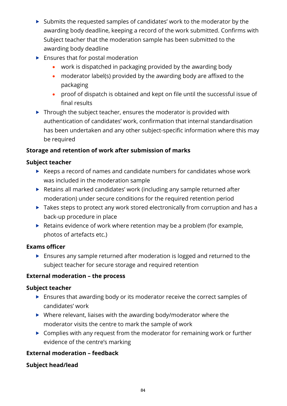- $\triangleright$  Submits the requested samples of candidates' work to the moderator by the awarding body deadline, keeping a record of the work submitted. Confirms with Subject teacher that the moderation sample has been submitted to the awarding body deadline
- $\blacktriangleright$  Ensures that for postal moderation
	- work is dispatched in packaging provided by the awarding body
	- moderator label(s) provided by the awarding body are affixed to the packaging
	- proof of dispatch is obtained and kept on file until the successful issue of final results
- $\triangleright$  Through the subject teacher, ensures the moderator is provided with authentication of candidates' work, confirmation that internal standardisation has been undertaken and any other subject-specific information where this may be required

## **Storage and retention of work after submission of marks**

## **Subject teacher**

- $\blacktriangleright$  Keeps a record of names and candidate numbers for candidates whose work was included in the moderation sample
- ▶ Retains all marked candidates' work (including any sample returned after moderation) under secure conditions for the required retention period
- ▶ Takes steps to protect any work stored electronically from corruption and has a back-up procedure in place
- $\blacktriangleright$  Retains evidence of work where retention may be a problem (for example, photos of artefacts etc.)

## **Exams officer**

 Ensures any sample returned after moderation is logged and returned to the subject teacher for secure storage and required retention

## **External moderation – the process**

## **Subject teacher**

- **Ensures that awarding body or its moderator receive the correct samples of** candidates' work
- ▶ Where relevant, liaises with the awarding body/moderator where the moderator visits the centre to mark the sample of work
- ▶ Complies with any request from the moderator for remaining work or further evidence of the centre's marking

## **External moderation – feedback**

## **Subject head/lead**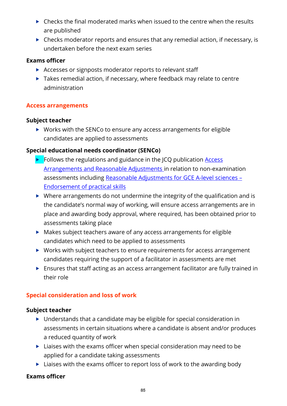- $\triangleright$  Checks the final moderated marks when issued to the centre when the results are published
- $\triangleright$  Checks moderator reports and ensures that any remedial action, if necessary, is undertaken before the next exam series

#### **Exams officer**

- Accesses or signposts moderator reports to relevant staff
- ▶ Takes remedial action, if necessary, where feedback may relate to centre administration

### **Access arrangements**

#### **Subject teacher**

▶ Works with the SENCo to ensure any access arrangements for eligible candidates are applied to assessments

### **Special educational needs coordinator (SENCo)**

- $\triangleright$  Follows the regulations and guidance in the JCQ publication Access [Arrangements and Reasonable Adjustments](http://www.jcq.org.uk/exams-office/access-arrangements-and-special-consideration) in relation to non-examination assessments including [Reasonable Adjustments for GCE A-level sciences](https://www.jcq.org.uk/exams-office/access-arrangements-and-special-consideration/regulations-and-guidance) – [Endorsement of practical skills](https://www.jcq.org.uk/exams-office/access-arrangements-and-special-consideration/regulations-and-guidance)
- Where arrangements do not undermine the integrity of the qualification and is the candidate's normal way of working, will ensure access arrangements are in place and awarding body approval, where required, has been obtained prior to assessments taking place
- Makes subject teachers aware of any access arrangements for eligible candidates which need to be applied to assessments
- ▶ Works with subject teachers to ensure requirements for access arrangement candidates requiring the support of a facilitator in assessments are met
- Ensures that staff acting as an access arrangement facilitator are fully trained in their role

#### **Special consideration and loss of work**

#### **Subject teacher**

- ▶ Understands that a candidate may be eligible for special consideration in assessments in certain situations where a candidate is absent and/or produces a reduced quantity of work
- $\blacktriangleright$  Liaises with the exams officer when special consideration may need to be applied for a candidate taking assessments
- ▶ Liaises with the exams officer to report loss of work to the awarding body

#### **Exams officer**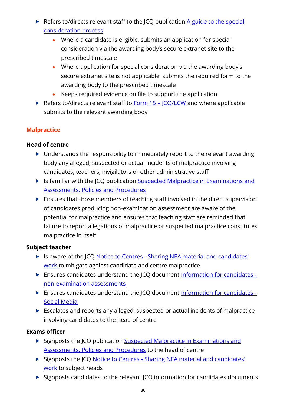- Refers to/directs relevant staff to the JCQ publication A guide to the special [consideration process](http://www.jcq.org.uk/exams-office/access-arrangements-and-special-consideration) 
	- Where a candidate is eligible, submits an application for special consideration via the awarding body's secure extranet site to the prescribed timescale
	- Where application for special consideration via the awarding body's secure extranet site is not applicable, submits the required form to the awarding body to the prescribed timescale
	- Keeps required evidence on file to support the application
- Refers to/directs relevant staff to  $Form 15 ICQ/LCW$  and where applicable</u> submits to the relevant awarding body

## **Malpractice**

### **Head of centre**

- $\triangleright$  Understands the responsibility to immediately report to the relevant awarding body any alleged, suspected or actual incidents of malpractice involving candidates, teachers, invigilators or other administrative staff
- In Its familiar with the JCQ publication Suspected Malpractice in Examinations and [Assessments: Policies and Procedures](http://www.jcq.org.uk/exams-office/malpractice)
- Ensures that those members of teaching staff involved in the direct supervision of candidates producing non-examination assessment are aware of the potential for malpractice and ensures that teaching staff are reminded that failure to report allegations of malpractice or suspected malpractice constitutes malpractice in itself

#### **Subject teacher**

- In Is aware of the JCQ Notice to Centres Sharing NEA material and candidates' [work](http://www.jcq.org.uk/exams-office/non-examination-assessments) to mitigate against candidate and centre malpractice
- Ensures candidates understand the JCQ document [Information for candidates](http://www.jcq.org.uk/exams-office/information-for-candidates-documents)  [non-examination assessments](http://www.jcq.org.uk/exams-office/information-for-candidates-documents)
- Ensures candidates understand the JCQ document [Information for candidates -](http://www.jcq.org.uk/exams-office/information-for-candidates-documents) [Social Media](http://www.jcq.org.uk/exams-office/information-for-candidates-documents)
- Escalates and reports any alleged, suspected or actual incidents of malpractice involving candidates to the head of centre

#### **Exams officer**

- Signposts the JCQ publication Suspected Malpractice in Examinations and [Assessments: Policies and Procedures](http://www.jcq.org.uk/exams-office/malpractice) to the head of centre
- Signposts the JCQ Notice to Centres Sharing NEA material and candidates' [work](http://www.jcq.org.uk/exams-office/non-examination-assessments) to subject heads
- $\triangleright$  Signposts candidates to the relevant JCQ information for candidates documents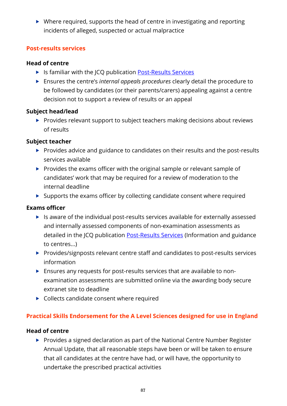$\triangleright$  Where required, supports the head of centre in investigating and reporting incidents of alleged, suspected or actual malpractice

#### **Post-results services**

### **Head of centre**

- ▶ Is familiar with the JCQ publication [Post-Results Services](https://www.jcq.org.uk/exams-office/post-results-services)
- Ensures the centre's *internal appeals procedures* clearly detail the procedure to be followed by candidates (or their parents/carers) appealing against a centre decision not to support a review of results or an appeal

## **Subject head/lead**

 $\blacktriangleright$  Provides relevant support to subject teachers making decisions about reviews of results

## **Subject teacher**

- Provides advice and guidance to candidates on their results and the post-results services available
- $\triangleright$  Provides the exams officer with the original sample or relevant sample of candidates' work that may be required for a review of moderation to the internal deadline
- $\triangleright$  Supports the exams officer by collecting candidate consent where required

## **Exams officer**

- $\blacktriangleright$  Is aware of the individual post-results services available for externally assessed and internally assessed components of non-examination assessments as detailed in the JCQ publication **Post-Results Services** (Information and guidance to centres...)
- Provides/signposts relevant centre staff and candidates to post-results services information
- Ensures any requests for post-results services that are available to nonexamination assessments are submitted online via the awarding body secure extranet site to deadline
- ▶ Collects candidate consent where required

## **Practical Skills Endorsement for the A Level Sciences designed for use in England**

## **Head of centre**

**Provides a signed declaration as part of the National Centre Number Register** Annual Update, that all reasonable steps have been or will be taken to ensure that all candidates at the centre have had, or will have, the opportunity to undertake the prescribed practical activities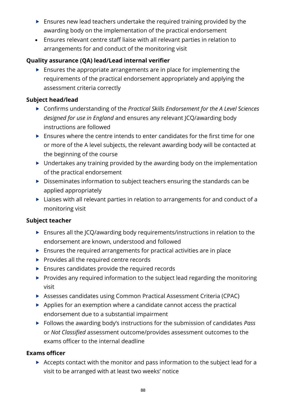- $\blacktriangleright$  Ensures new lead teachers undertake the required training provided by the awarding body on the implementation of the practical endorsement
- Ensures relevant centre staff liaise with all relevant parties in relation to arrangements for and conduct of the monitoring visit

### **Quality assurance (QA) lead/Lead internal verifier**

 $\blacktriangleright$  Ensures the appropriate arrangements are in place for implementing the requirements of the practical endorsement appropriately and applying the assessment criteria correctly

#### **Subject head/lead**

- Confirms understanding of the *Practical Skills Endorsement for the A Level Sciences designed for use in England* and ensures any relevant JCQ/awarding body instructions are followed
- $\blacktriangleright$  Ensures where the centre intends to enter candidates for the first time for one or more of the A level subjects, the relevant awarding body will be contacted at the beginning of the course
- $\triangleright$  Undertakes any training provided by the awarding body on the implementation of the practical endorsement
- Disseminates information to subject teachers ensuring the standards can be applied appropriately
- ▶ Liaises with all relevant parties in relation to arrangements for and conduct of a monitoring visit

#### **Subject teacher**

- Ensures all the JCQ/awarding body requirements/instructions in relation to the endorsement are known, understood and followed
- $\blacktriangleright$  Ensures the required arrangements for practical activities are in place
- $\blacktriangleright$  Provides all the required centre records
- **Ensures candidates provide the required records**
- $\blacktriangleright$  Provides any required information to the subject lead regarding the monitoring visit
- Assesses candidates using Common Practical Assessment Criteria (CPAC)
- $\triangleright$  Applies for an exemption where a candidate cannot access the practical endorsement due to a substantial impairment
- Follows the awarding body's instructions for the submission of candidates *Pass* or *Not Classified* assessment outcome/provides assessment outcomes to the exams officer to the internal deadline

#### **Exams officer**

Accepts contact with the monitor and pass information to the subject lead for a visit to be arranged with at least two weeks' notice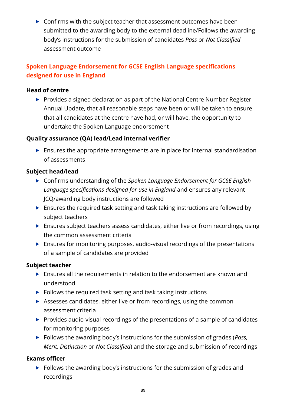▶ Confirms with the subject teacher that assessment outcomes have been submitted to the awarding body to the external deadline/Follows the awarding body's instructions for the submission of candidates *Pass* or *Not Classified*  assessment outcome

## **Spoken Language Endorsement for GCSE English Language specifications designed for use in England**

#### **Head of centre**

▶ Provides a signed declaration as part of the National Centre Number Register Annual Update, that all reasonable steps have been or will be taken to ensure that all candidates at the centre have had, or will have, the opportunity to undertake the Spoken Language endorsement

## **Quality assurance (QA) lead/Lead internal verifier**

 Ensures the appropriate arrangements are in place for internal standardisation of assessments

## **Subject head/lead**

- Confirms understanding of the *Spoken Language Endorsement for GCSE English Language specifications designed for use in England* and ensures any relevant JCQ/awarding body instructions are followed
- Ensures the required task setting and task taking instructions are followed by subject teachers
- Ensures subject teachers assess candidates, either live or from recordings, using the common assessment criteria
- Ensures for monitoring purposes, audio-visual recordings of the presentations of a sample of candidates are provided

## **Subject teacher**

- Ensures all the requirements in relation to the endorsement are known and understood
- $\blacktriangleright$  Follows the required task setting and task taking instructions
- Assesses candidates, either live or from recordings, using the common assessment criteria
- $\triangleright$  Provides audio-visual recordings of the presentations of a sample of candidates for monitoring purposes
- Follows the awarding body's instructions for the submission of grades (*Pass, Merit, Distinction* or *Not Classified*) and the storage and submission of recordings

## **Exams officer**

 $\blacktriangleright$  Follows the awarding body's instructions for the submission of grades and recordings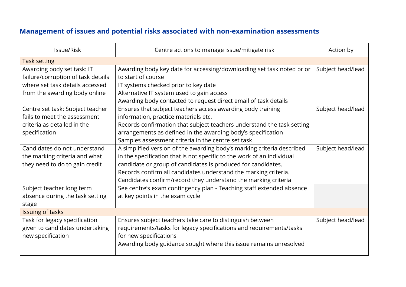# **Management of issues and potential risks associated with non-examination assessments**

| Issue/Risk                         | Centre actions to manage issue/mitigate risk                           | Action by         |
|------------------------------------|------------------------------------------------------------------------|-------------------|
| <b>Task setting</b>                |                                                                        |                   |
| Awarding body set task: IT         | Awarding body key date for accessing/downloading set task noted prior  | Subject head/lead |
| failure/corruption of task details | to start of course                                                     |                   |
| where set task details accessed    | IT systems checked prior to key date                                   |                   |
| from the awarding body online      | Alternative IT system used to gain access                              |                   |
|                                    | Awarding body contacted to request direct email of task details        |                   |
| Centre set task: Subject teacher   | Ensures that subject teachers access awarding body training            | Subject head/lead |
| fails to meet the assessment       | information, practice materials etc.                                   |                   |
| criteria as detailed in the        | Records confirmation that subject teachers understand the task setting |                   |
| specification                      | arrangements as defined in the awarding body's specification           |                   |
|                                    | Samples assessment criteria in the centre set task                     |                   |
| Candidates do not understand       | A simplified version of the awarding body's marking criteria described | Subject head/lead |
| the marking criteria and what      | in the specification that is not specific to the work of an individual |                   |
| they need to do to gain credit     | candidate or group of candidates is produced for candidates.           |                   |
|                                    | Records confirm all candidates understand the marking criteria.        |                   |
|                                    | Candidates confirm/record they understand the marking criteria         |                   |
| Subject teacher long term          | See centre's exam contingency plan - Teaching staff extended absence   |                   |
| absence during the task setting    | at key points in the exam cycle                                        |                   |
| stage                              |                                                                        |                   |
| Issuing of tasks                   |                                                                        |                   |
| Task for legacy specification      | Ensures subject teachers take care to distinguish between              | Subject head/lead |
| given to candidates undertaking    | requirements/tasks for legacy specifications and requirements/tasks    |                   |
| new specification                  | for new specifications                                                 |                   |
|                                    | Awarding body guidance sought where this issue remains unresolved      |                   |
|                                    |                                                                        |                   |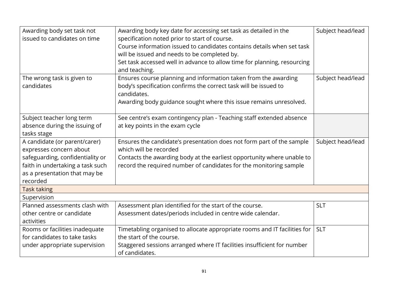| Awarding body set task not<br>issued to candidates on time | Awarding body key date for accessing set task as detailed in the<br>specification noted prior to start of course. | Subject head/lead |
|------------------------------------------------------------|-------------------------------------------------------------------------------------------------------------------|-------------------|
|                                                            | Course information issued to candidates contains details when set task                                            |                   |
|                                                            | will be issued and needs to be completed by.                                                                      |                   |
|                                                            | Set task accessed well in advance to allow time for planning, resourcing                                          |                   |
|                                                            | and teaching.                                                                                                     |                   |
| The wrong task is given to                                 | Ensures course planning and information taken from the awarding                                                   | Subject head/lead |
| candidates                                                 | body's specification confirms the correct task will be issued to                                                  |                   |
|                                                            | candidates.                                                                                                       |                   |
|                                                            | Awarding body guidance sought where this issue remains unresolved.                                                |                   |
| Subject teacher long term                                  | See centre's exam contingency plan - Teaching staff extended absence                                              |                   |
| absence during the issuing of                              | at key points in the exam cycle                                                                                   |                   |
| tasks stage                                                |                                                                                                                   |                   |
| A candidate (or parent/carer)                              | Ensures the candidate's presentation does not form part of the sample                                             | Subject head/lead |
| expresses concern about                                    | which will be recorded                                                                                            |                   |
| safeguarding, confidentiality or                           | Contacts the awarding body at the earliest opportunity where unable to                                            |                   |
| faith in undertaking a task such                           | record the required number of candidates for the monitoring sample                                                |                   |
| as a presentation that may be                              |                                                                                                                   |                   |
| recorded                                                   |                                                                                                                   |                   |
| <b>Task taking</b>                                         |                                                                                                                   |                   |
| Supervision                                                |                                                                                                                   |                   |
| Planned assessments clash with                             | Assessment plan identified for the start of the course.                                                           | <b>SLT</b>        |
| other centre or candidate                                  | Assessment dates/periods included in centre wide calendar.                                                        |                   |
| activities                                                 |                                                                                                                   |                   |
| Rooms or facilities inadequate                             | Timetabling organised to allocate appropriate rooms and IT facilities for                                         | <b>SLT</b>        |
| for candidates to take tasks                               | the start of the course.                                                                                          |                   |
| under appropriate supervision                              | Staggered sessions arranged where IT facilities insufficient for number                                           |                   |
|                                                            | of candidates.                                                                                                    |                   |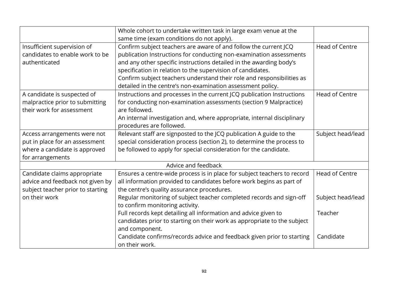|                                   | Whole cohort to undertake written task in large exam venue at the<br>same time (exam conditions do not apply). |                       |
|-----------------------------------|----------------------------------------------------------------------------------------------------------------|-----------------------|
|                                   |                                                                                                                |                       |
| Insufficient supervision of       | Confirm subject teachers are aware of and follow the current JCQ                                               | <b>Head of Centre</b> |
| candidates to enable work to be   | publication Instructions for conducting non-examination assessments                                            |                       |
| authenticated                     | and any other specific instructions detailed in the awarding body's                                            |                       |
|                                   | specification in relation to the supervision of candidates.                                                    |                       |
|                                   | Confirm subject teachers understand their role and responsibilities as                                         |                       |
|                                   | detailed in the centre's non-examination assessment policy.                                                    |                       |
| A candidate is suspected of       | Instructions and processes in the current JCQ publication Instructions                                         | <b>Head of Centre</b> |
| malpractice prior to submitting   | for conducting non-examination assessments (section 9 Malpractice)                                             |                       |
| their work for assessment         | are followed.                                                                                                  |                       |
|                                   | An internal investigation and, where appropriate, internal disciplinary                                        |                       |
|                                   | procedures are followed.                                                                                       |                       |
| Access arrangements were not      | Relevant staff are signposted to the JCQ publication A guide to the                                            | Subject head/lead     |
| put in place for an assessment    | special consideration process (section 2), to determine the process to                                         |                       |
| where a candidate is approved     | be followed to apply for special consideration for the candidate.                                              |                       |
| for arrangements                  |                                                                                                                |                       |
| Advice and feedback               |                                                                                                                |                       |
| Candidate claims appropriate      | Ensures a centre-wide process is in place for subject teachers to record                                       | Head of Centre        |
| advice and feedback not given by  | all information provided to candidates before work begins as part of                                           |                       |
| subject teacher prior to starting | the centre's quality assurance procedures.                                                                     |                       |
| on their work                     | Regular monitoring of subject teacher completed records and sign-off                                           | Subject head/lead     |
|                                   | to confirm monitoring activity.                                                                                |                       |
|                                   | Full records kept detailing all information and advice given to                                                | Teacher               |
|                                   | candidates prior to starting on their work as appropriate to the subject                                       |                       |
|                                   | and component.                                                                                                 |                       |
|                                   | Candidate confirms/records advice and feedback given prior to starting                                         | Candidate             |
|                                   | on their work.                                                                                                 |                       |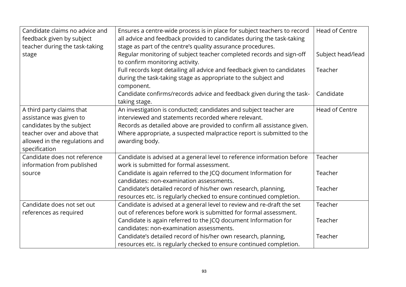| Candidate claims no advice and<br>feedback given by subject<br>teacher during the task-taking | Ensures a centre-wide process is in place for subject teachers to record<br>all advice and feedback provided to candidates during the task-taking<br>stage as part of the centre's quality assurance procedures. | <b>Head of Centre</b> |
|-----------------------------------------------------------------------------------------------|------------------------------------------------------------------------------------------------------------------------------------------------------------------------------------------------------------------|-----------------------|
| stage                                                                                         | Regular monitoring of subject teacher completed records and sign-off<br>to confirm monitoring activity.                                                                                                          | Subject head/lead     |
|                                                                                               | Full records kept detailing all advice and feedback given to candidates<br>during the task-taking stage as appropriate to the subject and<br>component.                                                          | Teacher               |
|                                                                                               | Candidate confirms/records advice and feedback given during the task-<br>taking stage.                                                                                                                           | Candidate             |
| A third party claims that<br>assistance was given to                                          | An investigation is conducted; candidates and subject teacher are<br>interviewed and statements recorded where relevant.                                                                                         | <b>Head of Centre</b> |
| candidates by the subject                                                                     | Records as detailed above are provided to confirm all assistance given.                                                                                                                                          |                       |
| teacher over and above that<br>allowed in the regulations and                                 | Where appropriate, a suspected malpractice report is submitted to the<br>awarding body.                                                                                                                          |                       |
| specification                                                                                 |                                                                                                                                                                                                                  |                       |
| Candidate does not reference<br>information from published                                    | Candidate is advised at a general level to reference information before<br>work is submitted for formal assessment.                                                                                              | Teacher               |
| source                                                                                        | Candidate is again referred to the JCQ document Information for<br>candidates: non-examination assessments.                                                                                                      | Teacher               |
|                                                                                               | Candidate's detailed record of his/her own research, planning,<br>resources etc. is regularly checked to ensure continued completion.                                                                            | Teacher               |
| Candidate does not set out                                                                    | Candidate is advised at a general level to review and re-draft the set                                                                                                                                           | Teacher               |
| references as required                                                                        | out of references before work is submitted for formal assessment.                                                                                                                                                |                       |
|                                                                                               | Candidate is again referred to the JCQ document Information for                                                                                                                                                  | Teacher               |
|                                                                                               | candidates: non-examination assessments.                                                                                                                                                                         |                       |
|                                                                                               | Candidate's detailed record of his/her own research, planning,                                                                                                                                                   | Teacher               |
|                                                                                               | resources etc. is regularly checked to ensure continued completion.                                                                                                                                              |                       |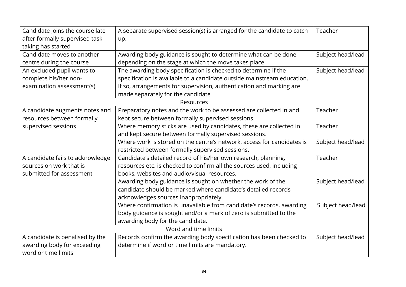| Candidate joins the course late  | A separate supervised session(s) is arranged for the candidate to catch | Teacher           |  |
|----------------------------------|-------------------------------------------------------------------------|-------------------|--|
| after formally supervised task   | up.                                                                     |                   |  |
| taking has started               |                                                                         |                   |  |
| Candidate moves to another       | Awarding body guidance is sought to determine what can be done          | Subject head/lead |  |
| centre during the course         | depending on the stage at which the move takes place.                   |                   |  |
| An excluded pupil wants to       | The awarding body specification is checked to determine if the          | Subject head/lead |  |
| complete his/her non-            | specification is available to a candidate outside mainstream education. |                   |  |
| examination assessment(s)        | If so, arrangements for supervision, authentication and marking are     |                   |  |
|                                  | made separately for the candidate                                       |                   |  |
|                                  | Resources                                                               |                   |  |
| A candidate augments notes and   | Preparatory notes and the work to be assessed are collected in and      | Teacher           |  |
| resources between formally       | kept secure between formally supervised sessions.                       |                   |  |
| supervised sessions              | Where memory sticks are used by candidates, these are collected in      | Teacher           |  |
|                                  | and kept secure between formally supervised sessions.                   |                   |  |
|                                  | Where work is stored on the centre's network, access for candidates is  | Subject head/lead |  |
|                                  | restricted between formally supervised sessions.                        |                   |  |
| A candidate fails to acknowledge | Candidate's detailed record of his/her own research, planning,          | Teacher           |  |
| sources on work that is          | resources etc. is checked to confirm all the sources used, including    |                   |  |
| submitted for assessment         | books, websites and audio/visual resources.                             |                   |  |
|                                  | Awarding body guidance is sought on whether the work of the             | Subject head/lead |  |
|                                  | candidate should be marked where candidate's detailed records           |                   |  |
|                                  | acknowledges sources inappropriately.                                   |                   |  |
|                                  | Where confirmation is unavailable from candidate's records, awarding    | Subject head/lead |  |
|                                  | body guidance is sought and/or a mark of zero is submitted to the       |                   |  |
|                                  | awarding body for the candidate.                                        |                   |  |
| Word and time limits             |                                                                         |                   |  |
| A candidate is penalised by the  | Records confirm the awarding body specification has been checked to     | Subject head/lead |  |
| awarding body for exceeding      | determine if word or time limits are mandatory.                         |                   |  |
| word or time limits              |                                                                         |                   |  |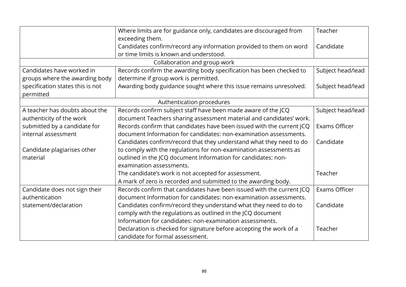| Where limits are for guidance only, candidates are discouraged from<br>exceeding them. |                                                                                                               | Teacher              |  |  |
|----------------------------------------------------------------------------------------|---------------------------------------------------------------------------------------------------------------|----------------------|--|--|
|                                                                                        | Candidates confirm/record any information provided to them on word<br>or time limits is known and understood. | Candidate            |  |  |
|                                                                                        | Collaboration and group work                                                                                  |                      |  |  |
| Candidates have worked in                                                              | Records confirm the awarding body specification has been checked to                                           |                      |  |  |
| groups where the awarding body                                                         | determine if group work is permitted.                                                                         | Subject head/lead    |  |  |
| specification states this is not                                                       | Awarding body guidance sought where this issue remains unresolved.                                            | Subject head/lead    |  |  |
| permitted                                                                              |                                                                                                               |                      |  |  |
|                                                                                        | Authentication procedures                                                                                     |                      |  |  |
| A teacher has doubts about the                                                         | Records confirm subject staff have been made aware of the JCQ                                                 | Subject head/lead    |  |  |
| authenticity of the work                                                               | document Teachers sharing assessment material and candidates' work.                                           |                      |  |  |
| submitted by a candidate for                                                           | Records confirm that candidates have been issued with the current JCQ                                         | Exams Officer        |  |  |
| internal assessment                                                                    | document Information for candidates: non-examination assessments.                                             |                      |  |  |
|                                                                                        | Candidates confirm/record that they understand what they need to do                                           | Candidate            |  |  |
| Candidate plagiarises other                                                            | to comply with the regulations for non-examination assessments as                                             |                      |  |  |
| material                                                                               | outlined in the JCQ document Information for candidates: non-                                                 |                      |  |  |
|                                                                                        | examination assessments.                                                                                      |                      |  |  |
|                                                                                        | The candidate's work is not accepted for assessment.                                                          | Teacher              |  |  |
|                                                                                        | A mark of zero is recorded and submitted to the awarding body.                                                |                      |  |  |
| Candidate does not sign their                                                          | Records confirm that candidates have been issued with the current JCQ                                         | <b>Exams Officer</b> |  |  |
| authentication                                                                         | document Information for candidates: non-examination assessments.                                             |                      |  |  |
| statement/declaration                                                                  | Candidates confirm/record they understand what they need to do to                                             | Candidate            |  |  |
|                                                                                        | comply with the regulations as outlined in the JCQ document                                                   |                      |  |  |
|                                                                                        | Information for candidates: non-examination assessments.                                                      |                      |  |  |
|                                                                                        | Declaration is checked for signature before accepting the work of a                                           | Teacher              |  |  |
|                                                                                        | candidate for formal assessment.                                                                              |                      |  |  |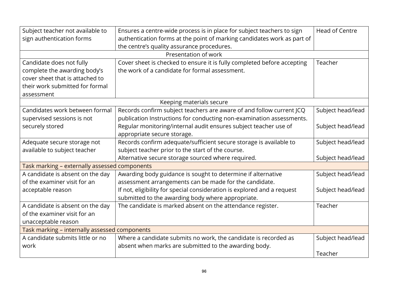| Subject teacher not available to              | Ensures a centre-wide process is in place for subject teachers to sign  | <b>Head of Centre</b> |  |
|-----------------------------------------------|-------------------------------------------------------------------------|-----------------------|--|
| sign authentication forms                     | authentication forms at the point of marking candidates work as part of |                       |  |
|                                               | the centre's quality assurance procedures.                              |                       |  |
|                                               | Presentation of work                                                    |                       |  |
| Candidate does not fully                      | Cover sheet is checked to ensure it is fully completed before accepting | Teacher               |  |
| complete the awarding body's                  | the work of a candidate for formal assessment.                          |                       |  |
| cover sheet that is attached to               |                                                                         |                       |  |
| their work submitted for formal               |                                                                         |                       |  |
| assessment                                    |                                                                         |                       |  |
|                                               | Keeping materials secure                                                |                       |  |
| Candidates work between formal                | Records confirm subject teachers are aware of and follow current JCQ    | Subject head/lead     |  |
| supervised sessions is not                    | publication Instructions for conducting non-examination assessments.    |                       |  |
| securely stored                               | Regular monitoring/internal audit ensures subject teacher use of        | Subject head/lead     |  |
|                                               | appropriate secure storage.                                             |                       |  |
| Adequate secure storage not                   | Records confirm adequate/sufficient secure storage is available to      | Subject head/lead     |  |
| available to subject teacher                  | subject teacher prior to the start of the course.                       |                       |  |
|                                               | Alternative secure storage sourced where required.                      | Subject head/lead     |  |
| Task marking - externally assessed components |                                                                         |                       |  |
| A candidate is absent on the day              | Awarding body guidance is sought to determine if alternative            | Subject head/lead     |  |
| of the examiner visit for an                  | assessment arrangements can be made for the candidate.                  |                       |  |
| acceptable reason                             | If not, eligibility for special consideration is explored and a request | Subject head/lead     |  |
|                                               | submitted to the awarding body where appropriate.                       |                       |  |
| A candidate is absent on the day              | The candidate is marked absent on the attendance register.              | Teacher               |  |
| of the examiner visit for an                  |                                                                         |                       |  |
| unacceptable reason                           |                                                                         |                       |  |
| Task marking - internally assessed components |                                                                         |                       |  |
| A candidate submits little or no              | Where a candidate submits no work, the candidate is recorded as         | Subject head/lead     |  |
| work                                          | absent when marks are submitted to the awarding body.                   |                       |  |
|                                               |                                                                         | Teacher               |  |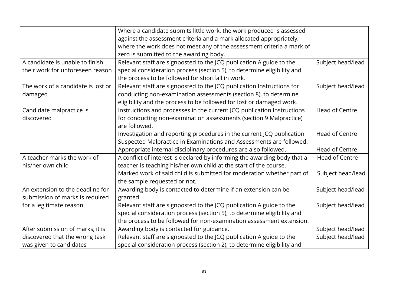|                                    | Where a candidate submits little work, the work produced is assessed     |                       |
|------------------------------------|--------------------------------------------------------------------------|-----------------------|
|                                    | against the assessment criteria and a mark allocated appropriately;      |                       |
|                                    | where the work does not meet any of the assessment criteria a mark of    |                       |
|                                    | zero is submitted to the awarding body.                                  |                       |
| A candidate is unable to finish    | Relevant staff are signposted to the JCQ publication A guide to the      | Subject head/lead     |
| their work for unforeseen reason   | special consideration process (section 5), to determine eligibility and  |                       |
|                                    | the process to be followed for shortfall in work.                        |                       |
| The work of a candidate is lost or | Relevant staff are signposted to the JCQ publication Instructions for    | Subject head/lead     |
| damaged                            | conducting non-examination assessments (section 8), to determine         |                       |
|                                    | eligibility and the process to be followed for lost or damaged work.     |                       |
| Candidate malpractice is           | Instructions and processes in the current JCQ publication Instructions   | <b>Head of Centre</b> |
| discovered                         | for conducting non-examination assessments (section 9 Malpractice)       |                       |
|                                    | are followed.                                                            |                       |
|                                    | Investigation and reporting procedures in the current JCQ publication    | Head of Centre        |
|                                    | Suspected Malpractice in Examinations and Assessments are followed.      |                       |
|                                    | Appropriate internal disciplinary procedures are also followed.          | Head of Centre        |
| A teacher marks the work of        | A conflict of interest is declared by informing the awarding body that a | <b>Head of Centre</b> |
| his/her own child                  | teacher is teaching his/her own child at the start of the course.        |                       |
|                                    | Marked work of said child is submitted for moderation whether part of    | Subject head/lead     |
|                                    | the sample requested or not.                                             |                       |
| An extension to the deadline for   | Awarding body is contacted to determine if an extension can be           | Subject head/lead     |
| submission of marks is required    | granted.                                                                 |                       |
| for a legitimate reason            | Relevant staff are signposted to the JCQ publication A guide to the      | Subject head/lead     |
|                                    | special consideration process (section 5), to determine eligibility and  |                       |
|                                    | the process to be followed for non-examination assessment extension.     |                       |
| After submission of marks, it is   | Awarding body is contacted for guidance.                                 | Subject head/lead     |
| discovered that the wrong task     | Relevant staff are signposted to the JCQ publication A guide to the      | Subject head/lead     |
| was given to candidates            | special consideration process (section 2), to determine eligibility and  |                       |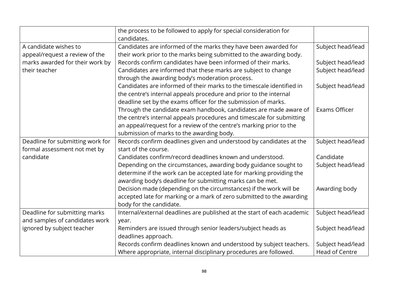|                                  | the process to be followed to apply for special consideration for<br>candidates. |                       |  |  |
|----------------------------------|----------------------------------------------------------------------------------|-----------------------|--|--|
| A candidate wishes to            | Candidates are informed of the marks they have been awarded for                  | Subject head/lead     |  |  |
| appeal/request a review of the   | their work prior to the marks being submitted to the awarding body.              |                       |  |  |
| marks awarded for their work by  | Records confirm candidates have been informed of their marks.                    | Subject head/lead     |  |  |
| their teacher                    | Candidates are informed that these marks are subject to change                   | Subject head/lead     |  |  |
|                                  | through the awarding body's moderation process.                                  |                       |  |  |
|                                  | Candidates are informed of their marks to the timescale identified in            | Subject head/lead     |  |  |
|                                  | the centre's internal appeals procedure and prior to the internal                |                       |  |  |
|                                  | deadline set by the exams officer for the submission of marks.                   |                       |  |  |
|                                  | Through the candidate exam handbook, candidates are made aware of                | Exams Officer         |  |  |
|                                  | the centre's internal appeals procedures and timescale for submitting            |                       |  |  |
|                                  | an appeal/request for a review of the centre's marking prior to the              |                       |  |  |
|                                  | submission of marks to the awarding body.                                        |                       |  |  |
| Deadline for submitting work for | Records confirm deadlines given and understood by candidates at the              | Subject head/lead     |  |  |
| formal assessment not met by     | start of the course.                                                             |                       |  |  |
| candidate                        | Candidates confirm/record deadlines known and understood.                        | Candidate             |  |  |
|                                  | Depending on the circumstances, awarding body guidance sought to                 | Subject head/lead     |  |  |
|                                  | determine if the work can be accepted late for marking providing the             |                       |  |  |
|                                  | awarding body's deadline for submitting marks can be met.                        |                       |  |  |
|                                  | Decision made (depending on the circumstances) if the work will be               | Awarding body         |  |  |
|                                  | accepted late for marking or a mark of zero submitted to the awarding            |                       |  |  |
|                                  | body for the candidate.                                                          |                       |  |  |
| Deadline for submitting marks    | Internal/external deadlines are published at the start of each academic          | Subject head/lead     |  |  |
| and samples of candidates work   | year.                                                                            |                       |  |  |
| ignored by subject teacher       | Reminders are issued through senior leaders/subject heads as                     | Subject head/lead     |  |  |
|                                  | deadlines approach.                                                              |                       |  |  |
|                                  | Records confirm deadlines known and understood by subject teachers.              | Subject head/lead     |  |  |
|                                  | Where appropriate, internal disciplinary procedures are followed.                | <b>Head of Centre</b> |  |  |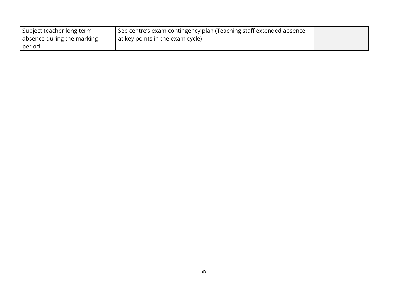| Subject teacher long term  | <sup>1</sup> See centre's exam contingency plan (Teaching staff extended absence |  |
|----------------------------|----------------------------------------------------------------------------------|--|
| absence during the marking | at key points in the exam cycle)                                                 |  |
| period                     |                                                                                  |  |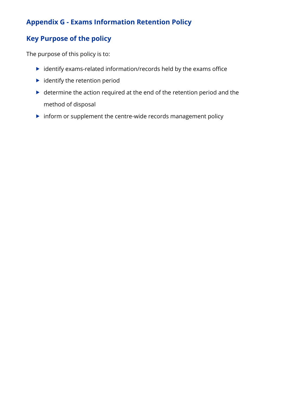# **Appendix G - Exams Information Retention Policy**

# **Key Purpose of the policy**

The purpose of this policy is to:

- $\blacktriangleright$  identify exams-related information/records held by the exams office
- $\blacktriangleright$  identify the retention period
- determine the action required at the end of the retention period and the method of disposal
- $\blacktriangleright$  inform or supplement the centre-wide records management policy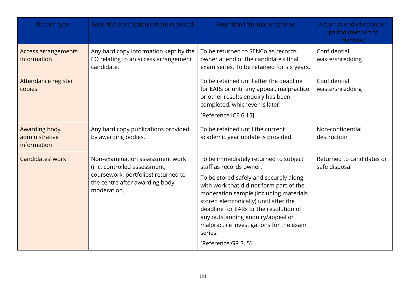| Record type                                    | Record(s) description (where required)                                                                                                                  | Retention information/period                                                                                                                                                                                                                                                                                                                                                                          | Action at end of retention<br>period (method of<br>disposal) |
|------------------------------------------------|---------------------------------------------------------------------------------------------------------------------------------------------------------|-------------------------------------------------------------------------------------------------------------------------------------------------------------------------------------------------------------------------------------------------------------------------------------------------------------------------------------------------------------------------------------------------------|--------------------------------------------------------------|
| <b>Access arrangements</b><br>information      | Any hard copy information kept by the<br>EO relating to an access arrangement<br>candidate.                                                             | To be returned to SENCo as records<br>owner at end of the candidate's final<br>exam series. To be retained for six years.                                                                                                                                                                                                                                                                             | Confidential<br>waste/shredding                              |
| Attendance register<br>copies                  |                                                                                                                                                         | To be retained until after the deadline<br>for EARs or until any appeal, malpractice<br>or other results enquiry has been<br>completed, whichever is later.<br>[Reference ICE 6,15]                                                                                                                                                                                                                   | Confidential<br>waste/shredding                              |
| Awarding body<br>administrative<br>information | Any hard copy publications provided<br>by awarding bodies.                                                                                              | To be retained until the current<br>academic year update is provided.                                                                                                                                                                                                                                                                                                                                 | Non-confidential<br>destruction                              |
| Candidates' work                               | Non-examination assessment work<br>(inc. controlled assessment,<br>coursework, portfolios) returned to<br>the centre after awarding body<br>moderation. | To be immediately returned to subject<br>staff as records owner.<br>To be stored safely and securely along<br>with work that did not form part of the<br>moderation sample (including materials<br>stored electronically) until after the<br>deadline for EARs or the resolution of<br>any outstanding enquiry/appeal or<br>malpractice investigations for the exam<br>series.<br>[Reference GR 3, 5] | Returned to candidates or<br>safe disposal                   |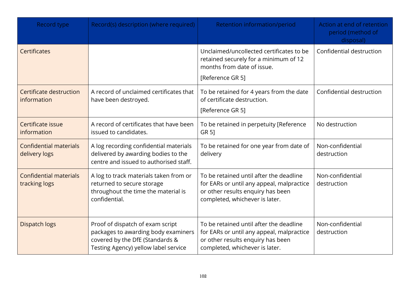| Record type                                    | Record(s) description (where required)                                                                                                             | Retention information/period                                                                                                                                | Action at end of retention<br>period (method of<br>disposal) |
|------------------------------------------------|----------------------------------------------------------------------------------------------------------------------------------------------------|-------------------------------------------------------------------------------------------------------------------------------------------------------------|--------------------------------------------------------------|
| <b>Certificates</b>                            |                                                                                                                                                    | Unclaimed/uncollected certificates to be<br>retained securely for a minimum of 12<br>months from date of issue.<br>[Reference GR 5]                         | Confidential destruction                                     |
| Certificate destruction<br>information         | A record of unclaimed certificates that<br>have been destroyed.                                                                                    | To be retained for 4 years from the date<br>of certificate destruction.<br>[Reference GR 5]                                                                 | Confidential destruction                                     |
| Certificate issue<br>information               | A record of certificates that have been<br>issued to candidates.                                                                                   | To be retained in perpetuity [Reference<br>GR 51                                                                                                            | No destruction                                               |
| <b>Confidential materials</b><br>delivery logs | A log recording confidential materials<br>delivered by awarding bodies to the<br>centre and issued to authorised staff.                            | To be retained for one year from date of<br>delivery                                                                                                        | Non-confidential<br>destruction                              |
| <b>Confidential materials</b><br>tracking logs | A log to track materials taken from or<br>returned to secure storage<br>throughout the time the material is<br>confidential.                       | To be retained until after the deadline<br>for EARs or until any appeal, malpractice<br>or other results enquiry has been<br>completed, whichever is later. | Non-confidential<br>destruction                              |
| <b>Dispatch logs</b>                           | Proof of dispatch of exam script<br>packages to awarding body examiners<br>covered by the DfE (Standards &<br>Testing Agency) yellow label service | To be retained until after the deadline<br>for EARs or until any appeal, malpractice<br>or other results enquiry has been<br>completed, whichever is later. | Non-confidential<br>destruction                              |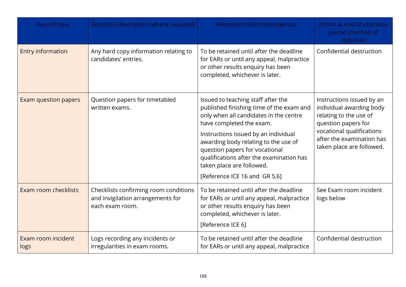| Record type                | Record(s) description (where required)                                                        | Retention information/period                                                                                                                                                                                                                                                                                                                                                     | Action at end of retention<br>period (method of<br>disposal)                                                                                                                                  |
|----------------------------|-----------------------------------------------------------------------------------------------|----------------------------------------------------------------------------------------------------------------------------------------------------------------------------------------------------------------------------------------------------------------------------------------------------------------------------------------------------------------------------------|-----------------------------------------------------------------------------------------------------------------------------------------------------------------------------------------------|
| <b>Entry information</b>   | Any hard copy information relating to<br>candidates' entries.                                 | To be retained until after the deadline<br>for EARs or until any appeal, malpractice<br>or other results enquiry has been<br>completed, whichever is later.                                                                                                                                                                                                                      | Confidential destruction                                                                                                                                                                      |
| Exam question papers       | Question papers for timetabled<br>written exams.                                              | Issued to teaching staff after the<br>published finishing time of the exam and<br>only when all candidates in the centre<br>have completed the exam.<br>Instructions issued by an individual<br>awarding body relating to the use of<br>question papers for vocational<br>qualifications after the examination has<br>taken place are followed.<br>[Reference ICE 16 and GR 5,6] | Instructions issued by an<br>individual awarding body<br>relating to the use of<br>question papers for<br>vocational qualifications<br>after the examination has<br>taken place are followed. |
| Exam room checklists       | Checklists confirming room conditions<br>and invigilation arrangements for<br>each exam room. | To be retained until after the deadline<br>for EARs or until any appeal, malpractice<br>or other results enquiry has been<br>completed, whichever is later.<br>[Reference ICE 6]                                                                                                                                                                                                 | See Exam room incident<br>logs below                                                                                                                                                          |
| Exam room incident<br>logs | Logs recording any incidents or<br>irregularities in exam rooms.                              | To be retained until after the deadline<br>for EARs or until any appeal, malpractice                                                                                                                                                                                                                                                                                             | Confidential destruction                                                                                                                                                                      |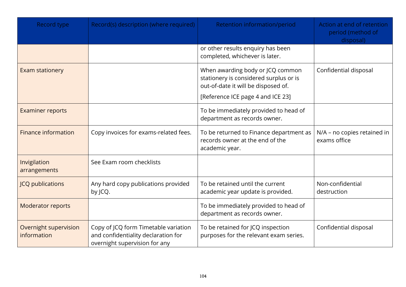| Record type                          | Record(s) description (where required)                                                                       | Retention information/period                                                                                                                           | Action at end of retention<br>period (method of<br>disposal) |
|--------------------------------------|--------------------------------------------------------------------------------------------------------------|--------------------------------------------------------------------------------------------------------------------------------------------------------|--------------------------------------------------------------|
|                                      |                                                                                                              | or other results enquiry has been<br>completed, whichever is later.                                                                                    |                                                              |
| <b>Exam stationery</b>               |                                                                                                              | When awarding body or JCQ common<br>stationery is considered surplus or is<br>out-of-date it will be disposed of.<br>[Reference ICE page 4 and ICE 23] | Confidential disposal                                        |
| <b>Examiner reports</b>              |                                                                                                              | To be immediately provided to head of<br>department as records owner.                                                                                  |                                                              |
| <b>Finance information</b>           | Copy invoices for exams-related fees.                                                                        | To be returned to Finance department as<br>records owner at the end of the<br>academic year.                                                           | N/A - no copies retained in<br>exams office                  |
| Invigilation<br>arrangements         | See Exam room checklists                                                                                     |                                                                                                                                                        |                                                              |
| <b>JCQ publications</b>              | Any hard copy publications provided<br>by JCQ.                                                               | To be retained until the current<br>academic year update is provided.                                                                                  | Non-confidential<br>destruction                              |
| Moderator reports                    |                                                                                                              | To be immediately provided to head of<br>department as records owner.                                                                                  |                                                              |
| Overnight supervision<br>information | Copy of JCQ form Timetable variation<br>and confidentiality declaration for<br>overnight supervision for any | To be retained for JCQ inspection<br>purposes for the relevant exam series.                                                                            | Confidential disposal                                        |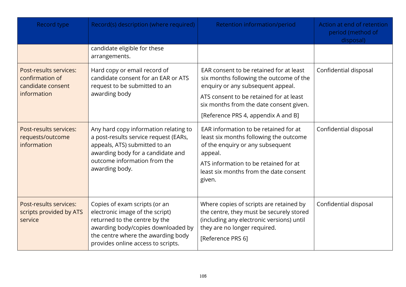| Record type                                                                   | Record(s) description (where required)                                                                                                                                                                              | Retention information/period                                                                                                                                                                                                                         | Action at end of retention<br>period (method of<br>disposal) |
|-------------------------------------------------------------------------------|---------------------------------------------------------------------------------------------------------------------------------------------------------------------------------------------------------------------|------------------------------------------------------------------------------------------------------------------------------------------------------------------------------------------------------------------------------------------------------|--------------------------------------------------------------|
|                                                                               | candidate eligible for these<br>arrangements.                                                                                                                                                                       |                                                                                                                                                                                                                                                      |                                                              |
| Post-results services:<br>confirmation of<br>candidate consent<br>information | Hard copy or email record of<br>candidate consent for an EAR or ATS<br>request to be submitted to an<br>awarding body                                                                                               | EAR consent to be retained for at least<br>six months following the outcome of the<br>enquiry or any subsequent appeal.<br>ATS consent to be retained for at least<br>six months from the date consent given.<br>[Reference PRS 4, appendix A and B] | Confidential disposal                                        |
| Post-results services:<br>requests/outcome<br>information                     | Any hard copy information relating to<br>a post-results service request (EARs,<br>appeals, ATS) submitted to an<br>awarding body for a candidate and<br>outcome information from the<br>awarding body.              | EAR information to be retained for at<br>least six months following the outcome<br>of the enquiry or any subsequent<br>appeal.<br>ATS information to be retained for at<br>least six months from the date consent<br>given.                          | Confidential disposal                                        |
| Post-results services:<br>scripts provided by ATS<br>service                  | Copies of exam scripts (or an<br>electronic image of the script)<br>returned to the centre by the<br>awarding body/copies downloaded by<br>the centre where the awarding body<br>provides online access to scripts. | Where copies of scripts are retained by<br>the centre, they must be securely stored<br>(including any electronic versions) until<br>they are no longer required.<br>[Reference PRS 6]                                                                | Confidential disposal                                        |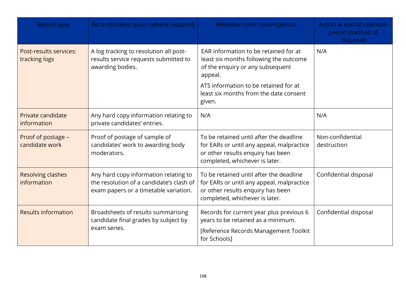| Record type                             | Record(s) description (where required)                                                                                     | Retention information/period                                                                                                                                                                                                | Action at end of retention<br>period (method of<br>disposal) |
|-----------------------------------------|----------------------------------------------------------------------------------------------------------------------------|-----------------------------------------------------------------------------------------------------------------------------------------------------------------------------------------------------------------------------|--------------------------------------------------------------|
| Post-results services:<br>tracking logs | A log tracking to resolution all post-<br>results service requests submitted to<br>awarding bodies.                        | EAR information to be retained for at<br>least six months following the outcome<br>of the enquiry or any subsequent<br>appeal.<br>ATS information to be retained for at<br>least six months from the date consent<br>given. | N/A                                                          |
| Private candidate<br>information        | Any hard copy information relating to<br>private candidates' entries.                                                      | N/A                                                                                                                                                                                                                         | N/A                                                          |
| Proof of postage -<br>candidate work    | Proof of postage of sample of<br>candidates' work to awarding body<br>moderators.                                          | To be retained until after the deadline<br>for EARs or until any appeal, malpractice<br>or other results enquiry has been<br>completed, whichever is later.                                                                 | Non-confidential<br>destruction                              |
| <b>Resolving clashes</b><br>information | Any hard copy information relating to<br>the resolution of a candidate's clash of<br>exam papers or a timetable variation. | To be retained until after the deadline<br>for EARs or until any appeal, malpractice<br>or other results enquiry has been<br>completed, whichever is later.                                                                 | Confidential disposal                                        |
| <b>Results information</b>              | Broadsheets of results summarising<br>candidate final grades by subject by<br>exam series.                                 | Records for current year plus previous 6<br>years to be retained as a minimum.<br>[Reference Records Management Toolkit<br>for Schools]                                                                                     | Confidential disposal                                        |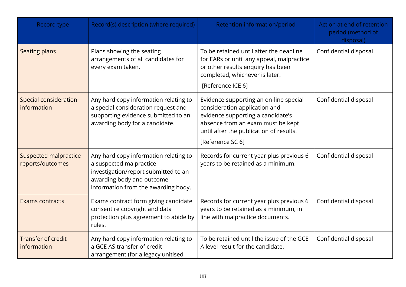| Record type                                      | Record(s) description (where required)                                                                                                                                       | Retention information/period                                                                                                                                                                                     | Action at end of retention<br>period (method of<br>disposal) |
|--------------------------------------------------|------------------------------------------------------------------------------------------------------------------------------------------------------------------------------|------------------------------------------------------------------------------------------------------------------------------------------------------------------------------------------------------------------|--------------------------------------------------------------|
| <b>Seating plans</b>                             | Plans showing the seating<br>arrangements of all candidates for<br>every exam taken.                                                                                         | To be retained until after the deadline<br>for EARs or until any appeal, malpractice<br>or other results enquiry has been<br>completed, whichever is later.<br>[Reference ICE 6]                                 | Confidential disposal                                        |
| Special consideration<br>information             | Any hard copy information relating to<br>a special consideration request and<br>supporting evidence submitted to an<br>awarding body for a candidate.                        | Evidence supporting an on-line special<br>consideration application and<br>evidence supporting a candidate's<br>absence from an exam must be kept<br>until after the publication of results.<br>[Reference SC 6] | Confidential disposal                                        |
| <b>Suspected malpractice</b><br>reports/outcomes | Any hard copy information relating to<br>a suspected malpractice<br>investigation/report submitted to an<br>awarding body and outcome<br>information from the awarding body. | Records for current year plus previous 6<br>years to be retained as a minimum.                                                                                                                                   | Confidential disposal                                        |
| <b>Exams contracts</b>                           | Exams contract form giving candidate<br>consent re copyright and data<br>protection plus agreement to abide by<br>rules.                                                     | Records for current year plus previous 6<br>years to be retained as a minimum, in<br>line with malpractice documents.                                                                                            | Confidential disposal                                        |
| <b>Transfer of credit</b><br>information         | Any hard copy information relating to<br>a GCE AS transfer of credit<br>arrangement (for a legacy unitised                                                                   | To be retained until the issue of the GCE<br>A level result for the candidate.                                                                                                                                   | Confidential disposal                                        |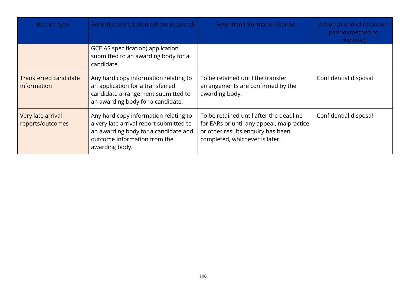| Record type                           | Record(s) description (where required)                                                                                                                                     | Retention information/period                                                                                                                                | Action at end of retention<br>period (method of<br>disposal) |
|---------------------------------------|----------------------------------------------------------------------------------------------------------------------------------------------------------------------------|-------------------------------------------------------------------------------------------------------------------------------------------------------------|--------------------------------------------------------------|
|                                       | GCE AS specification) application<br>submitted to an awarding body for a<br>candidate.                                                                                     |                                                                                                                                                             |                                                              |
| Transferred candidate<br>information  | Any hard copy information relating to<br>an application for a transferred<br>candidate arrangement submitted to<br>an awarding body for a candidate.                       | To be retained until the transfer<br>arrangements are confirmed by the<br>awarding body.                                                                    | Confidential disposal                                        |
| Very late arrival<br>reports/outcomes | Any hard copy information relating to<br>a very late arrival report submitted to<br>an awarding body for a candidate and<br>outcome information from the<br>awarding body. | To be retained until after the deadline<br>for EARs or until any appeal, malpractice<br>or other results enquiry has been<br>completed, whichever is later. | Confidential disposal                                        |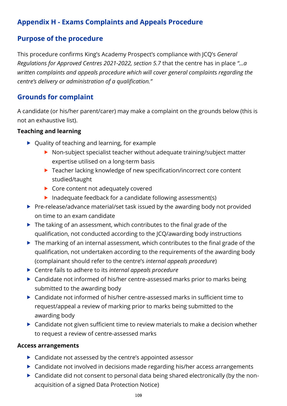# **Appendix H - Exams Complaints and Appeals Procedure**

# **Purpose of the procedure**

This procedure confirms King's Academy Prospect's compliance with JCQ's *General Regulations for Approved Centres 2021-2022, section 5.7* that the centre has in place *"…a written complaints and appeals procedure which will cover general complaints regarding the centre's delivery or administration of a qualification."*

## **Grounds for complaint**

A candidate (or his/her parent/carer) may make a complaint on the grounds below (this is not an exhaustive list).

## **Teaching and learning**

- ▶ Quality of teaching and learning, for example
	- ▶ Non-subject specialist teacher without adequate training/subject matter expertise utilised on a long-term basis
	- ▶ Teacher lacking knowledge of new specification/incorrect core content studied/taught
	- ▶ Core content not adequately covered
	- Inadequate feedback for a candidate following assessment(s)
- ▶ Pre-release/advance material/set task issued by the awarding body not provided on time to an exam candidate
- $\blacktriangleright$  The taking of an assessment, which contributes to the final grade of the qualification, not conducted according to the JCQ/awarding body instructions
- ▶ The marking of an internal assessment, which contributes to the final grade of the qualification, not undertaken according to the requirements of the awarding body (complainant should refer to the centre's *internal appeals procedure*)
- Centre fails to adhere to its *internal appeals procedure*
- ▶ Candidate not informed of his/her centre-assessed marks prior to marks being submitted to the awarding body
- Candidate not informed of his/her centre-assessed marks in sufficient time to request/appeal a review of marking prior to marks being submitted to the awarding body
- ▶ Candidate not given sufficient time to review materials to make a decision whether to request a review of centre-assessed marks

### **Access arrangements**

- ▶ Candidate not assessed by the centre's appointed assessor
- ▶ Candidate not involved in decisions made regarding his/her access arrangements
- Candidate did not consent to personal data being shared electronically (by the nonacquisition of a signed Data Protection Notice)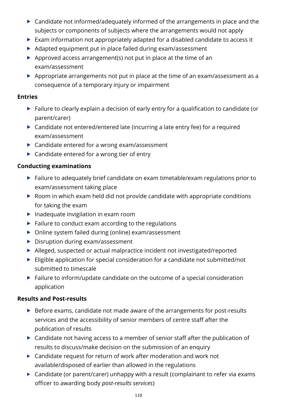- ▶ Candidate not informed/adequately informed of the arrangements in place and the subjects or components of subjects where the arrangements would not apply
- Exam information not appropriately adapted for a disabled candidate to access it
- Adapted equipment put in place failed during exam/assessment
- Approved access arrangement(s) not put in place at the time of an exam/assessment
- Appropriate arrangements not put in place at the time of an exam/assessment as a consequence of a temporary injury or impairment

### **Entries**

- Failure to clearly explain a decision of early entry for a qualification to candidate (or parent/carer)
- ▶ Candidate not entered/entered late (incurring a late entry fee) for a required exam/assessment
- ▶ Candidate entered for a wrong exam/assessment
- ▶ Candidate entered for a wrong tier of entry

## **Conducting examinations**

- ▶ Failure to adequately brief candidate on exam timetable/exam regulations prior to exam/assessment taking place
- ▶ Room in which exam held did not provide candidate with appropriate conditions for taking the exam
- $\blacktriangleright$  Inadequate invigilation in exam room
- $\blacktriangleright$  Failure to conduct exam according to the regulations
- ▶ Online system failed during (online) exam/assessment
- Disruption during exam/assessment
- Alleged, suspected or actual malpractice incident not investigated/reported
- Eligible application for special consideration for a candidate not submitted/not submitted to timescale
- Failure to inform/update candidate on the outcome of a special consideration application

## **Results and Post-results**

- ▶ Before exams, candidate not made aware of the arrangements for post-results services and the accessibility of senior members of centre staff after the publication of results
- ▶ Candidate not having access to a member of senior staff after the publication of results to discuss/make decision on the submission of an enquiry
- ▶ Candidate request for return of work after moderation and work not available/disposed of earlier than allowed in the regulations
- ▶ Candidate (or parent/carer) unhappy with a result (complainant to refer via exams officer to awarding body *post-results services*)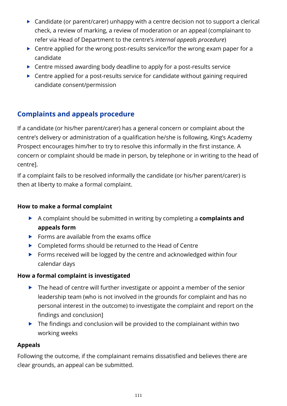- $\triangleright$  Candidate (or parent/carer) unhappy with a centre decision not to support a clerical check, a review of marking, a review of moderation or an appeal (complainant to refer via Head of Department to the centre's *internal appeals procedure*)
- ▶ Centre applied for the wrong post-results service/for the wrong exam paper for a candidate
- ▶ Centre missed awarding body deadline to apply for a post-results service
- ▶ Centre applied for a post-results service for candidate without gaining required candidate consent/permission

# **Complaints and appeals procedure**

If a candidate (or his/her parent/carer) has a general concern or complaint about the centre's delivery or administration of a qualification he/she is following, King's Academy Prospect encourages him/her to try to resolve this informally in the first instance. A concern or complaint should be made in person, by telephone or in writing to the head of centre].

If a complaint fails to be resolved informally the candidate (or his/her parent/carer) is then at liberty to make a formal complaint.

## **How to make a formal complaint**

- A complaint should be submitted in writing by completing a **complaints and appeals form**
- $\blacktriangleright$  Forms are available from the exams office
- ▶ Completed forms should be returned to the Head of Centre
- Forms received will be logged by the centre and acknowledged within four calendar days

## **How a formal complaint is investigated**

- $\blacktriangleright$  The head of centre will further investigate or appoint a member of the senior leadership team (who is not involved in the grounds for complaint and has no personal interest in the outcome) to investigate the complaint and report on the findings and conclusion]
- $\blacktriangleright$  The findings and conclusion will be provided to the complainant within two working weeks

## **Appeals**

Following the outcome, if the complainant remains dissatisfied and believes there are clear grounds, an appeal can be submitted.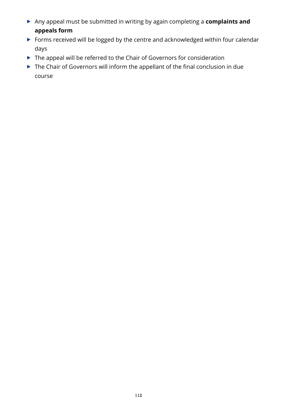- Any appeal must be submitted in writing by again completing a **complaints and appeals form**
- Forms received will be logged by the centre and acknowledged within four calendar days
- ▶ The appeal will be referred to the Chair of Governors for consideration
- ▶ The Chair of Governors will inform the appellant of the final conclusion in due course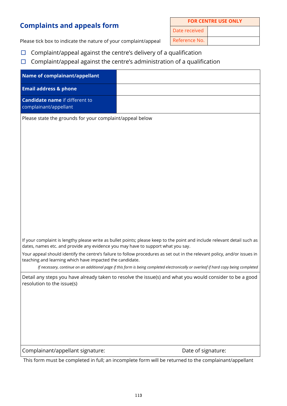# **Complaints and appeals form**

| <b>FOR CENTRE USE ONLY</b> |  |
|----------------------------|--|
| Date received              |  |
| Reference No.              |  |

Please tick box to indicate the nature of your complaint/appeal

- $\Box$  Complaint/appeal against the centre's delivery of a qualification
- $\Box$  Complaint/appeal against the centre's administration of a qualification

| Name of complainant/appellant                                                                                                          |                                                                                                                                      |
|----------------------------------------------------------------------------------------------------------------------------------------|--------------------------------------------------------------------------------------------------------------------------------------|
| <b>Email address &amp; phone</b>                                                                                                       |                                                                                                                                      |
| <b>Candidate name if different to</b><br>complainant/appellant                                                                         |                                                                                                                                      |
| Please state the grounds for your complaint/appeal below                                                                               |                                                                                                                                      |
|                                                                                                                                        |                                                                                                                                      |
|                                                                                                                                        |                                                                                                                                      |
|                                                                                                                                        |                                                                                                                                      |
|                                                                                                                                        |                                                                                                                                      |
|                                                                                                                                        |                                                                                                                                      |
|                                                                                                                                        |                                                                                                                                      |
|                                                                                                                                        |                                                                                                                                      |
|                                                                                                                                        |                                                                                                                                      |
|                                                                                                                                        |                                                                                                                                      |
|                                                                                                                                        |                                                                                                                                      |
| dates, names etc. and provide any evidence you may have to support what you say.                                                       | If your complaint is lengthy please write as bullet points; please keep to the point and include relevant detail such as             |
| teaching and learning which have impacted the candidate.                                                                               | Your appeal should identify the centre's failure to follow procedures as set out in the relevant policy, and/or issues in            |
|                                                                                                                                        | If necessary, continue on an additional page if this form is being completed electronically or overleaf if hard copy being completed |
| Detail any steps you have already taken to resolve the issue(s) and what you would consider to be a good<br>resolution to the issue(s) |                                                                                                                                      |
|                                                                                                                                        |                                                                                                                                      |
|                                                                                                                                        |                                                                                                                                      |
|                                                                                                                                        |                                                                                                                                      |
|                                                                                                                                        |                                                                                                                                      |
|                                                                                                                                        |                                                                                                                                      |
| Complainant/appellant signature:                                                                                                       | Date of signature:                                                                                                                   |

This form must be completed in full; an incomplete form will be returned to the complainant/appellant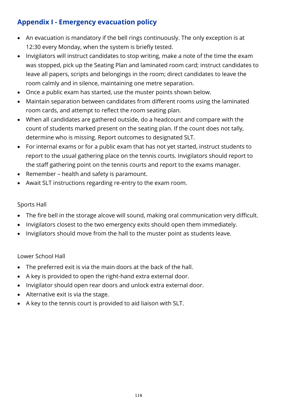# **Appendix I - Emergency evacuation policy**

- An evacuation is mandatory if the bell rings continuously. The only exception is at 12:30 every Monday, when the system is briefly tested.
- Invigilators will instruct candidates to stop writing, make a note of the time the exam was stopped, pick up the Seating Plan and laminated room card; instruct candidates to leave all papers, scripts and belongings in the room; direct candidates to leave the room calmly and in silence, maintaining one metre separation.
- Once a public exam has started, use the muster points shown below.
- Maintain separation between candidates from different rooms using the laminated room cards, and attempt to reflect the room seating plan.
- When all candidates are gathered outside, do a headcount and compare with the count of students marked present on the seating plan. If the count does not tally, determine who is missing. Report outcomes to designated SLT.
- For internal exams or for a public exam that has not yet started, instruct students to report to the usual gathering place on the tennis courts. Invigilators should report to the staff gathering point on the tennis courts and report to the exams manager.
- Remember health and safety is paramount.
- Await SLT instructions regarding re-entry to the exam room.

### Sports Hall

- The fire bell in the storage alcove will sound, making oral communication very difficult.
- Invigilators closest to the two emergency exits should open them immediately.
- Invigilators should move from the hall to the muster point as students leave.

## Lower School Hall

- The preferred exit is via the main doors at the back of the hall.
- A key is provided to open the right-hand extra external door.
- Invigilator should open rear doors and unlock extra external door.
- Alternative exit is via the stage.
- A key to the tennis court is provided to aid liaison with SLT.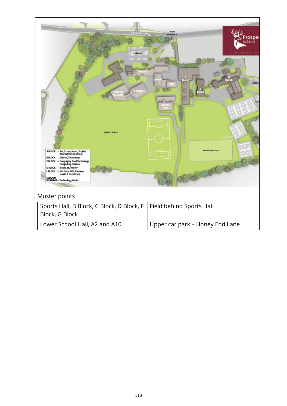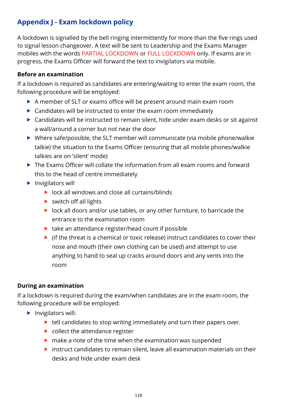# **Appendix J - Exam lockdown policy**

A lockdown is signalled by the bell ringing intermittently for more than the five rings used to signal lesson changeover. A text will be sent to Leadership and the Exams Manager mobiles with the words PARTIAL LOCKDOWN or FULL LOCKDOWN only. If exams are in progress, the Exams Officer will forward the text to invigilators via mobile.

### **Before an examination**

If a lockdown is required as candidates are entering/waiting to enter the exam room, the following procedure will be employed:

- A member of SLT or exams office will be present around main exam room
- ▶ Candidates will be instructed to enter the exam room immediately
- ▶ Candidates will be instructed to remain silent, hide under exam desks or sit against a wall/around a corner but not near the door
- Where safe/possible, the SLT member will communicate (via mobile phone/walkie talkie) the situation to the Exams Officer (ensuring that all mobile phones/walkie talkies are on 'silent' mode)
- ▶ The Exams Officer will collate the information from all exam rooms and forward this to the head of centre immediately
- $\blacktriangleright$  Invigilators will
	- $\triangleright$  lock all windows and close all curtains/blinds
	- $\triangleright$  switch off all lights
	- lock all doors and/or use tables, or any other furniture, to barricade the entrance to the examination room
	- $\blacktriangleright$  take an attendance register/head count if possible
	- $\triangleright$  (if the threat is a chemical or toxic release) instruct candidates to cover their nose and mouth (their own clothing can be used) and attempt to use anything to hand to seal up cracks around doors and any vents into the room

## **During an examination**

If a lockdown is required during the exam/when candidates are in the exam room, the following procedure will be employed:

- $\blacktriangleright$  Invigilators will:
	- $\blacktriangleright$  tell candidates to stop writing immediately and turn their papers over.
	- $\triangleright$  collect the attendance register
	- $\triangleright$  make a note of the time when the examination was suspended
	- $\triangleright$  instruct candidates to remain silent, leave all examination materials on their desks and hide under exam desk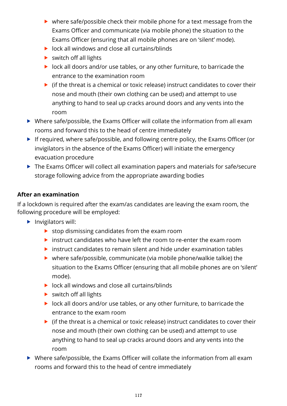- ▶ where safe/possible check their mobile phone for a text message from the Exams Officer and communicate (via mobile phone) the situation to the Exams Officer (ensuring that all mobile phones are on 'silent' mode).
- ▶ lock all windows and close all curtains/blinds
- $\triangleright$  switch off all lights
- lock all doors and/or use tables, or any other furniture, to barricade the entrance to the examination room
- $\triangleright$  (if the threat is a chemical or toxic release) instruct candidates to cover their nose and mouth (their own clothing can be used) and attempt to use anything to hand to seal up cracks around doors and any vents into the room
- Where safe/possible, the Exams Officer will collate the information from all exam rooms and forward this to the head of centre immediately
- If required, where safe/possible, and following centre policy, the Exams Officer (or invigilators in the absence of the Exams Officer) will initiate the emergency evacuation procedure
- ▶ The Exams Officer will collect all examination papers and materials for safe/secure storage following advice from the appropriate awarding bodies

### **After an examination**

If a lockdown is required after the exam/as candidates are leaving the exam room, the following procedure will be employed:

- $\blacktriangleright$  Invigilators will:
	- $\triangleright$  stop dismissing candidates from the exam room
	- $\triangleright$  instruct candidates who have left the room to re-enter the exam room
	- $\triangleright$  instruct candidates to remain silent and hide under examination tables
	- where safe/possible, communicate (via mobile phone/walkie talkie) the situation to the Exams Officer (ensuring that all mobile phones are on 'silent' mode).
	- $\triangleright$  lock all windows and close all curtains/blinds
	- $\triangleright$  switch off all lights
	- **IDOCK** all doors and/or use tables, or any other furniture, to barricade the entrance to the exam room
	- $\triangleright$  (if the threat is a chemical or toxic release) instruct candidates to cover their nose and mouth (their own clothing can be used) and attempt to use anything to hand to seal up cracks around doors and any vents into the room
- Where safe/possible, the Exams Officer will collate the information from all exam rooms and forward this to the head of centre immediately